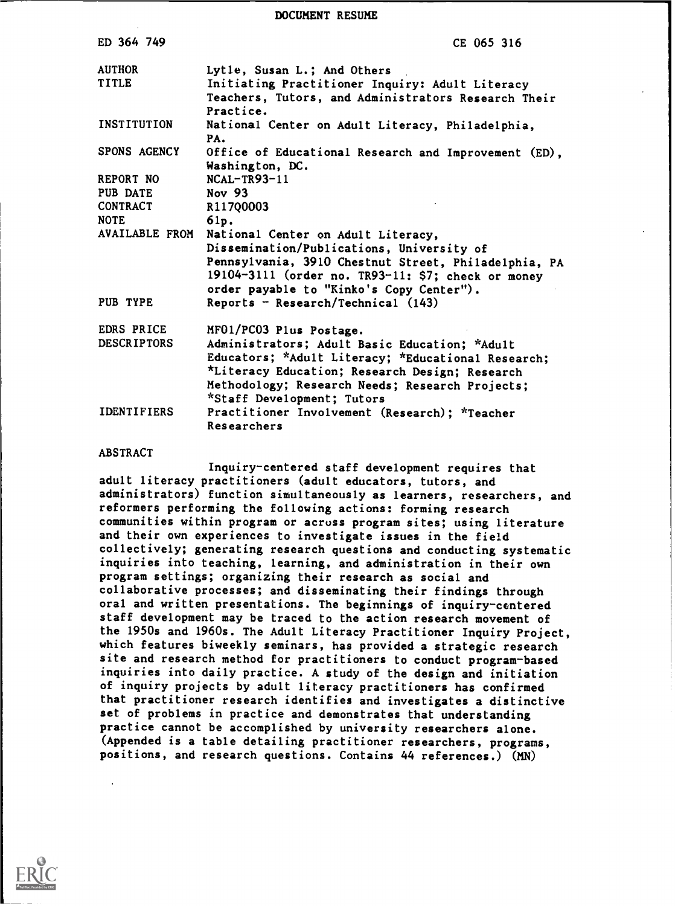| DOCUMENT RESUME |  |
|-----------------|--|
|                 |  |

| CE 065 316                                                                                                                                         |
|----------------------------------------------------------------------------------------------------------------------------------------------------|
| Lytie, Susan L.; And Others<br>Initiating Practitioner Inquiry: Adult Literacy<br>Teachers, Tutors, and Administrators Research Their<br>Practice. |
| National Center on Adult Literacy, Philadelphia,<br>PA.                                                                                            |
| Office of Educational Research and Improvement (ED),<br>Washington, DC.                                                                            |
| $NCAL-TR93-11$                                                                                                                                     |
| Nov 93                                                                                                                                             |
| R117Q0003                                                                                                                                          |
| 61p.                                                                                                                                               |
| National Center on Adult Literacy,                                                                                                                 |
| Dissemination/Publications, University of                                                                                                          |
| Pennsylvania, 3910 Chestnut Street, Philadelphia, PA                                                                                               |
| 19104-3111 (order no. TR93-11: \$7; check or money<br>order payable to "Kinko's Copy Center").                                                     |
| Reports - Research/Technical (143)                                                                                                                 |
| MF01/PC03 Plus Postage.                                                                                                                            |
| Administrators; Adult Basic Education; *Adult                                                                                                      |
| Educators; *Adult Literacy; *Educational Research;                                                                                                 |
| *Literacy Education; Research Design; Research                                                                                                     |
| Methodology; Research Needs; Research Projects;<br>*Staff Development; Tutors                                                                      |
| Practitioner Involvement (Research); *Teacher                                                                                                      |
| Researchers                                                                                                                                        |
|                                                                                                                                                    |

#### ABSTRACT

Inquiry-centered staff development requires that adult literacy practitioners (adult educators, tutors, and administrators) function simultaneously as learners, researchers, and reformers performing the following actions: forming research communities within program or across program sites; using literature and their own experiences to investigate issues in the field collectively; generating research questions and conducting systematic inquiries into teaching, learning, and administration in their own program settings; organizing their research as social and collaborative processes; and disseminating their findings through oral and written presentations. The beginnings of inquiry-centered staff development may be traced to the action research movement of the 1950s and 1960s. The Adult Literacy Practitioner Inquiry Project, which features biweekly seminars, has provided a strategic research site and research method for practitioners to conduct program-based inquiries into daily practice. A study of the design and initiation of inquiry projects by adult literacy practitioners has confirmed that practitioner research identifies and investigates a distinctive set of problems in practice and demonstrates that understanding practice cannot be accomplished by university researchers alone. (Appended is a table detailing practitioner researchers, programs, positions, and research questions. Contains 44 references.) (MN)

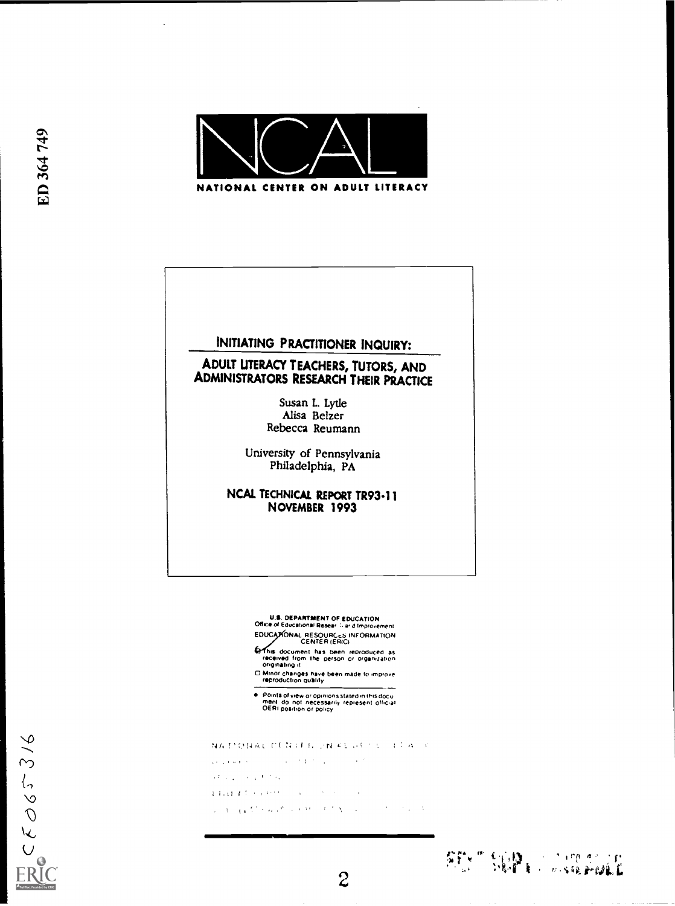

## INITIATING PRACTITIONER INQUIRY:

# ADULT UTERACY TEACHERS, TUTORS, AND ADMINISTRATORS RESEARCH THEIR PRACTICE

Susan L. Lytle Alisa Belzer Rebecca Reumann

University of Pennsylvania Philadelphia, PA

NCAL TECHNICAL REPORT TR93-11 NOVEMBER 1993

> U.S. DEPARTMENT OF EDUCATION<br>Office of Educational Resear illiar dimprovement EDUCATIONAL RESOURCES INFORMATION

CENTER (ERIC)<br>This document has been reproduced as<br>originating it<br>originating it

□ Minor changes have been made to improve<br>- reproduction quality

Points of view or opinions stated in INIs docu<br>ment: do: not: necessarrly: represent: official<br>OERI position or policy

NATIONAL CENTRE DN FESTIVE REAL K

 $\mathcal{L}(\mathcal{L}(\mathcal{L}(\mathcal{M}(\mathcal{M}(\mathcal{M}(\mathcal{M}(\mathcal{M}(\mathcal{M}(\mathcal{M}(\mathcal{M}(\mathcal{M}(\mathcal{M}(\mathcal{M}(\mathcal{M}(\mathcal{M}(\mathcal{M}(\mathcal{M}(\mathcal{M}(\mathcal{M}(\mathcal{M}(\mathcal{M}(\mathcal{M}(\mathcal{M}(\mathcal{M}(\mathcal{M}(\mathcal{M}(\mathcal{M}(\mathcal{M}(\mathcal{M}(\mathcal{M}(\mathcal{M}(\mathcal{M}(\mathcal{M}(\mathcal{M}(\mathcal{M}(\mathcal{$  $\sim 10$ 

are presented to the

THE R. P. LEWIS CO., LANSING MICH.

 $\label{eq:2.1} \mathcal{L}=\mathbb{E}\left[\left(\sqrt{1-\mathcal{E}}\right)^2+\mathcal{L}(\sqrt{2}-1)\right]\times\mathbb{E}\left[\left(1-\mathcal{E}(\sqrt{2}-1)\right)^2+\mathcal{L}(\sqrt{2}-1)\right].$  $\mathcal{O}(\mathcal{A}) \cong \mathcal{O}(\mathcal{A})$ 

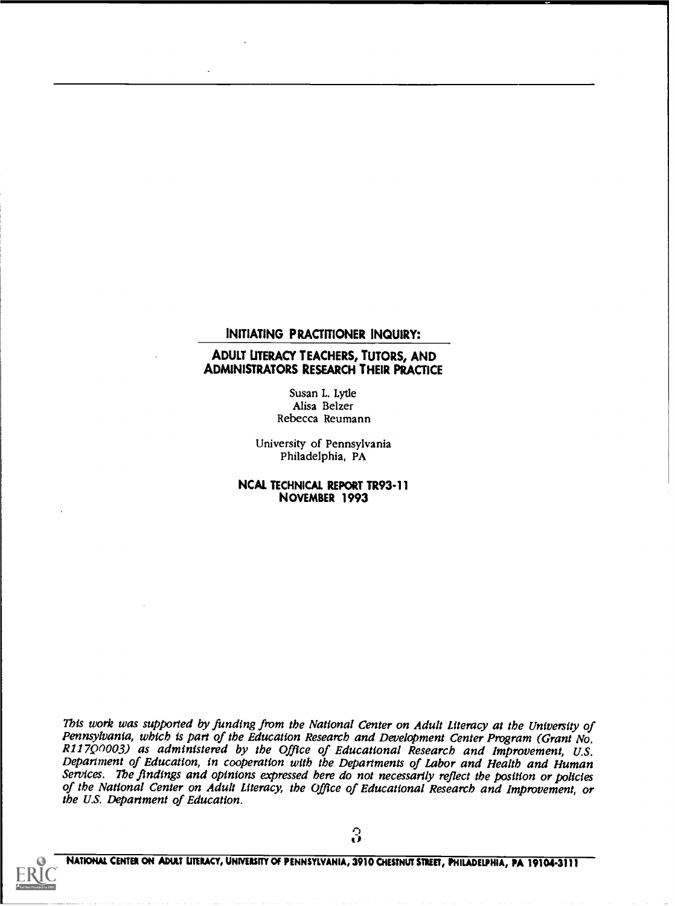#### INITIATING PRACTITIONER INQUIRY:

#### ADULT UTERACY TEACHERS, TUTORS, AND ADMINISTRATORS RESEARCH THEIR PRACTICE

Susan L. Lytle Alisa Belzer Rebecca Reumann

University of Pennsylvania Philadelphia, PA

NCAL TECHNICAL REPORT TR93-11 NOVEMBER 1993

This work was supported by funding from the National Center on Adult Literacy at the University of<br>Pennsylvania, which is part of the Education Research and Development Center Program (Grant No. Pennsylvania, which is part of the Educational Research and Improvement, U.S. Department of Education, in cooperation with the Departments of Labor and Health and Human<br>Services. The findings and opinions expressed here do not necessarily reflect the position or policies of the National Center on Adult Literacy, the Office of Educational Research and Improvement, or the U.S. Department of Education.

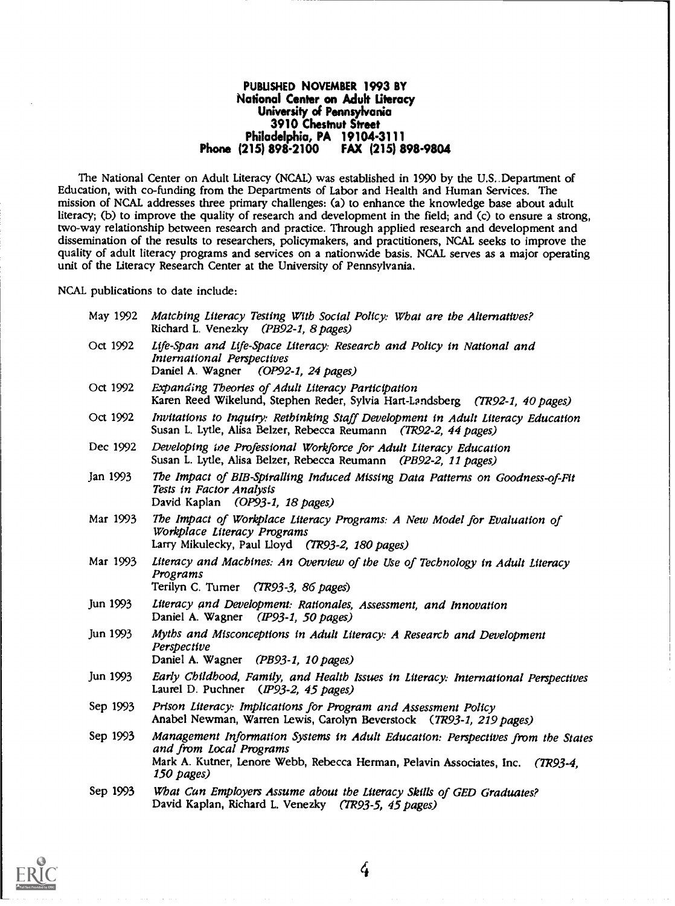#### PUBLISHED NOVEMBER 1993 BY National Center on Adult Literacy University of Pennsylvania 3910 Chestnut Street Philadelphia, PA 19104-3111<br>215) 898-2100 FAX (215) 898-9804 Phone (215) 898-2100

The National Center on Adult Literacy (NCAL) was established in 1990 by the U.S..Department of Education, with co-funding from the Departments of Labor and Health and Human Services. The mission of NCAL addresses three primary challenges: (a) to enhance the knowledge base about adult literacy; (b) to improve the quality of research and development in the field; and (c) to ensure a strong, two-way relationship between research and practice. Through applied research and development and dissemination of the results to researchers, policymakers, and practitioners, NCAL seeks to improve the quality of adult literacy programs and services on a nationwide basis. NCAL serves as a major operating unit of the Literacy Research Center at the University of Pennsylvania.

NCAL publications to date include:

| May 1992 | Matching Literacy Testing With Social Policy: What are the Alternatives?<br>Richard L. Venezky (PB92-1, 8 pages)                                                                                           |
|----------|------------------------------------------------------------------------------------------------------------------------------------------------------------------------------------------------------------|
| Oct 1992 | Life-Span and Life-Space Literacy: Research and Policy in National and<br>International Perspectives<br>Daniel A. Wagner (OP92-1, 24 pages)                                                                |
| Oct 1992 | Expanding Theories of Adult Literacy Participation<br>Karen Reed Wikelund, Stephen Reder, Sylvia Hart-Landsberg (TR92-1, 40 pages)                                                                         |
| Oct 1992 | Invitations to Inquiry: Rethinking Staff Development in Adult Literacy Education<br>Susan L. Lytle, Alisa Belzer, Rebecca Reumann (TR92-2, 44 pages)                                                       |
| Dec 1992 | Developing ine Professional Workforce for Adult Literacy Education<br>Susan L. Lytle, Alisa Belzer, Rebecca Reumann (PB92-2, 11 pages)                                                                     |
| Jan 1993 | The Impact of BIB-Spiralling Induced Missing Data Patterns on Goodness-of-Fit<br>Tests in Factor Analysis<br>David Kaplan (OP93-1, 18 pages)                                                               |
| Mar 1993 | The Impact of Workplace Literacy Programs: A New Model for Evaluation of<br>Workplace Literacy Programs<br>Larry Mikulecky, Paul Lloyd (TR93-2, 180 pages)                                                 |
| Mar 1993 | Literacy and Machines: An Overview of the Use of Technology in Adult Literacy<br>Programs<br>Terilyn C. Turner (TR93-3, 86 pages)                                                                          |
| Jun 1993 | Literacy and Development: Rationales, Assessment, and Innovation<br>Daniel A. Wagner (IP93-1, 50 pages)                                                                                                    |
| Jun 1993 | Myths and Misconceptions in Adult Literacy: A Research and Development<br>Perspective<br>Daniel A. Wagner (PB93-1, 10 pages)                                                                               |
| Jun 1993 | Early Childhood, Family, and Health Issues in Literacy: International Perspectives<br>Laurel D. Puchner (IP93-2, 45 pages)                                                                                 |
| Sep 1993 | Prison Literacy: Implications for Program and Assessment Policy<br>Anabel Newman, Warren Lewis, Carolyn Beverstock (TR93-1, 219 pages)                                                                     |
| Sep 1993 | Management Information Systems in Adult Education: Perspectives from the States<br>and from Local Programs<br>Mark A. Kutner, Lenore Webb, Rebecca Herman, Pelavin Associates, Inc. (TR93-4,<br>150 pages) |
| Sep 1993 | What Can Employers Assume about the Literacy Skills of GED Graduates?<br>David Kaplan, Richard L. Venezky (TR93-5, 45 pages)                                                                               |



 $\frac{1}{4}$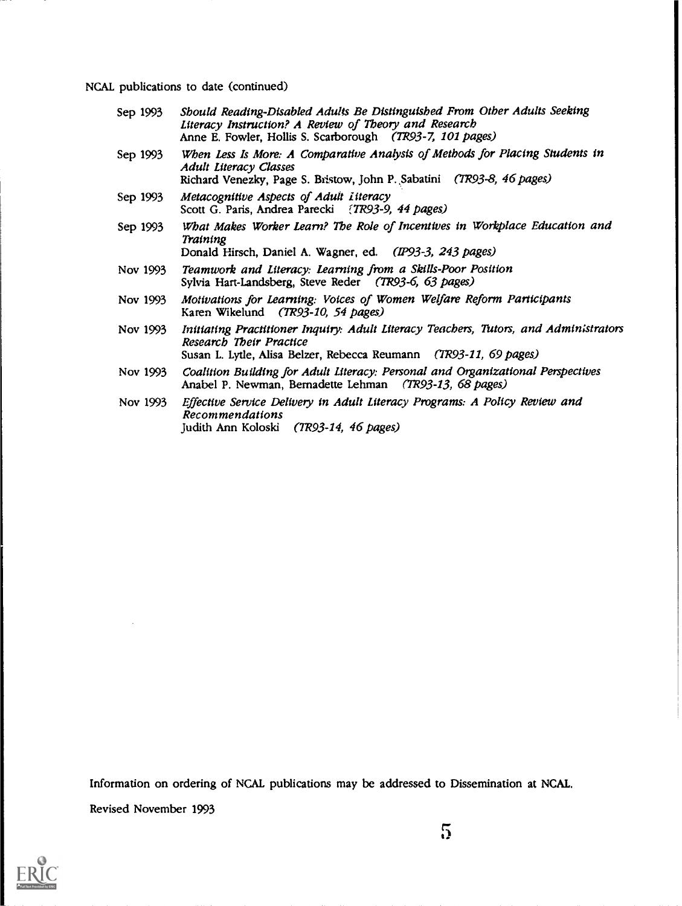NCAL publications to date (continued)

- Sep 1993 Should Reading-Disabled Adults Be Distinguished From Other Adults Seeking Literacy Instruction? A Review of Theory and Research Anne E. Fowler, Hollis S. Scarborough (TR93-7, 101 pages)
- Sep 1993 When Less Is More: A Comparative Analysis of Methods for Placing Students in Adult Literacy Classes Richard Venezky, Page S. Bristow, John P. 5abatini (7R93-8, 46 pages)
- Sep 1993 Metacognitive Aspects of Adult Literacy Scott G. Paris, Andrea Parecki (7R93-9, 44 pages)
- Sep 1993 What Makes Worker Learn? The Role of Incentives in Workplace Education and Training Donald Hirsch, Daniel A. Wagner, ed. (1P93-3, 243 pages)
- Nov 1993 Teamwork and Literacy: Learning from a Skills-Poor Position
- Sylvia Hart-Landsberg, Steve Reder (7R93-6, 63 Pages)
- Nov 1993 Motivations for Learning: Voices of Women Welfare Reform Participants Karen Wikelund (7R93-10, 54 pages)
- Nov 1993 Initiating Practitioner Inquiry: Adult Literacy Teachers, Tutors, and Admin;strators Research Their Practice Susan L. Lytle, Alisa Belzer, Rebecca Reumann (7703-11, 69 pages)
- Nov 1993 Coalition Building for Adult Literacy: Personal and Organizational Perspectives Anabel P. Newman, Bernadette Lehman (TR93-13, 68 pages)
- Nov 1993 Effective Service Delivery in Adult Literacy Programs: A Policy Review and Recommendations Judith Ann Koloski (7R93-14, 46 pages)

Information on ordering of NCAL publications may be addressed to Dissemination at NCAL. Revised November 1993

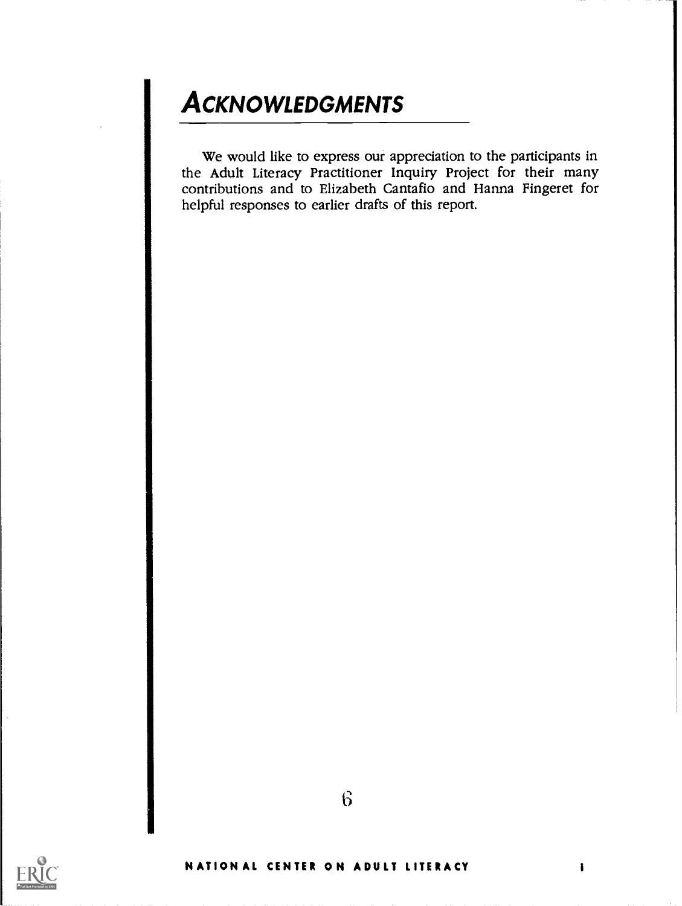# **ACKNOWLEDGMENTS**

We would like to express our appreciation to the participants in the Adult Literacy Practitioner Inquiry Project for their many contributions and to Elizabeth Cantafio and Hanna Fingeret for helpful responses to earlier drafts of this report.



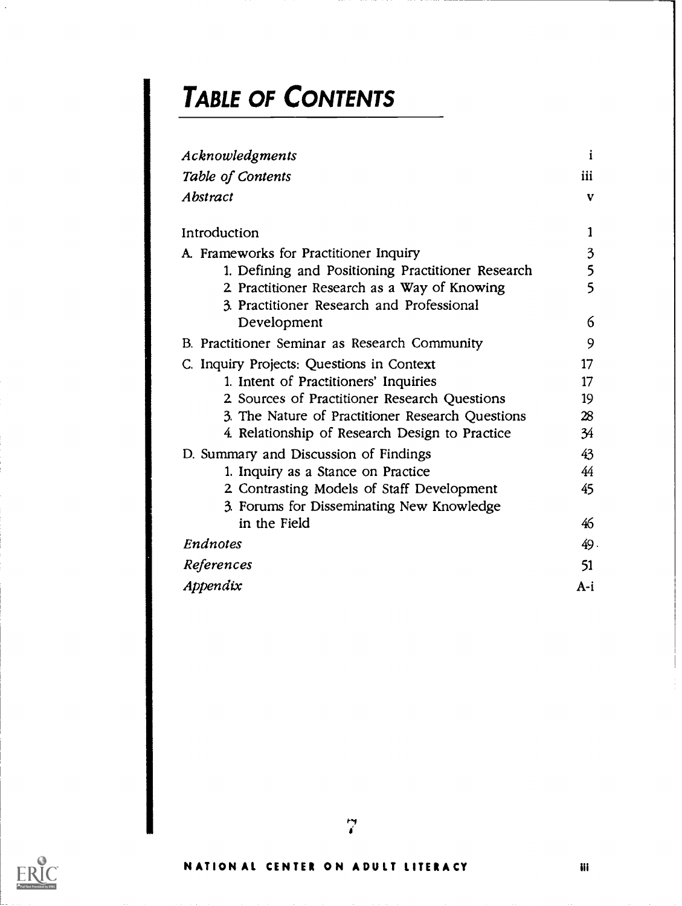# TABLE OF CONTENTS

| Acknowledgments                                   | i   |
|---------------------------------------------------|-----|
| Table of Contents                                 | iii |
| Abstract                                          | V   |
|                                                   |     |
| Introduction                                      | 1   |
| A. Frameworks for Practitioner Inquiry            | 3   |
| 1. Defining and Positioning Practitioner Research | 5   |
| 2 Practitioner Research as a Way of Knowing       | 5   |
| 3. Practitioner Research and Professional         |     |
| Development                                       | 6   |
| B. Practitioner Seminar as Research Community     | 9   |
| C. Inquiry Projects: Questions in Context         | 17  |
| 1. Intent of Practitioners' Inquiries             | 17  |
| 2 Sources of Practitioner Research Questions      | 19  |
| 3. The Nature of Practitioner Research Questions  | 28  |
| 4. Relationship of Research Design to Practice    | 34  |
| D. Summary and Discussion of Findings             | 43  |
| 1. Inquiry as a Stance on Practice                | 44  |
| 2 Contrasting Models of Staff Development         | 45  |
| 3. Forums for Disseminating New Knowledge         |     |
| in the Field                                      | 46  |
| Endnotes                                          | 49. |
| References                                        | 51  |
| Appendix                                          | A-i |



 $\overline{a}$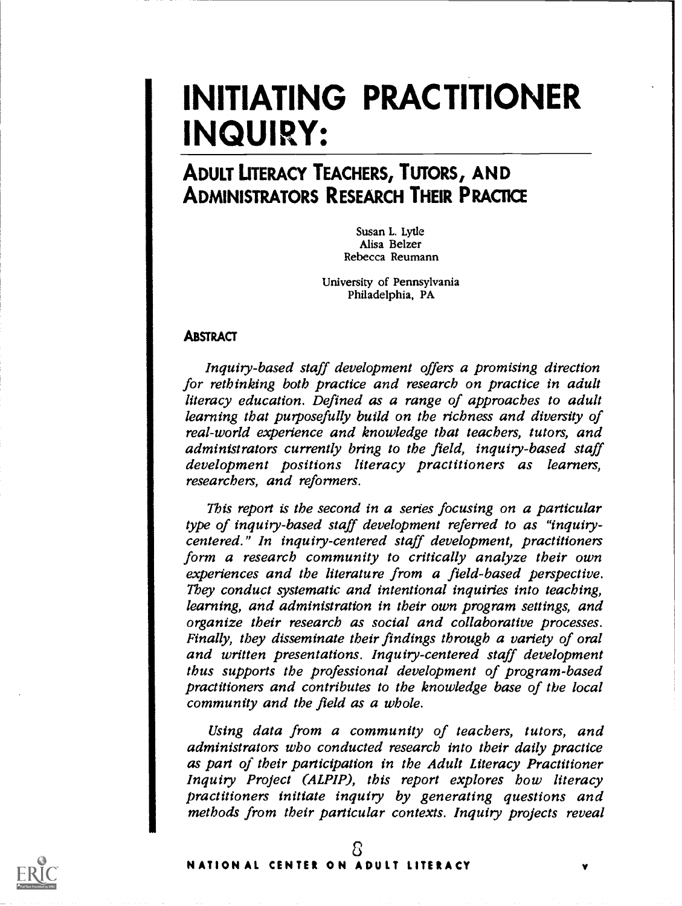# INITIATING PRACTITIONER INQUIRY:

# ADULT LITERACY TEACHERS, TUTORS, AND ADMINISTRATORS RESEARCH THEIR PRACTICE

Susan L. Lytle Alisa Belzer Rebecca Reumann

University of Pennsylvania Philadelphia, PA

### **ABSTRACT**

Inquiry-based staff development offers a promising direction for rethinking both practice and research on practice in adult literacy education. Defined as a range of approaches to adult learning that purposefully build on the richness and diversity of real-world experience and knowledge that teachers, tutors, and administrators currently bring to the field, inquiry-based staff development positions literacy practitioners as learners, researchers, and reformers.

This report is the second in a series focusing on a particular type of inquiry-based staff development referred to as "inquirycentered." In inquiry-centered staff development, practitioners form a research community to critically analyze their own experiences and the literature from a field-based perspective. They conduct systematic and intentional inquiries into teaching, learning, and administration in their own program settings, and organize their research as social and collaborative processes. Finally, they disseminate their findings through a variety of oral and written presentations. Inquiry-centered staff development thus supports the professional development of program-based practitioners and contributes to the knowledge base of the local community and the field as a whole.

Using data from a community of teachers, tutors, and administrators who conducted research into their daily practice as part of their participation in the Adult Literacy Practitioner Inquiry Project (ALPIP), this report explores how literacy practitioners initiate inquiry by generating questions and methods from their particular contexts. Inquiry projects reveal

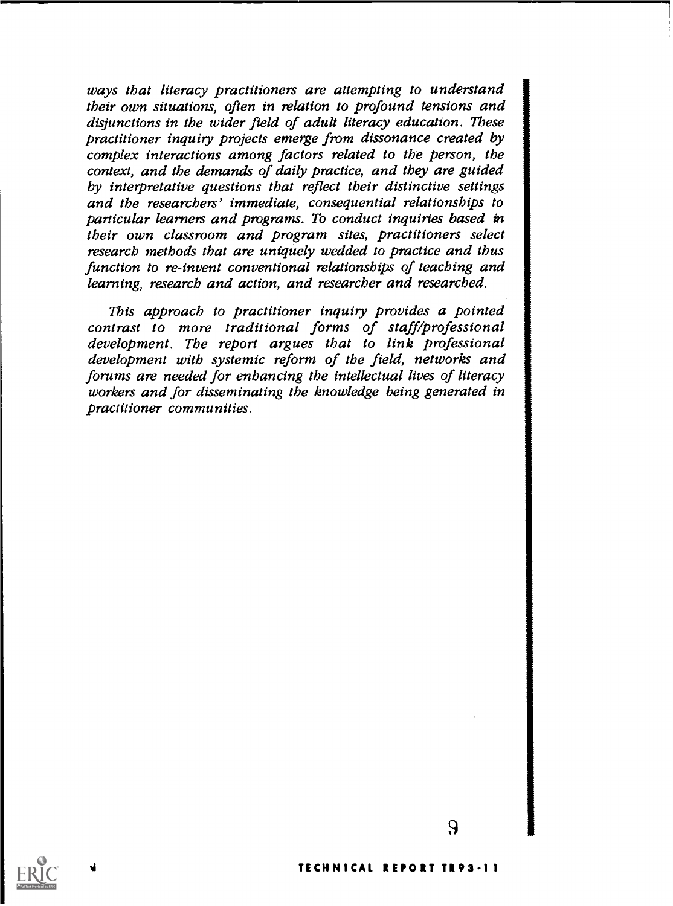ways that literacy practitioners are attempting to understand their own situations, often in relation to profound tensions and disjunctions in the wider field of adult literacy education. These practitioner inquiry projects emerge from dissonance created by complex interactions among factors related to the person, the context, and the demands of daily practice, and they are guided by interpretative questions that reflect their distinctive settings and the researchers' immediate, consequential relationships to particular learners and programs. To conduct inquiries based in their own classroom and program sites, practitioners select researcb methods that are uniquely wedded to practice and thus function to re-invent conventional relationships of teaching and learning, research and action, and researcher and researched.

This approach to practitioner inquiry provides a pointed contrast to more traditional forms of staff/professional development. The report argues that to link professional development with systemic reform of the field, networks and forums are needed for enhancing the intellectual lives of literacy workers and for disseminating the knowledge being generated in practitioner communities.

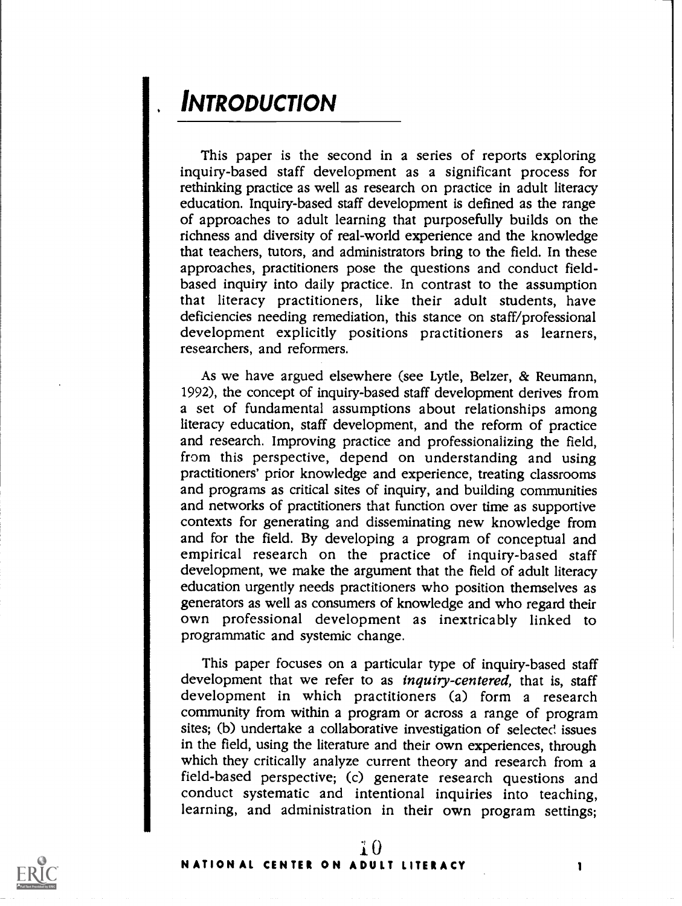# **INTRODUCTION**

This paper is the second in a series of reports exploring inquiry-based staff development as a significant process for rethinking practice as well as research on practice in adult literacy education. Inquiry-based staff development is defined as the range of approaches to adult learning that purposefully builds on the richness and diversity of real-world experience and the knowledge that teachers, tutors, and administrators bring to the field. In these approaches, practitioners pose the questions and conduct fieldbased inquiry into daily practice. In contrast to the assumption that literacy practitioners, like their adult students, have deficiencies needing remediation, this stance on staff/professional development explicitly positions practitioners as learners, researchers, and reformers.

As we have argued elsewhere (see Lytle, Belzer, & Reumann, 1992), the concept of inquiry-based staff development derives from a set of fundamental assumptions about relationships among literacy education, staff development, and the reform of practice and research. Improving practice and professionalizing the field, from this perspective, depend on understanding and using practitioners' prior knowledge and experience, treating classrooms and programs as critical sites of inquiry, and building communities and networks of practitioners that function over time as supportive contexts for generating and disseminating new knowledge from and for the field. By developing a program of conceptual and empirical research on the practice of inquiry-based staff development, we make the argument that the field of adult literacy education urgently needs practitioners who position themselves as generators as well as consumers of knowledge and who regard their own professional development as inextricably linked to programmatic and systemic change.

This paper focuses on a particular type of inquiry-based staff development that we refer to as *inquiry-centered*, that is, staff development in which practitioners (a) form a research community from within a program or across a range of program sites; (b) undertake a collaborative investigation of selected issues in the field, using the literature and their own experiences, through which they critically analyze current theory and research from a field-based perspective; (c) generate research questions and conduct systematic and intentional inquiries into teaching, learning, and administration in their own program settings;

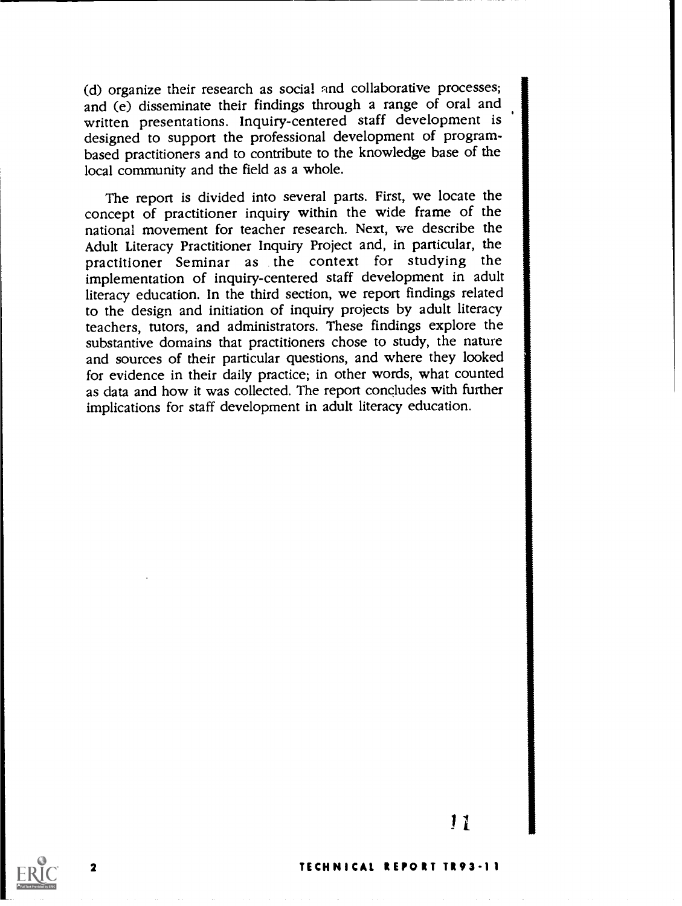(d) organize their research as social and collaborative processes; and (e) disseminate their findings through a range of oral and written presentations. Inquiry-centered staff development is designed to support the professional development of programbased practitioners and to contribute to the knowledge base of the local community and the field as a whole.

The report is divided into several parts. First, we locate the concept of practitioner inquiry within the wide frame of the national movement for teacher research. Next, we describe the Adult Literacy Practitioner Inquiry Project and, in particular, the practitioner Seminar as the context for studying the implementation of inquiry-centered staff development in adult literacy education. In the third section, we report findings related to the design and initiation of inquiry projects by adult literacy teachers, tutors, and administrators. These findings explore the substantive domains that practitioners chose to study, the nature and sources of their particular questions, and where they looked for evidence in their daily practice; in other words, what counted as data and how it was collected. The report concludes with further implications for staff development in adult literacy education.



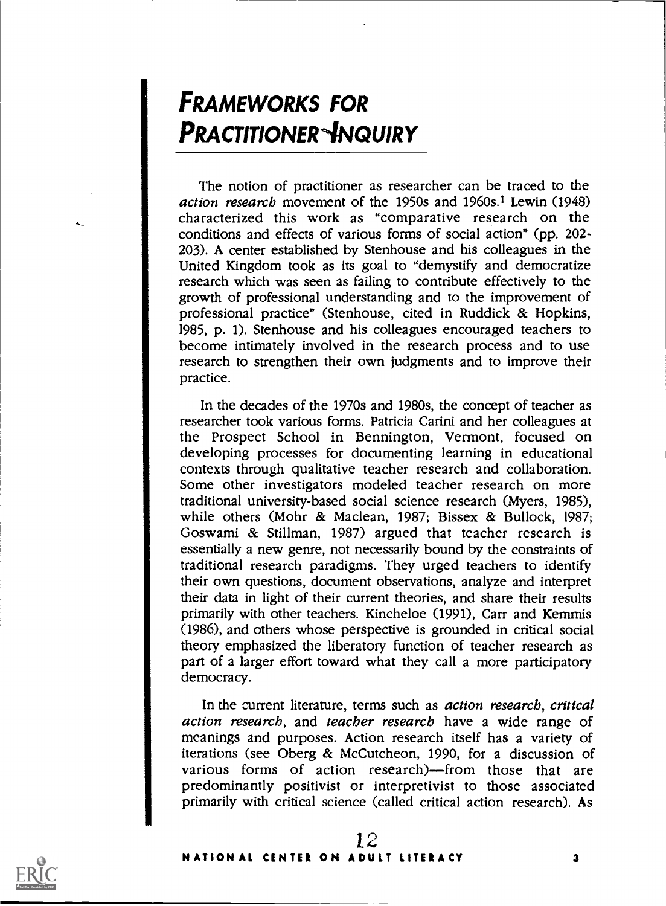# FRAMEWORKS FOR **PRACTITIONER ANQUIRY**

The notion of practitioner as researcher can be traced to the action research movement of the 1950s and 1960s.1 Lewin (1948) characterized this work as "comparative research on the conditions and effects of various forms of social action" (pp. 202- 203). A center established by Stenhouse and his colleagues in the United Kingdom took as its goal to "demystify and democratize research which was seen as failing to contribute effectively to the growth of professional understanding and to the improvement of professional practice" (Stenhouse, cited in Ruddick & Hopkins, 1985, p. 1). Stenhouse and his colleagues encouraged teachers to become intimately involved in the research process and to use research to strengthen their own judgments and to improve their practice.

In the decades of the 1970s and 1980s, the concept of teacher as researcher took various forms. Patricia Carini and her colleagues at the Prospect School in Bennington, Vermont, focused on developing processes for documenting learning in educational contexts through qualitative teacher research and collaboration. Some other investigators modeled teacher research on more traditional university-based social science research (Myers, 1985), while others (Mohr & Maclean, 1987; Bissex & Bullock, 1987; Goswami & Stillman, 1987) argued that teacher research is essentially a new genre, not necessarily bound by the constraints of traditional research paradigms. They urged teachers to identify their own questions, document observations, analyze and interpret their data in light of their current theories, and share their results primarily with other teachers. Kincheloe (1991), Carr and Kemmis (1986), and others whose perspective is grounded in critical social theory emphasized the liberatory function of teacher research as part of a larger effort toward what they call a more participatory democracy.

In the current literature, terms such as *action research*, critical action research, and teacher research have a wide range of meanings and purposes. Action research itself has a variety of iterations (see Oberg  $\&$  McCutcheon, 1990, for a discussion of various forms of action research)—from those that are predominantly positivist or interpretivist to those associated primarily with critical science (called critical action research). As

 $1 \zeta$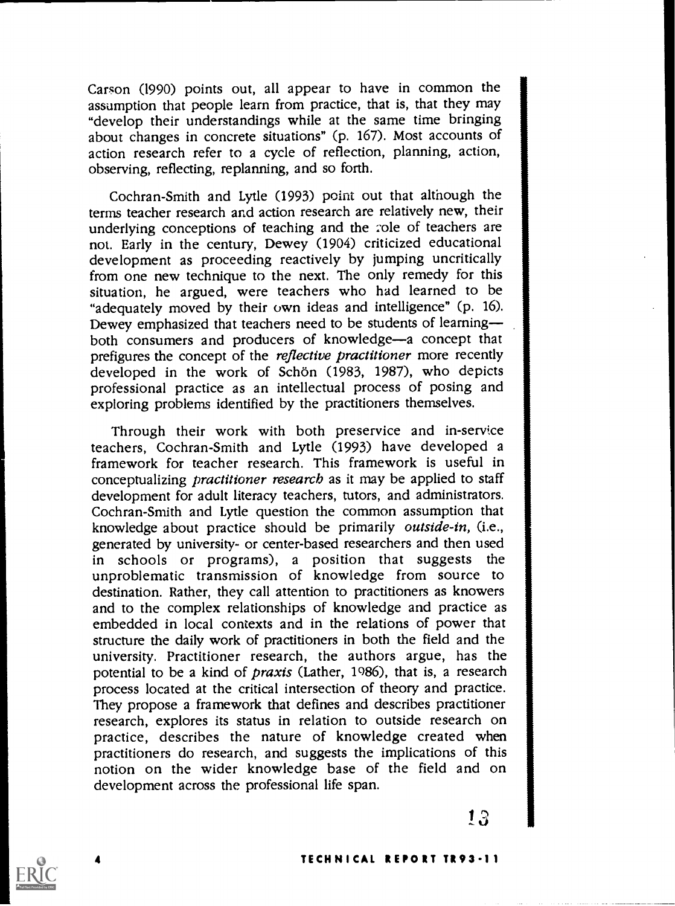Carson (1990) points out, all appear to have in common the assumption that people learn from practice, that is, that they may "develop their understandings while at the same time bringing about changes in concrete situations" (p. 167). Most accounts of action research refer to a cycle of reflection, planning, action, observing, reflecting, replanning, and so forth.

Cochran-Smith and Lytle (1993) point out that although the terms teacher research and action research are relatively new, their underlying conceptions of teaching and the 2ole of teachers are not. Early in the century, Dewey (1904) criticized educational development as proceeding reactively by jumping uncritically from one new technique to the next. The only remedy for this situation, he argued, were teachers who had learned to be "adequately moved by their own ideas and intelligence" (p. 16). Dewey emphasized that teachers need to be students of learning both consumers and producers of knowledge-a concept that prefigures the concept of the *reflective practitioner* more recently developed in the work of Schön (1983, 1987), who depicts professional practice as an intellectual process of posing and exploring problems identified by the practitioners themselves.

Through their work with both preservice and in-service teachers, Cochran-Smith and Lytle (1993) have developed a framework for teacher research. This framework is useful in conceptualizing practitioner research as it may be applied to staff development for adult literacy teachers, tutors, and administrators. Cochran-Smith and Lytle question the common assumption that knowledge about practice should be primarily outside-in, (i.e., generated by university- or center-based researchers and then used in schools or programs), a position that suggests the unproblematic transmission of knowledge from source to destination. Rather, they call attention to practitioners as knowers and to the complex relationships of knowledge and practice as embedded in local contexts and in the relations of power that structure the daily work of practitioners in both the field and the university. Practitioner research, the authors argue, has the potential to be a kind of *praxis* (Lather, 1986), that is, a research process located at the critical intersection of theory and practice. They propose a framework that defines and describes practitioner research, explores its status in relation to outside research on practice, describes the nature of knowledge created when practitioners do research, and suggests the implications of this notion on the wider knowledge base of the field and on development across the professional life span.

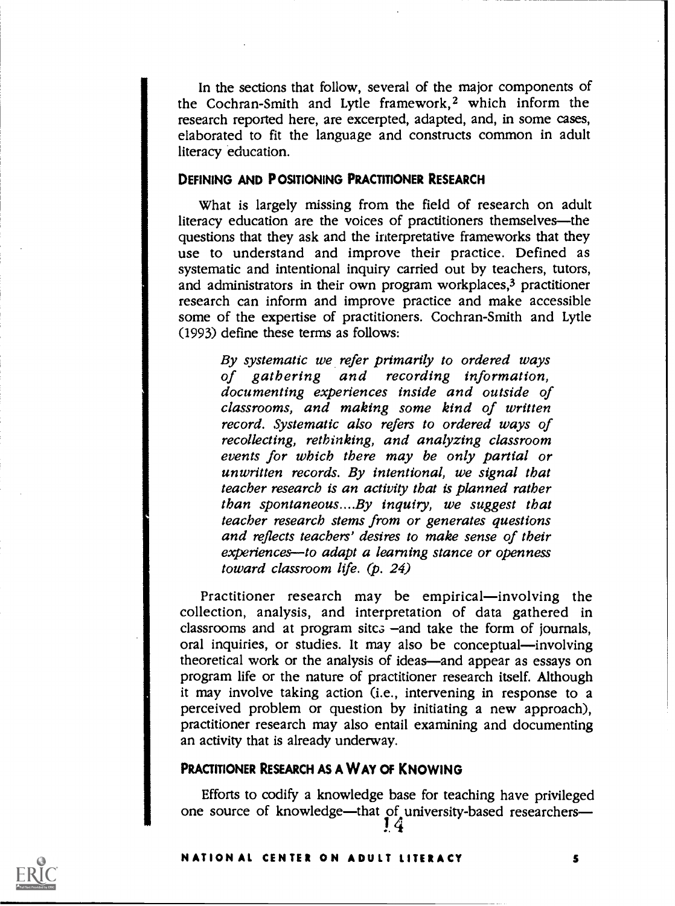In the sections that follow, several of the major components of the Cochran-Smith and Lytle framework,2 which inform the research reported here, are excerpted, adapted, and, in some cases, elaborated to fit the language and constructs common in adult literacy education.

### DEFINING AND POSITIONING PRACTITIONER RESEARCH

What is largely missing from the field of research on adult literacy education are the voices of practitioners themselves-the questions that they ask and the interpretative frameworks that they use to understand and improve their practice. Defined as systematic and intentional inquiry carried out by teachers, tutors, and administrators in their own program workplaces,3 practitioner research can inform and improve practice and make accessible some of the expertise of practitioners. Cochran-Smith and Lytle (1993) define these terms as follows:

By systematic we refer primarily to ordered ways of gathering and recording information, classrooms, and making some kind of written record. Systematic also refers to ordered ways of recollecting, rethinking, and analyzing classroom events for which there may be only partial or unwritten records. By intentional, we signal that teacher research is an activity that is planned rather than spontaneous....By inquiry, we suggest that teacher research stems from or generates questions and reflects teachers' desires to make sense of their experiences-to adapt a learning stance or openness toward classroom life. (p. 24)

Practitioner research may be empirical—involving the collection, analysis, and interpretation of data gathered in classrooms and at program sitc. $\frac{1}{2}$  -and take the form of journals, oral inquiries, or studies. It may also be conceptual-involving theoretical work or the analysis of ideas—and appear as essays on program life or the nature of practitioner research itself. Although it may involve taking action (i.e., intervening in response to a perceived problem or question by initiating a new approach), practitioner research may also entail examining and documenting an activity that is already underway.

### PRACTITIONER RESEARCH AS A WAY OF KNOWING

Efforts to codify a knowledge base for teaching have privileged one source of knowledge-that of university-based researchers- $14$ 4

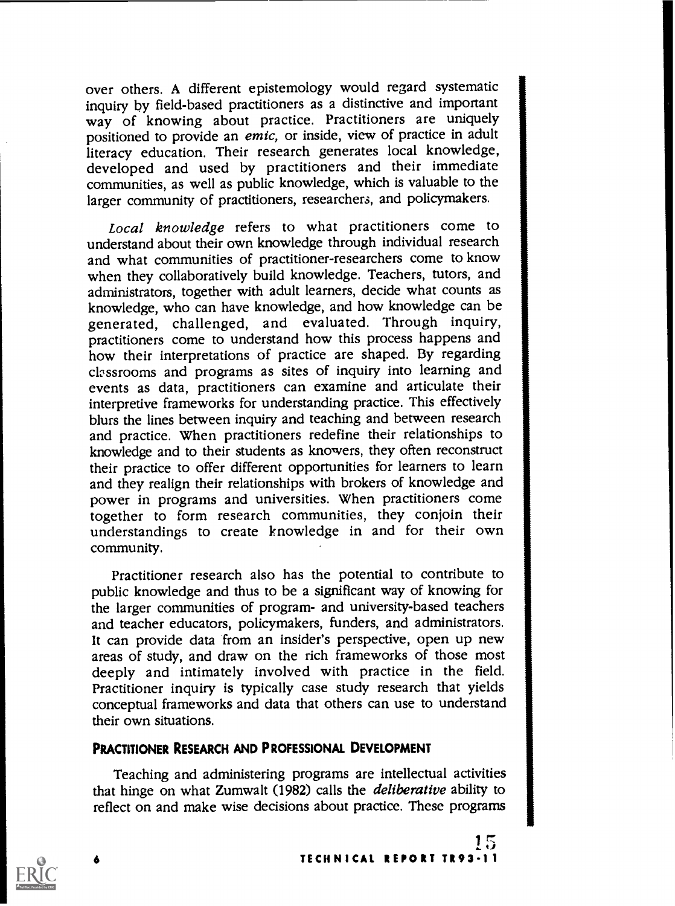over others. A different epistemology would regard systematic inquiry by field-based practitioners as a distinctive and important way of knowing about practice. Practitioners are uniquely positioned to provide an emic, or inside, view of practice in adult literacy education. Their research generates local knowledge, developed and used by practitioners and their immediate communities, as well as public knowledge, which is valuable to the larger community of practitioners, researchers, and policymakers.

Local knowledge refers to what practitioners come to understand about their own knowledge through individual research and what communities of practitioner-researchers come to know when they collaboratively build knowledge. Teachers, tutors, and administrators, together with adult learners, decide what counts as knowledge, who can have knowledge, and how knowledge can be generated, challenged, and evaluated. Through inquiry, practitioners come to understand how this process happens and how their interpretations of practice are shaped. By regarding classrooms and programs as sites of inquiry into learning and events as data, practitioners can examine and articulate their interpretive frameworks for understanding practice. This effectively blurs the lines between inquiry and teaching and between research and practice. When practitioners redefine their relationships to knowledge and to their students as knowers, they often reconstruct their practice to offer different opportunities for learners to learn and they realign their relationships with brokers of knowledge and power in programs and universities. When practitioners come understandings to create knowledge in and for their own community.

Practitioner research also has the potential to contribute to public knowledge and thus to be a significant way of knowing for the larger communities of program- and university-based teachers and teacher educators, policymakers, funders, and administrators. It can provide data from an insider's perspective, open up new areas of study, and draw on the rich frameworks of those most deeply and intimately involved with practice in the field. Practitioner inquiry is typically case study research that yields conceptual frameworks and data that others can use to understand their own situations.

### PRACTITIONER RESEARCH AND PROFESSIONAL DEVELOPMENT

Teaching and administering programs are intellectual activities that hinge on what Zumwalt (1982) calls the deliberative ability to reflect on and make wise decisions about practice. These programs

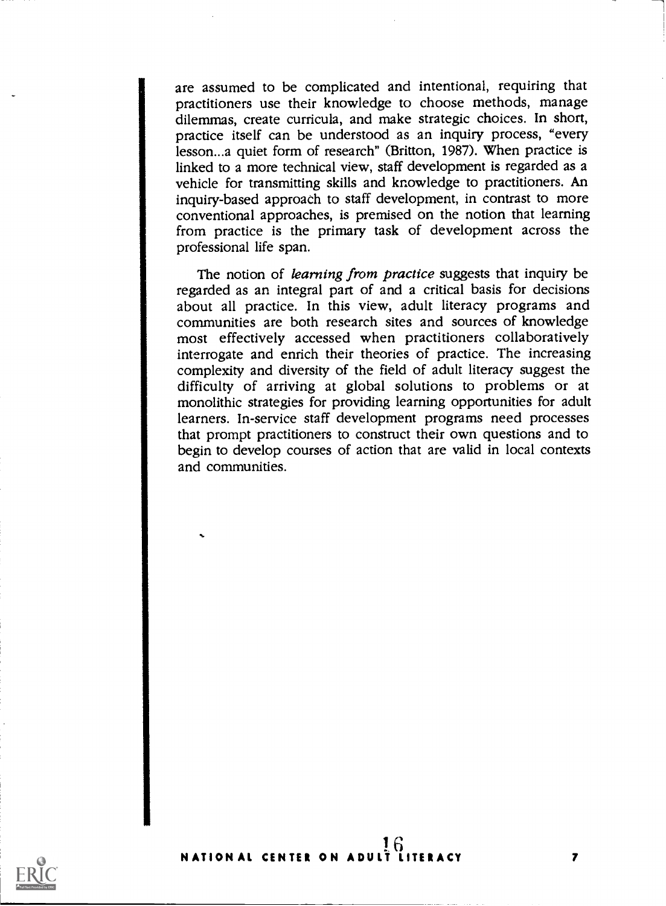are assumed to be complicated and intentional, requiring that practitioners use their knowledge to choose methods, manage dilemmas, create curricula, and make strategic choices. In short, practice itself can be understood as an inquiry process, "every lesson...a quiet form of research" (Britton, 1987). When practice is linked to a more technical view, staff development is regarded as a vehicle for transmitting skills and knowledge to practitioners. An inquiry-based approach to staff development, in contrast to more conventional approaches, is premised on the notion that learning from practice is the primary task of development across the professional life span.

The notion of learning from practice suggests that inquiry be regarded as an integral part of and a critical basis for decisions about all practice. In this view, adult literacy programs and communities are both research sites and sources of knowledge most effectively accessed when practitioners collaboratively interrogate and enrich their theories of practice. The increasing complexity and diversity of the field of adult literacy suggest the difficulty of arriving at global solutions to problems or at monolithic strategies for providing learning opportunities for adult learners. In-service staff development programs need processes that prompt practitioners to construct their own questions and to begin to develop courses of action that are valid in local contexts and communities.

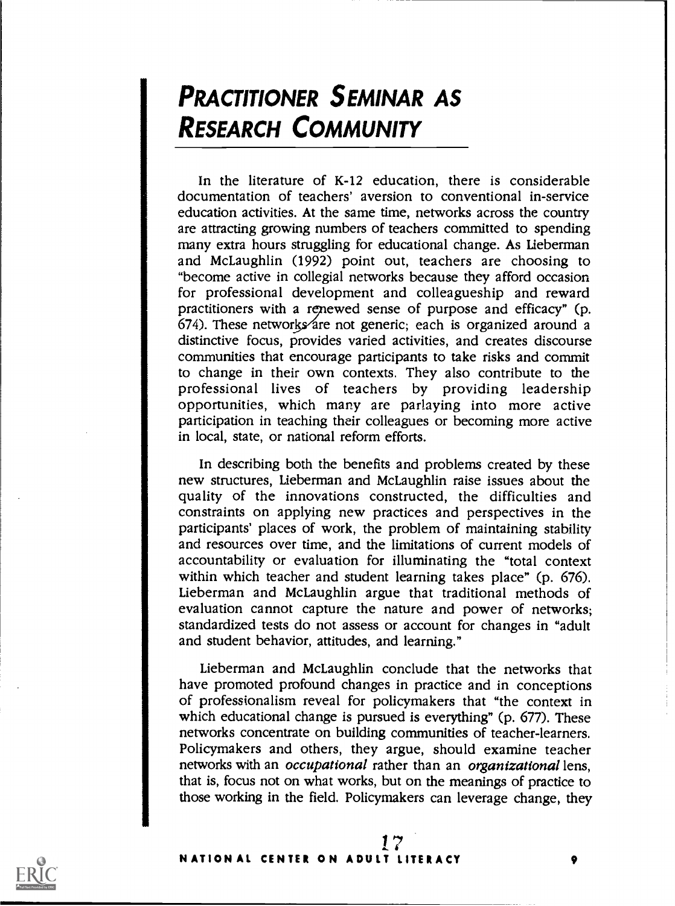# PRACTITIONER SEMINAR AS RESEARCH COMMUNITY

In the literature of K-12 education, there is considerable documentation of teachers' aversion to conventional in-service education activities. At the same time, networks across the country are attracting growing numbers of teachers committed to spending many extra hours struggling for educational change. As Lieberman and McLaughlin (1992) point out, teachers are choosing to "become active in collegial networks because they afford occasion for professional development and colleagueship and reward practitioners with a renewed sense of purpose and efficacy" (p. 674). These networks are not generic; each is organized around a distinctive focus, provides varied activities, and creates discourse communities that encourage participants to take risks and commit to change in their own contexts. They also contribute to the professional lives of teachers by providing leadership opportunities, which many are parlaying into more active participation in teaching their colleagues or becoming more active in local, state, or national reform efforts.

In describing both the benefits and problems created by these new structures, Lieberman and McLaughlin raise issues about the quality of the innovations constructed, the difficulties and constraints on applying new practices and perspectives in the participants' places of work, the problem of maintaining stability and resources over time, and the limitations of current models of accountability or evaluation for illuminating the "total context within which teacher and student learning takes place" (p. 676). Lieberman and McLaughlin argue that traditional methods of evaluation cannot capture the nature and power of networks; standardized tests do not assess or account for changes in "adult and student behavior, attitudes, and learning."

Lieberman and McLaughlin conclude that the networks that have promoted profound changes in practice and in conceptions of professionalism reveal for policymakers that "the context in which educational change is pursued is everything" (p. 677). These networks concentrate on building communities of teacher-learners. Policymakers and others, they argue, should examine teacher networks with an *occupational* rather than an *organizational* lens, that is, focus not on what works, but on the meanings of practice to those working in the field. Policymakers can leverage change, they

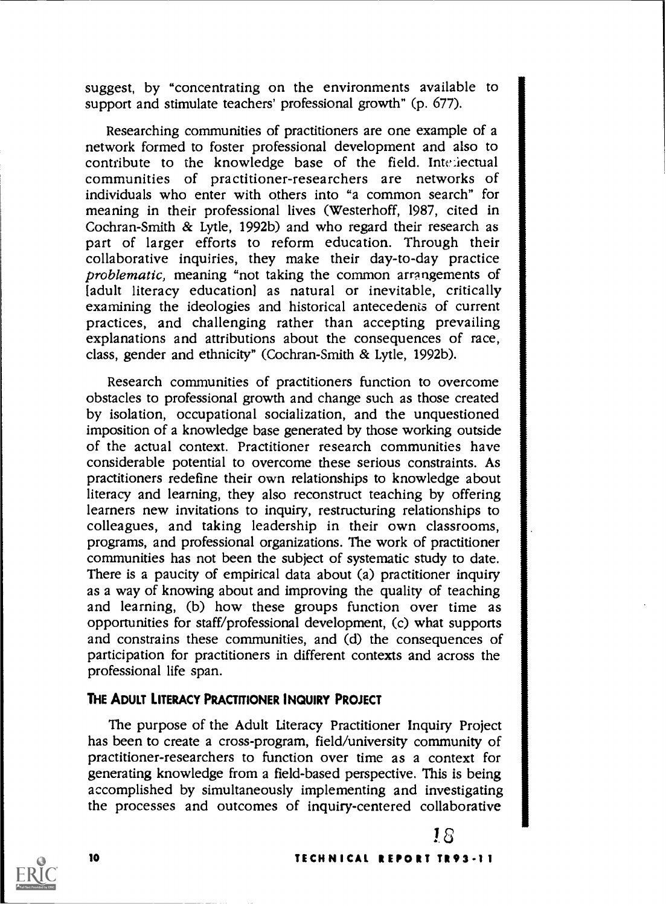suggest, by "concentrating on the environments available to support and stimulate teachers' professional growth" (p. 677).

Researching communities of practitioners are one example of a network formed to foster professional development and also to contribute to the knowledge base of the field. Intr:iectual communities of practitioner-researchers are networks of individuals who enter with others into "a common search" for meaning in their professional lives (Westerhoff, 1987, cited in Cochran-Smith & Lytle, 1992b) and who regard their research as part of larger efforts to reform education. Through their collaborative inquiries, they make their day-to-day practice problematic, meaning "not taking the common arrangements of [adult literacy education] as natural or inevitable, critically examining the ideologies and historical antecedenis of current practices, and challenging rather than accepting prevailing explanations and attributions about the consequences of race, class, gender and ethnicity" (Cochran-Smith & Lytle, 1992b).

Research communities of practitioners function to overcome obstacles to professional growth and change such as those created by isolation, occupational socialization, and the unquestioned imposition of a knowledge base generated by those working outside of the actual context. Practitioner research communities have considerable potential to overcome these serious constraints. As practitioners redefine their own relationships to knowledge about literacy and learning, they also reconstruct teaching by offering learners new invitations to inquiry, restructuring relationships to colleagues, and taking leadership in their own classrooms, programs, and professional organizations. The work of practitioner communities has not been the subject of systematic study to date. There is a paucity of empirical data about (a) practitioner inquiry as a way of knowing about and improving the quality of teaching and learning, (b) how these groups function over time as opportunities for staff/professional development, (c) what supports and constrains these communities, and (d) the consequences of participation for practitioners in different contexts and across the professional life span.

### THE ADULT LITERACY PRACTITIONER INQUIRY PROJECT

The purpose of the Adult Literacy Practitioner Inquiry Project has been to create a cross-program, field/university community of practitioner-researchers to function over time as a context for generating knowledge from a field-based perspective. This is being accomplished by simultaneously implementing and investigating the processes and outcomes of inquiry-centered collaborative



### <sup>10</sup> TECHNICAL REPORT TR93-11

18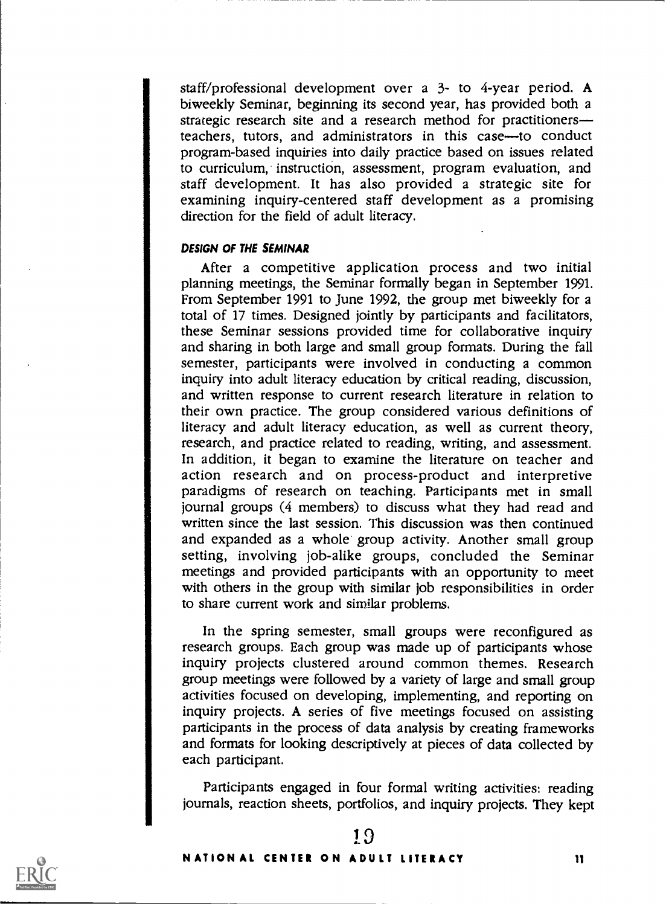staff/professional development over a 3- to 4-year period. A biweekly Seminar, beginning its second year, has provided both a strategic research site and a research method for practitioners teachers, tutors, and administrators in this case-to conduct program-based inquiries into daily practice based on issues related to curriculum, instruction, assessment, program evaluation, and staff development. It has also provided a strategic site for examining inquiry-centered staff development as a promising direction for the field of adult literacy.

### DESIGN OF THE SEMINAR

After a competitive application process and two initial planning meetings, the Seminar formally began in September 1991. From September 1991 to June 1992, the group met biweekly for a total of 17 times. Designed jointly by participants and facilitators, these Seminar sessions provided time for collaborative inquiry and sharing in both large and small group formats. During the fall semester, participants were involved in conducting a common inquiry into adult literacy education by critical reading, discussion, and written response to current research literature in relation to their own practice. The group considered various definitions of literacy and adult literacy education, as well as current theory, research, and practice related to reading, writing, and assessment. In addition, it began to examine the literature on teacher and action research and on process-product and interpretive paradigms of research on teaching. Participants met in small journal groups (4 members) to discuss what they had read and written since the last session. This discussion was then continued and expanded as a whole group activity. Another small group setting, involving job-alike groups, concluded the Seminar meetings and provided participants with an opportunity to meet with others in the group with similar job responsibilities in order to share current work and similar problems.

In the spring semester, small groups were reconfigured as research groups. Each group was made up of participants whose inquiry projects clustered around common themes. Research group meetings were followed by a variety of large and small group activities focused on developing, implementing, and reporting on inquiry projects. A series of five meetings focused on assisting participants in the process of data analysis by creating frameworks and formats for looking descriptively at pieces of data collected by each participant.

Participants engaged in four formal writing activities: reading journals, reaction sheets, portfolios, and inquiry projects. They kept



19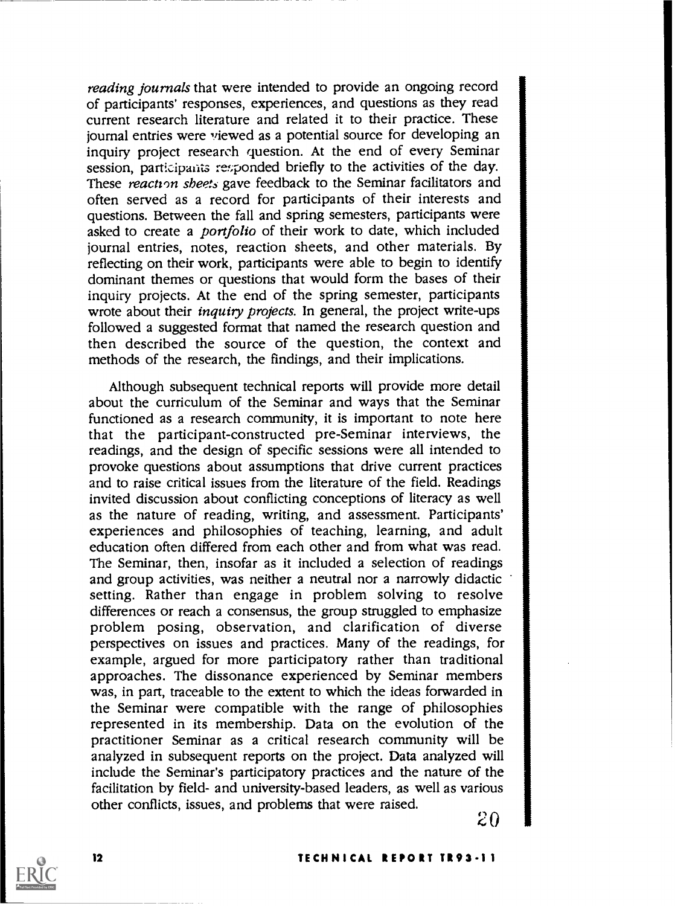reading journals that were intended to provide an ongoing record of participants' responses, experiences, and questions as they read current research literature and related it to their practice. These journal entries were viewed as a potential source for developing an inquiry project research question. At the end of every Seminar session, participants responded briefly to the activities of the day. These reaction sheets gave feedback to the Seminar facilitators and often served as a record for participants of their interests and questions. Between the fall and spring semesters, participants were asked to create a *portfolio* of their work to date, which included journal entries, notes, reaction sheets, and other materials. By reflecting on their work, participants were able to begin to identify dominant themes or questions that would form the bases of their inquiry projects. At the end of the spring semester, participants wrote about their *inquiry projects*. In general, the project write-ups followed a suggested format that named the research question and then described the source of the question, the context and methods of the research, the findings, and their implications.

Although subsequent technical reports will provide more detail about the curriculum of the Seminar and ways that the Seminar functioned as a research community, it is important to note here that the participant-constructed pre-Seminar interviews, the readings, and the design of specific sessions were all intended to provoke questions about assumptions that drive current practices and to raise critical issues from the literature of the field. Readings invited discussion about conflicting conceptions of literacy as well as the nature of reading, writing, and assessment. Participants' experiences and philosophies of teaching, learning, and adult education often differed from each other and from what was read. The Seminar, then, insofar as it included a selection of readings and group activities, was neither a neutral nor a narrowly didactic setting. Rather than engage in problem solving to resolve differences or reach a consensus, the group struggled to emphasize problem posing, observation, and clarification of diverse perspectives on issues and practices. Many of the readings, for example, argued for more participatory rather than traditional approaches. The dissonance experienced by Seminar members was, in part, traceable to the extent to which the ideas forwarded in the Seminar were compatible with the range of philosophies represented in its membership. Data on the evolution of the practitioner Seminar as a critical research community will be analyzed in subsequent reports on the project. Data analyzed will include the Seminar's participatory practices and the nature of the facilitation by field- and university-based leaders, as well as various other conflicts, issues, and problems that were raised.  $20$ 

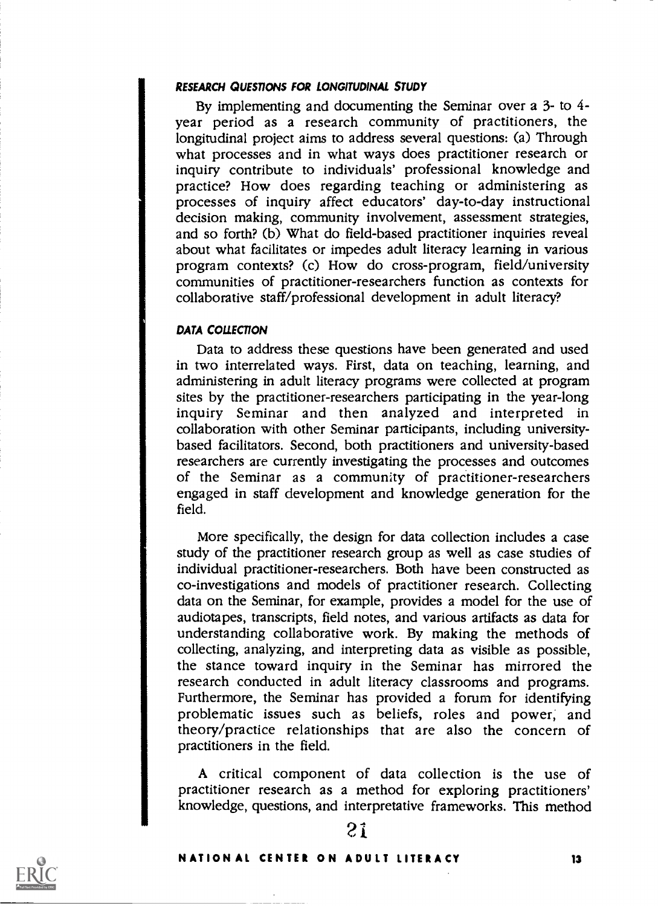### RESEARCH QUESTIONS FOR LONGITUDINAL STUDY

By implementing and documenting the Seminar over a 3- to 4 year period as a research community of practitioners, the longitudinal project aims to address several questions: (a) Through what processes and in what ways does practitioner research or inquiry contribute to individuals' professional knowledge and practice? How does regarding teaching or administering as processes of inquiry affect educators' day-to-day instructional decision making, community involvement, assessment strategies, and so forth? (b) What do field-based practitioner inquiries reveal about what facilitates or impedes adult literacy learning in various program contexts? (c) How do cross-program, field/university communities of practitioner-researchers function as contexts for collaborative staff/professional development in adult literacy?

### DATA COLLECTION

Data to address these questions have been generated and used in two interrelated ways. First, data on teaching, learning, and administering in adult literacy programs were collected at program sites by the practitioner-researchers participating in the year-long inquiry Seminar and then analyzed and interpreted in collaboration with other Seminar participants, including universitybased facilitators. Second, both practitioners and university-based researchers are currently investigating the processes and outcomes of the Seminar as a community of practitioner-researchers engaged in staff development and knowledge generation for the field.

More specifically, the design for data collection includes a case study of the practitioner research group as well as case studies of individual practitioner-researchers. Both have been constructed as co-investigations and models of practitioner research. Collecting data on the Seminar, for example, provides a model for the use of audiotapes, transcripts, field notes, and various artifacts as data for understanding collaborative work. By making the methods of collecting, analyzing, and interpreting data as visible as possible, the stance toward inquiry in the Seminar has mirrored the research conducted in adult literacy classrooms and programs. Furthermore, the Seminar has provided a forum for identifying problematic issues such as beliefs, roles and power, and theory/practice relationships that are also the concern of practitioners in the field.

A critical component of data collection is the use of practitioner research as a method for exploring practitioners' knowledge, questions, and interpretative frameworks. This method



# 21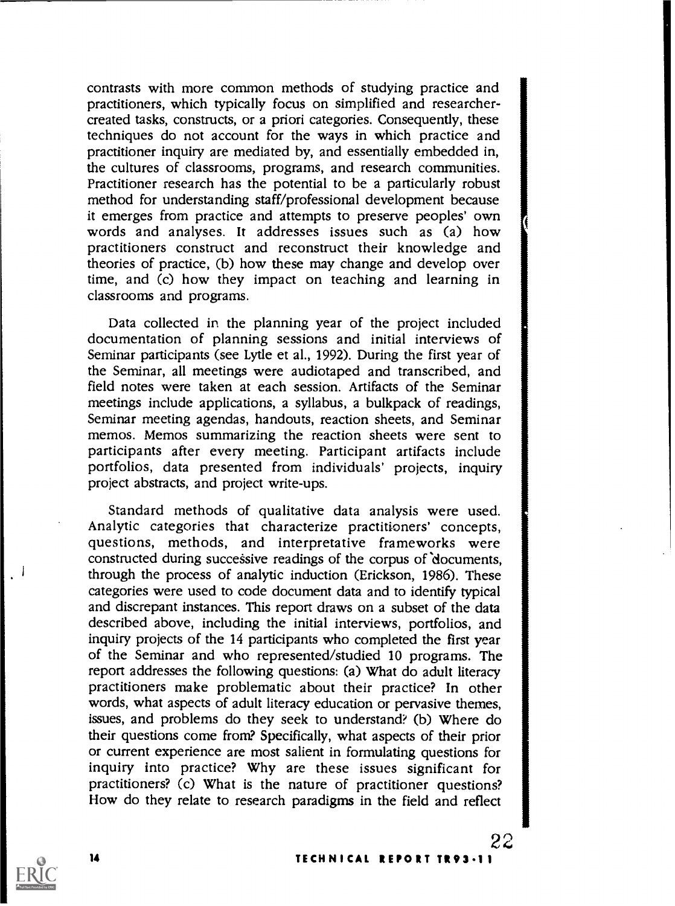contrasts with more common methods of studying practice and practitioners, which typically focus on simplified and researchercreated tasks, constructs, or a priori categories. Consequently, these techniques do not account for the ways in which practice and practitioner inquiry are mediated by, and essentially embedded in, the cultures of classrooms, programs, and research communities. Practitioner research has the potential to be a particularly robust method for understanding staff/professional development because it emerges from practice and attempts to preserve peoples' own words and analyses. It addresses issues such as (a) how practitioners construct and reconstruct their knowledge and theories of practice, (b) how these may change and develop over time, and (c) how they impact on teaching and learning in classrooms and programs.

Data collected in the planning year of the project included documentation of planning sessions and initial interviews of Seminar participants (see Lytle et al., 1992). During the first year of the Seminar, all meetings were audiotaped and transcribed, and field notes were taken at each session. Artifacts of the Seminar meetings include applications, a syllabus, a bulkpack of readings, Seminar meeting agendas, handouts, reaction sheets, and Seminar memos. Memos summarizing the reaction sheets were sent to participants after every meeting. Participant artifacts include portfolios, data presented from individuals' projects, inquiry project abstracts, and project write-ups.

Standard methods of qualitative data analysis were used. Analytic categories that characterize practitioners' concepts, questions, methods, and interpretative frameworks were constructed during successive readings of the corpus of documents, through the process of analytic induction (Erickson, 1986). These categories were used to code document data and to identify typical and discrepant instances. This report draws on a subset of the data described above, including the initial interviews, portfolios, and inquiry projects of the 14 participants who completed the first year of the Seminar and who represented/studied 10 programs. The report addresses the following questions: (a) What do adult literacy practitioners make problematic about their practice? In other words, what aspects of adult literacy education or pervasive themes, issues, and problems do they seek to understand? (b) Where do their questions come from? Specifically, what aspects of their prior or current experience are most salient in formulating questions for inquiry into practice? Why are these issues significant for practitioners? (c) What is the nature of practitioner questions? How do they relate to research paradigms in the field and reflect



14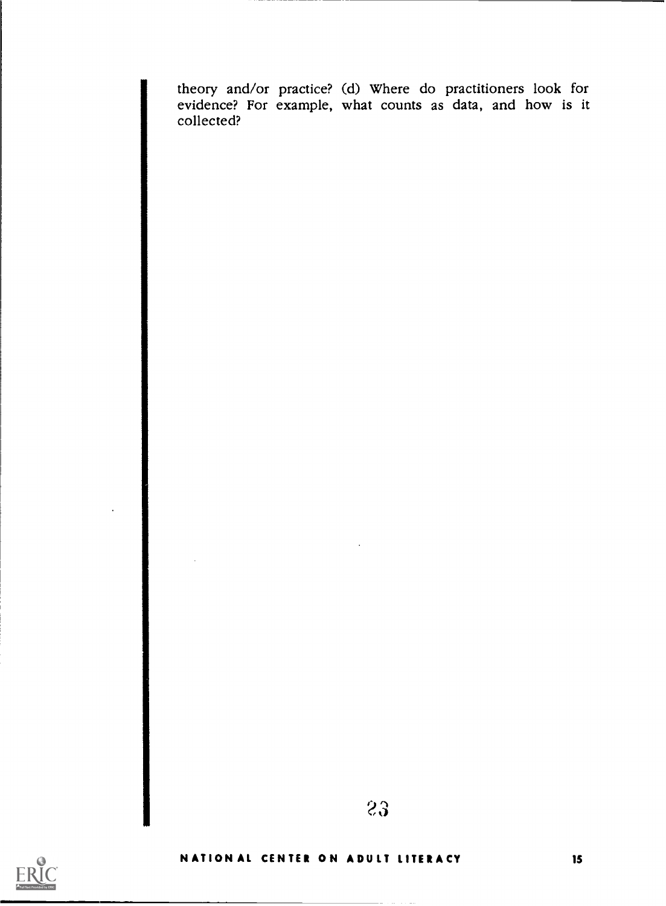theory and/or practice? (d) Where do practitioners look for evidence? For example, what counts as data, and how is it collected?



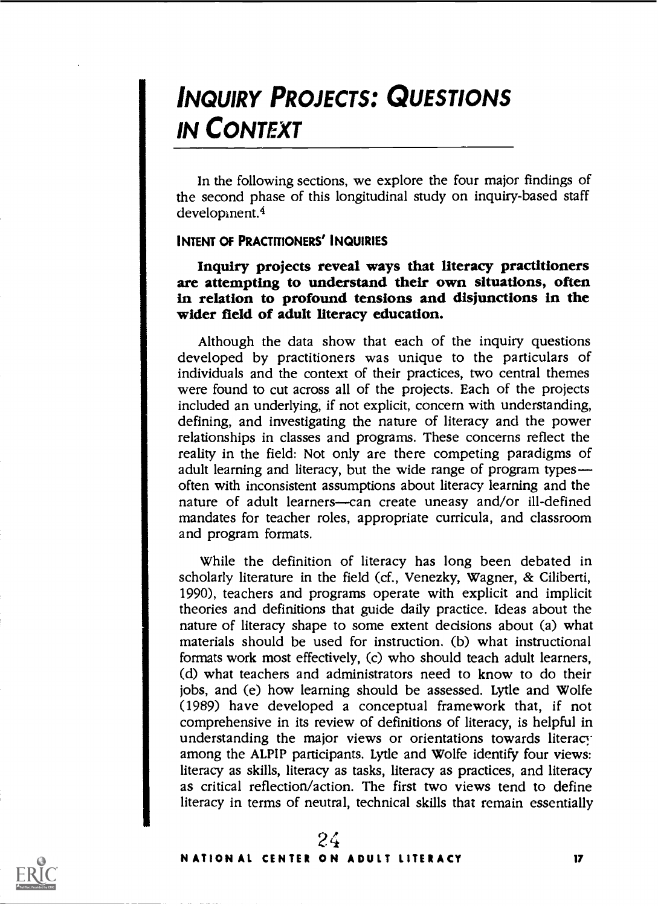# INQUIRY PROJECTS: QUESTIONS IN CONTEXT

In the following sections, we explore the four major findings of the second phase of this longitudinal study on inquiry-based staff developinent.4

### INTENT OF PRACTITIONERS' INQUIRIES

Inquiry projects reveal ways that literacy practitioners are attempting to understand their own situations, often in relation to profound tensions and disjunctions in the wider field of adult literacy education.

Although the data show that each of the inquiry questions developed by practitioners was unique to the particulars of individuals and the context of their practices, two central themes were found to cut across all of the projects. Each of the projects included an underlying, if not explicit, concern with understanding, defining, and investigating the nature of literacy and the power relationships in classes and programs. These concerns reflect the reality in the field: Not only are there competing paradigms of adult learning and literacy, but the wide range of program types often with inconsistent assumptions about literacy learning and the nature of adult learners-can create uneasy and/or ill-defined mandates for teacher roles, appropriate curricula, and classroom and program formats.

While the definition of literacy has long been debated in scholarly literature in the field (cf., Venezky, Wagner, & Ciliberti, 1990), teachers and programs operate with explicit and implicit theories and definitions that guide daily practice. Ideas about the nature of literacy shape to some extent decisions about (a) what materials should be used for instruction. (b) what instructional formats work most effectively, (c) who should teach adult learners, (d) what teachers and administrators need to know to do their jobs, and (e) how learning should be assessed. Lytle and Wolfe (1989) have developed a conceptual framework that, if not comprehensive in its review of definitions of literacy, is helpful in understanding the major views or orientations towards literacy among the ALPIP participants. Lytle and Wolfe identify four views: literacy as skills, literacy as tasks, literacy as practices, and literacy as critical reflection/action. The first two views tend to define literacy in terms of neutral, technical skills that remain essentially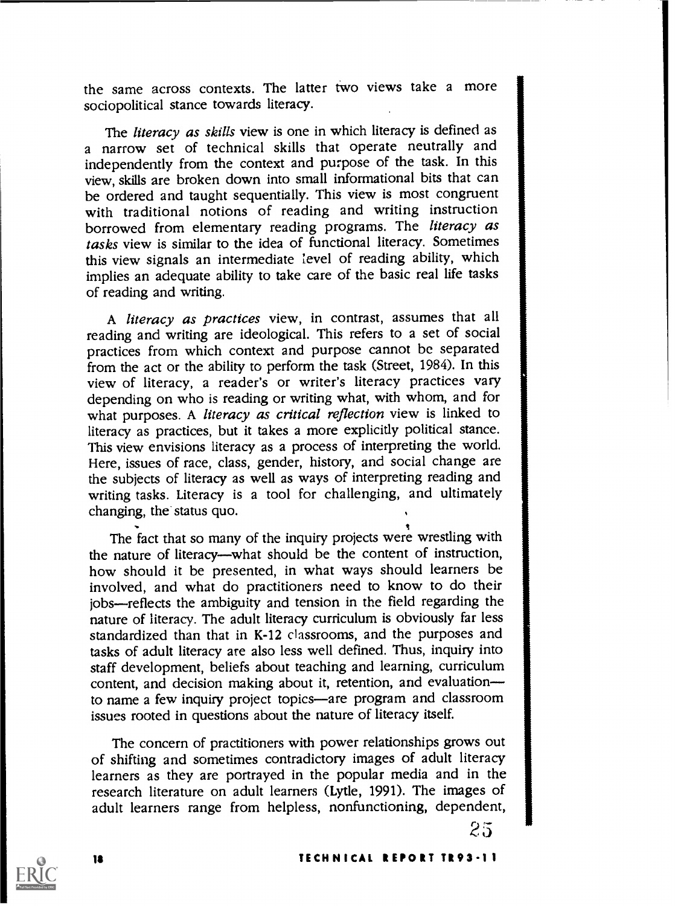the same across contexts. The latter two views take a more sociopolitical stance towards literacy.

The *literacy as skills* view is one in which literacy is defined as a narrow set of technical skills that operate neutrally and independently from the context and purpose of the task. In this view, skills are broken down into small informational bits that can be ordered and taught sequentially. This view is most congruent with traditional notions of reading and writing instruction borrowed from elementary reading programs. The literacy as tasks view is similar to the idea of functional literacy. Sometimes this view signals an intermediate level of reading ability, which implies an adequate ability to take care of the basic real life tasks of reading and writing.

A literacy as practices view, in contrast, assumes that all reading and writing are ideological. This refers to a set of social practices from which context and purpose cannot be separated from the act or the ability to perform the task (Street, 1984). In this view of literacy, a reader's or writer's literacy practices vary depending on who is reading or writing what, with whom, and for what purposes. A literacy as critical reflection view is linked to literacy as practices, but it takes a more explicitly political stance. This view envisions literacy as a process of interpreting the world. Here, issues of race, class, gender, history, and social change are the subjects of literacy as well as ways of interpreting reading and writing tasks. Literacy is a tool for challenging, and ultimately changing, the status quo.

The fact that so many of the inquiry projects were wrestling with the nature of literacy—what should be the content of instruction, how should it be presented, in what ways should learners be involved, and what do practitioners need to know to do their jobs—reflects the ambiguity and tension in the field regarding the nature of literacy. The adult literacy curriculum is obviously far less standardized than that in K-12 classrooms, and the purposes and tasks of adult literacy are also less well defined. Thus, inquiry into staff development, beliefs about teaching and learning, curriculum content, and decision making about it, retention, and evaluation to name a few inquiry project topics—are program and classroom issues rooted in questions about the nature of literacy itself.

The concern of practitioners with power relationships grows out of shifting and sometimes contradictory images of adult literacy learners as they are portrayed in the popular media and in the research literature on adult learners (Lytle, 1991). The images of adult learners range from helpless, nonfunctioning, dependent,

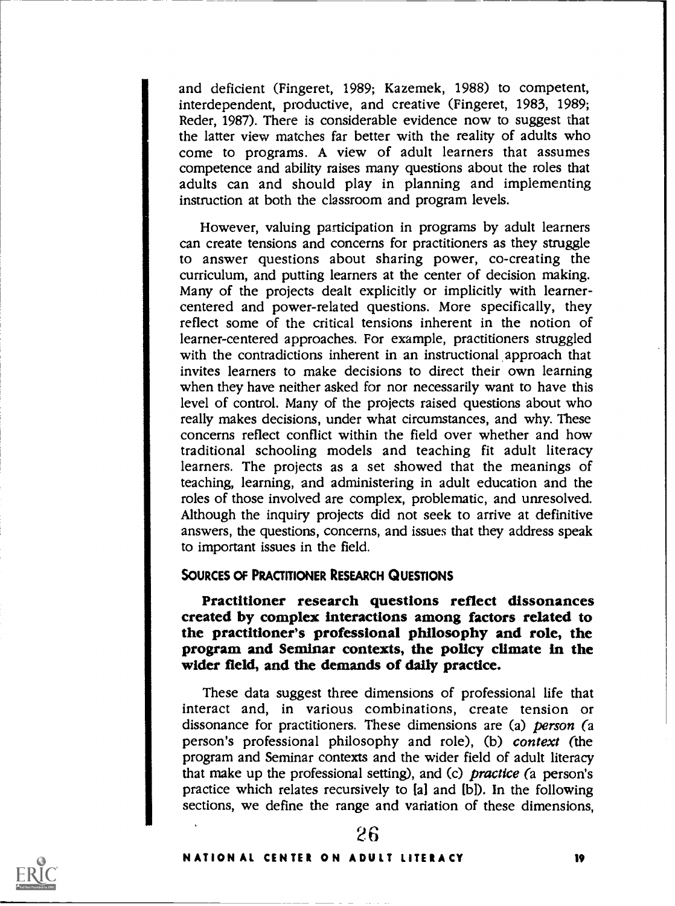and deficient (Fingeret, 1989; Kazemek, 1988) to competent, interdependent, productive, and creative (Fingeret, 1983, 1989; Reder, 1987). There is considerable evidence now to suggest that the latter view matches far better with the reality of adults who come to programs. A view of adult learners that assumes competence and ability raises many questions about the roles that adults can and should play in planning and implementing instruction at both the classroom and program levels.

However, valuing participation in programs by adult learners can create tensions and concerns for practitioners as they struggle to answer questions about sharing power, co-creating the curriculum, and putting learners at the center of decision making. Many of the projects dealt explicitly or implicitly with learnercentered and power-related questions. More specifically, they reflect some of the critical tensions inherent in the notion of learner-centered approaches. For example, practitioners struggled with the contradictions inherent in an instructional approach that invites learners to make decisions to direct their own learning when they have neither asked for nor necessarily want to have this level of control. Many of the projects raised questions about who really makes decisions, under what circumstances, and why. These concerns reflect conflict within the field over whether and how traditional schooling models and teaching fit adult literacy learners. The projects as a set showed that the meanings of teaching, learning, and administering in adult education and the roles of those involved are complex, problematic, and unresolved. Although the inquiry projects did not seek to arrive at definitive answers, the questions, concerns, and issues that they address speak to important issues in the field.

### SOURCES OF PRACTITIONER RESEARCH QUESTIONS

Practitioner research questions reflect dissonances created by complex interactions among factors related to program and Seminar contexts, the policy climate in the wider field, and the demands of daily practice.

These data suggest three dimensions of professional life that interact and, in various combinations, create tension or dissonance for practitioners. These dimensions are (a) person (a person's professional philosophy and role), (b) context (the program and Seminar contexts and the wider field of adult literacy that make up the professional setting), and (c) practice (a person's practice which relates recursively to  $[a]$  and  $[b]$ ). In the following sections, we define the range and variation of these dimensions,



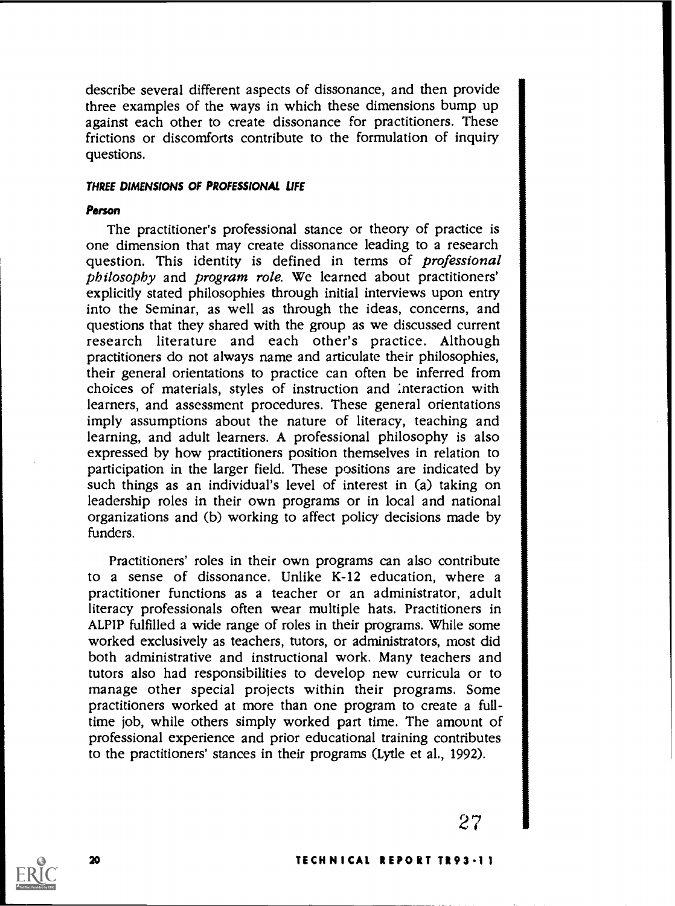describe several different aspects of dissonance, and then provide three examples of the ways in which these dimensions bump up against each other to create dissonance for practitioners. These frictions or discomforts contribute to the formulation of inquiry questions.

### THREE DIMENSIONS OF PROFESSIONAL LIFE

### Person

The practitioner's professional stance or theory of practice is one dimension that may create dissonance leading to a research question. This identity is defined in terms of *professional* philosophy and program role. We learned about practitioners' explicitly stated philosophies through initial interviews upon entry into the Seminar, as well as through the ideas, concerns, and questions that they shared with the group as we discussed current research literature and each other's practice. Although practitioners do not always name and articulate their philosophies, their general orientations to practice can often be inferred from choices of materials, styles of instruction and interaction with learners, and assessment procedures. These general orientations imply assumptions about the nature of literacy, teaching and learning, and adult learners. A professional philosophy is also expressed by how practitioners position themselves in relation to participation in the larger field. These positions are indicated by such things as an individual's level of interest in (a) taking on leadership roles in their own programs or in local and national organizations and (b) working to affect policy decisions made by funders.

Practitioners' roles in their own programs can also contribute to a sense of dissonance. Unlike K-12 education, where a practitioner functions as a teacher or an administrator, adult literacy professionals often wear multiple hats. Practitioners in ALPIP fulfilled a wide range of roles in their programs. While some worked exclusively as teachers, tutors, or administrators, most did both administrative and instructional work. Many teachers and tutors also had responsibilities to develop new curricula or to manage other special projects within their programs. Some practitioners worked at more than one program to create a fulltime job, while others simply worked part time. The amount of professional experience and prior educational training contributes to the practitioners' stances in their programs (Lytle et al., 1992).

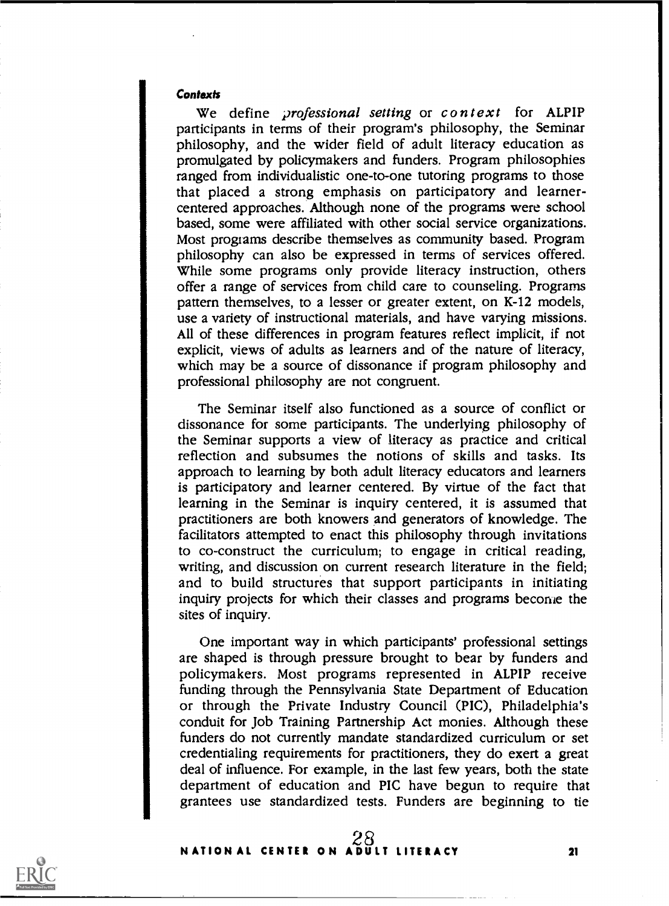#### **Contexts**

We define *professional setting* or context for ALPIP participants in terms of their program's philosophy, the Seminar philosophy, and the wider field of adult literacy education as promulgated by policymakers and funders. Program philosophies ranged from individualistic one-to-one tutoring programs to those that placed a strong emphasis on participatory and learnercentered approaches. Although none of the programs were school based, some were affiliated with other social service organizations. Most progtams describe themselves as community based. Program philosophy can also be expressed in terms of services offered. While some programs only provide literacy instruction, others offer a range of services from child care to counseling. Programs pattern themselves, to a lesser or greater extent, on K-12 models, use a variety of instructional materials, and have varying missions. All of these differences in program features reflect implicit, if not explicit, views of adults as learners and of the nature of literacy, which may be a source of dissonance if program philosophy and professional philosophy are not congruent.

The Seminar itself also functioned as a source of conflict or dissonance for some participants. The underlying philosophy of the Seminar supports a view of literacy as practice and critical reflection and subsumes the notions of skills and tasks. Its approach to learning by both adult literacy educators and learners is participatory and learner centered. By virtue of the fact that learning in the Seminar is inquiry centered, it is assumed that practitioners are both knowers and generators of knowledge. The facilitators attempted to enact this philosophy through invitations to co-construct the curriculum; to engage in critical reading, writing, and discussion on current research literature in the field; and to build structures that support participants in initiating inquiry projects for which their classes and programs become the sites of inquiry.

One important way in which participants' professional settings are shaped is through pressure brought to bear by funders and policyma kers. Most programs represented in ALPIP receive funding through the Pennsylvania State Department of Education or through the Private Industry Council (PIC), Philadelphia's conduit for Job Training Partnership Act monies. Although these funders do not currently mandate standardized curriculum or set credentialing requirements for practitioners, they do exert a great deal of influence. For example, in the last few years, both the state department of education and PIC have begun to require that grantees use standardized tests. Funders are beginning to tie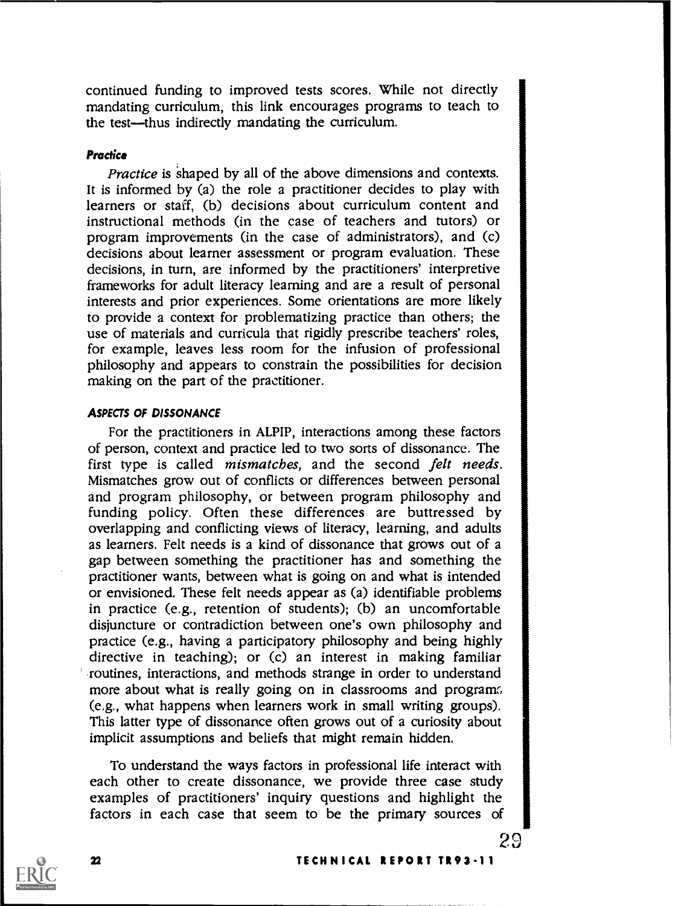continued funding to improved tests scores. While not directly mandating curriculum, this link encourages programs to teach to the test—thus indirectly mandating the curriculum.

### **Practice**

Practice is 'shaped by all of the above dimensions and contexts. It is informed by (a) the role a practitioner decides to play with learners or staff, (b) decisions about curriculum content and instructional methods (in the case of teachers and tutors) or program improvements (in the case of administrators), and (c) decisions about learner assessment or program evaluation. These decisions, in turn, are informed by the practitioners' interpretive frameworks for adult literacy learning and are a result of personal interests and prior experiences. Some orientations are more likely to provide a context for problematizing practice than others; the use of materials and curricula that rigidly prescribe teachers' roles, for example, leaves less room for the infusion of professional philosophy and appears to constrain the possibilities for decision making on the part of the practitioner.

### ASPECTS OF DISSONANCE

For the practitioners in ALPIP, interactions among these factors of person, context and practice led to two sorts of dissonance. The first type is called mismatches, and the second felt needs. Mismatches grow out of conflicts or differences between personal and program philosophy, or between program philosophy and funding policy. Often these differences are buttressed by overlapping and conflicting views of literacy, learning, and adults as learners. Felt needs is a kind of dissonance that grows out of a gap between something the practitioner has and something the practitioner wants, between what is going on and what is intended or envisioned. These felt needs appear as (a) identifiable problems in practice (e.g., retention of students); (b) an uncomfortable disjuncture or contradiction between one's own philosophy and practice (e.g., having a participatory philosophy and being highly directive in teaching); or (c) an interest in making familiar routines, interactions, and methods strange in order to understand more about what is really going on in classrooms and program; (e.g., what happens when learners work in small writing groups). This latter type of dissonance often grows out of a curiosity about implicit assumptions and beliefs that might remain hidden.

To understand the ways factors in professional life interact with each other to create dissonance, we provide three case study examples of practitioners' inquiry questions and highlight the factors in each case that seem to be the primary sources of



 $\boldsymbol{\mathbf{z}}$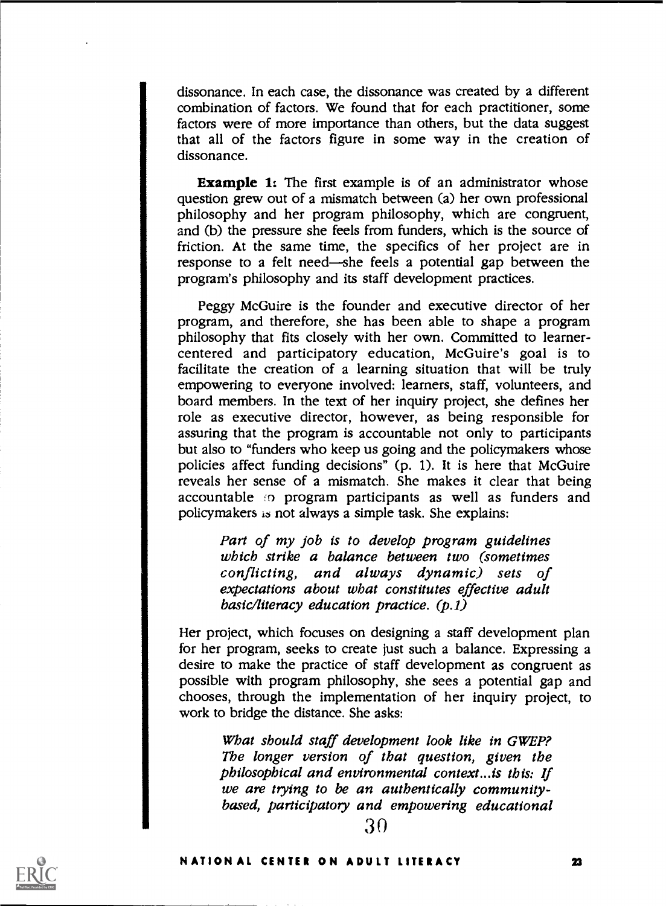dissonance. In each case, the dissonance was created by a different combination of factors. We found that for each practitioner, some factors were of more importance than others, but the data suggest that all of the factors figure in some way in the creation of dissonance.

Example 1: The first example is of an administrator whose question grew out of a mismatch between (a) her own professional philosophy and her program philosophy, which are congruent, and (b) the pressure she feels from funders, which is the source of friction. At the same time, the specifics of her project are in response to a felt need—she feels a potential gap between the program's philosophy and its staff development practices.

Peggy McGuire is the founder and executive director of her program, and therefore, she has been able to shape a program philosophy that fits closely with her own. Committed to learnercentered and participatory education, McGuire's goal is to facilitate the creation of a learning situation that will be truly empowering to everyone involved: learners, staff, volunteers, and board members. In the text of her inquiry project, she defines her role as executive director, however, as being responsible for assuring that the program is accountable not only to participants but also to "funders who keep us going and the policymakers whose policies affect funding decisions" (p. 1). It is here that McGuire reveals her sense of a mismatch. She makes it clear that being accountable to program participants as well as funders and policymakers ia not always a simple task. She explains:

> Part of my job is to develop program guidelines which strike a balance between two (sometimes conflicting, and always dynamic) sets of expectations about what constitutes effective adult basic/literacy education practice. (p.1)

Her project, which focuses on designing a staff development plan for her program, seeks to create just such a balance. Expressing a desire to make the practice of staff development as congruent as possible with program philosophy, she sees a potential gap and chooses, through the implementation of her inquiry project, to work to bridge the distance. She asks:

What should staff development look like in GWEP? The longer version of that question, given the philosophical and environmental context...is this: If we are trying to be an authentically communitybased, participatory and empowering educational

30

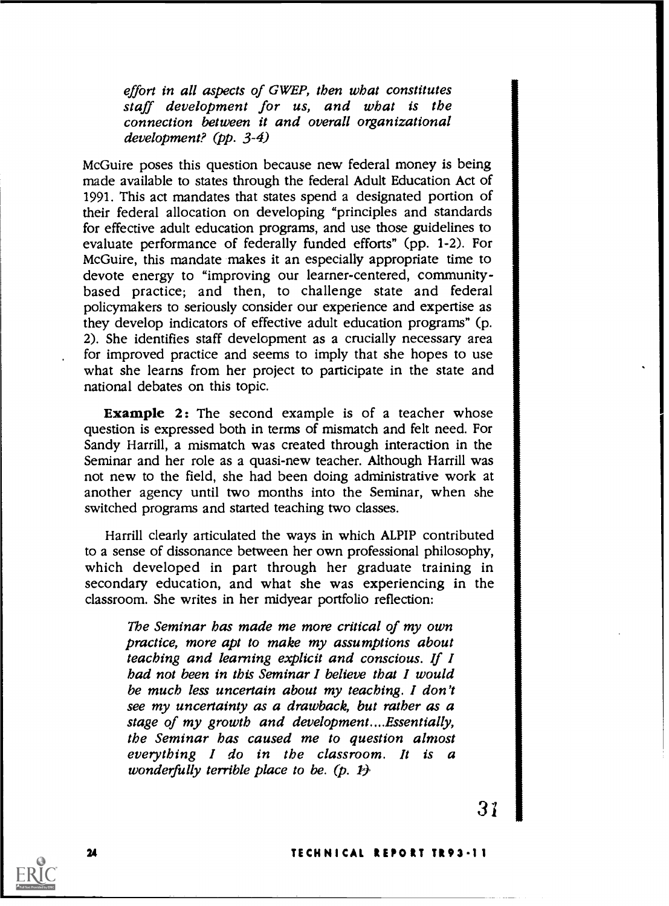effort in all aspects of GWEP, then what constitutes staff development for us, and what is the connection between it and overall organizational development? (pp. 3-4)

McGuire poses this question because new federal money is being made available to states through the federal Adult Education Act of 1991. This act mandates that states spend a designated portion of their federal allocation on developing "principles and standards for effective adult education programs, and use those guidelines to evaluate performance of federally funded efforts" (pp. 1-2). For McGuire, this mandate makes it an especially appropriate time to devote energy to "improving our learner-centered, community- based practice; and then, to challenge state and federal policymakers to seriously consider our experience and expertise as they develop indicators of effective adult education programs" (p. 2). She identifies staff development as a crucially necessary area for improved practice and seems to imply that she hopes to use what she learns from her project to participate in the state and national debates on this topic.

**Example 2:** The second example is of a teacher whose question is expressed both in terms of mismatch and felt need. For Sandy Harrill, a mismatch was created through interaction in the Seminar and her role as a quasi-new teacher. Although Harrill was not new to the field, she had been doing administrative work at another agency until two months into the Seminar, when she switched programs and started teaching two classes.

Harrill clearly articulated the ways in which ALPIP contributed to a sense of dissonance between her own professional philosophy, which developed in part through her graduate training in secondary education, and what she was experiencing in the classroom. She writes in her midyear portfolio reflection:

The Seminar has made me more critical of my own practice, more apt to make my assumptions about teaching and learning explicit and conscious. If I had not been in this Seminar I believe that I would be much less uncertain about my teaching. I don't see my uncertainty as a drawback, but rather as a stage of my growth and development....Essentially, the Seminar has caused me to question almost everything I do in the classroom. It is a wonderfully terrible place to be.  $(p, p)$ 



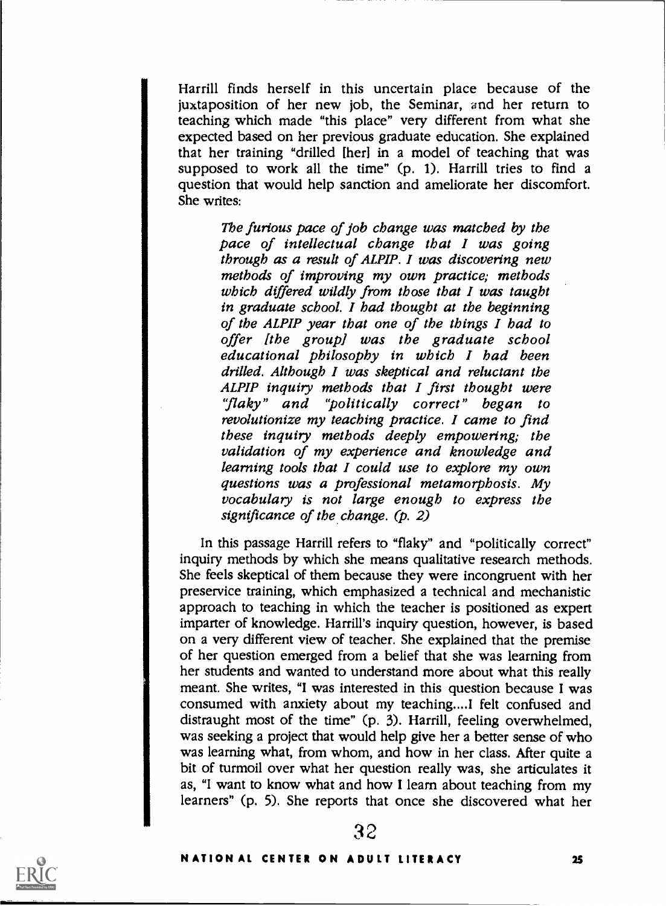Harrill finds herself in this uncertain place because of the juxtaposition of her new job, the Seminar, and her return to teaching which made "this place" very different from what she expected based on her previous graduate education. She explained that her training "drilled [her] in a model of teaching that was supposed to work all the time" (p. 1). Harrill tries to find a question that would help sanction and ameliorate her discomfort. She writes:

> The furious pace of job change was matched by the pace of intellectual change that I was going through as a result of ALPIP. I was discovering new methods of improving my own practice; methods which differed wildly from those that  $I$  was taught in graduate school. I had thought at the beginning of the ALPIP year that one of the things I had to offer [the group] was the graduate school educational philosophy in which I had been drilled. Although I was skeptical and reluctant the ALPIP inquiry methods that I first thought were "flaky" and "politically correct" began to revolutionize my teaching practice. I came to find these inquiry methods deeply empowering; the validation of my experience and knowledge and learning tools that I could use to explore my own questions was a professional metamorphosis. My vocabulary is not large enough to express the significance of the change. (p. 2)

In this passage Harrill refers to "flaky" and "politically correct" inquiry methods by which she means qualitative research methods. She feels skeptical of them because they were incongruent with her preseryice training, which emphasized a technical and mechanistic approach to teaching in which the teacher is positioned as expert imparter of knowledge. Harrill's inquiry question, however, is based on a very different view of teacher. She explained that the premise of her question emerged from a belief that she was learning from her students and wanted to understand more about what this really meant. She writes, "I was interested in this question because I was consumed with anxiety about my teaching....I felt confused and distraught most of the time" (p. 3). Harrill, feeling overwhelmed, was seeking a project that would help give her a better sense of who was learning what, from whom, and how in her class. After quite a bit of turmoil over what her question really was, she articulates it as, "I want to know what and how I learn about teaching from my learners" (p. 5). She reports that once she discovered what her

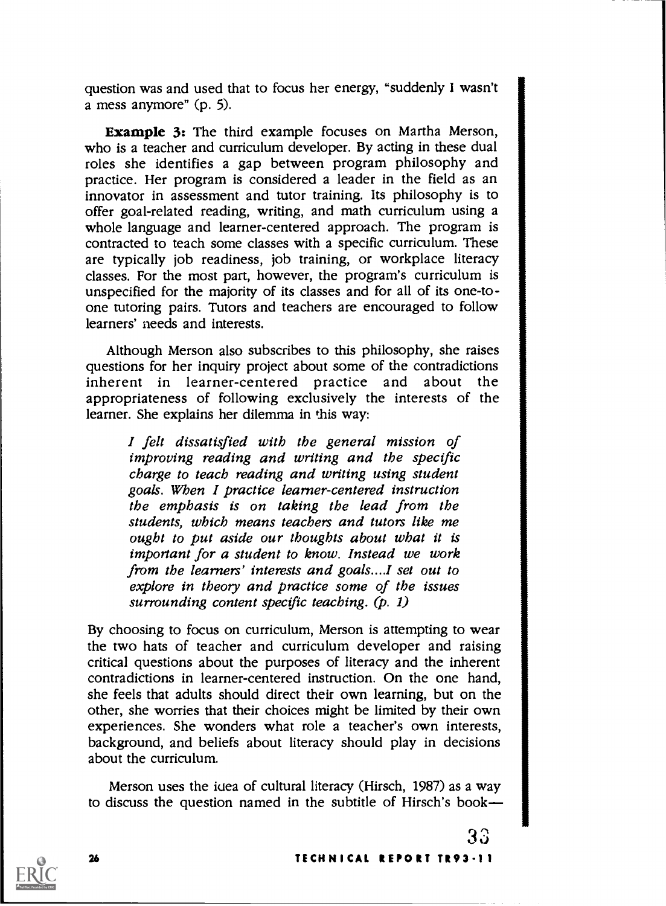question was and used that to focus her energy, "suddenly I wasn't a mess anymore" (p. 5).

Example 3: The third example focuses on Martha Merson, who is a teacher and curriculum developer. By acting in these dual roles she identifies a gap between program philosophy and practice. Her program is considered a leader in the field as an innovator in assessment and tutor training. Its philosophy is to offer goal-related reading, writing, and math curriculum using a whole language and learner-centered approach. The program is contracted to teach some classes with a specific curriculum. These are typically job readiness, job training, or workplace literacy classes. For the most part, however, the program's curriculum is unspecified for the majority of its classes and for all of its one-toone tutoring pairs. Tutors and teachers are encouraged to follow learners' needs and interests.

Although Merson also subscribes to this philosophy, she raises questions for her inquiry project about some of the contradictions inherent in learner-centered practice and about the appropriateness of following exclusively the interests of the learner. She explains her dilemma in this way:

I felt dissatisfied with the general mission of improving reading and writing and the specific charge to teach reading and writing using student goals. When I practice learner-centered instruction the emphasis is on taking the lead from the students, which means teachers and tutors like me ought to put aside our thoughts about what it is important for a student to know. Instead we work from the learners' interests and goals....I set out to explore in theory and practice some of the issues surrounding content specific teaching.  $(p, 1)$ 

By choosing to focus on curriculum, Merson is attempting to wear the two hats of teacher and curriculum developer and raising critical questions about the purposes of literacy and the inherent contradictions in learner-centered instruction. On the one hand, she feels that adults should direct their own learning, but on the other, she worries that their choices might be limited by their own experiences. She wonders what role a teacher's own interests, background, and beliefs about literacy should play in decisions about the curriculum.

Merson uses the idea of cultural literacy (Hirsch, 1987) as a way to discuss the question named in the subtitle of Hirsch's book-

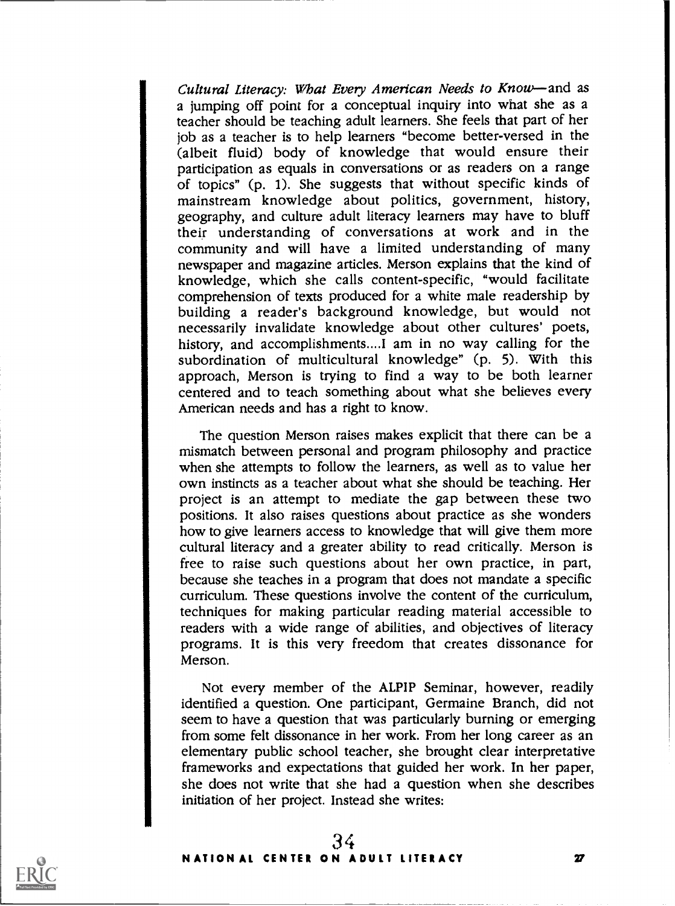Cultural Literacy: What Every American Needs to Know-and as a jumping off point for a conceptual inquiry into what she as a teacher should be teaching adult learners. She feels that part of her job as a teacher is to help learners "become better-versed in the (albeit fluid) body of knowledge that would ensure their participation as equals in conversations or as readers on a range of topics" (p. 1). She suggests that without specific kinds of mainstream knowledge about politics, government, history, geography, and culture adult literacy learners may have to bluff their understanding of conversations at work and in the community and will have a limited understanding of many newspaper and magazine articles. Merson explains that the kind of knowledge, which she calls content-specific, "would facilitate comprehension of texts produced for a white male readership by building a reader's background knowledge, but would not necessarily invalidate knowledge about other cultures' poets, history, and accomplishments....I am in no way calling for the subordination of multicultural knowledge" (p. 5). With this approach, Merson is trying to find a way to be both learner centered and to teach something about what she believes every American needs and has a right to know.

The question Merson raises makes explicit that there can be a mismatch between personal and program philosophy and practice when she attempts to follow the learners, as well as to value her own instincts as a teacher about what she should be teaching. Her project is an attempt to mediate the gap between these two positions. It also raises questions about practice as she wonders how to give learners access to knowledge that will give them more cultural literacy and a greater ability to read critically. Merson is free to raise such questions about her own practice, in part, because she teaches in a program that does not mandate a specific curriculum. These questions involve the content of the curriculum, techniques for making particular reading material accessible to readers with a wide range of abilities, and objectives of literacy programs. It is this very freedom that creates dissonance for Merson.

Not every member of the ALPIP Seminar, however, readily identified a question. One participant, Germaine Branch, did not seem to have a question that was particularly burning or emerging from some felt dissonance in her work. From her long career as an elementary public school teacher, she brought clear interpretative frameworks and expectations that guided her work. In her paper, she does not write that she had a question when she describes initiation of her project. Instead she writes:

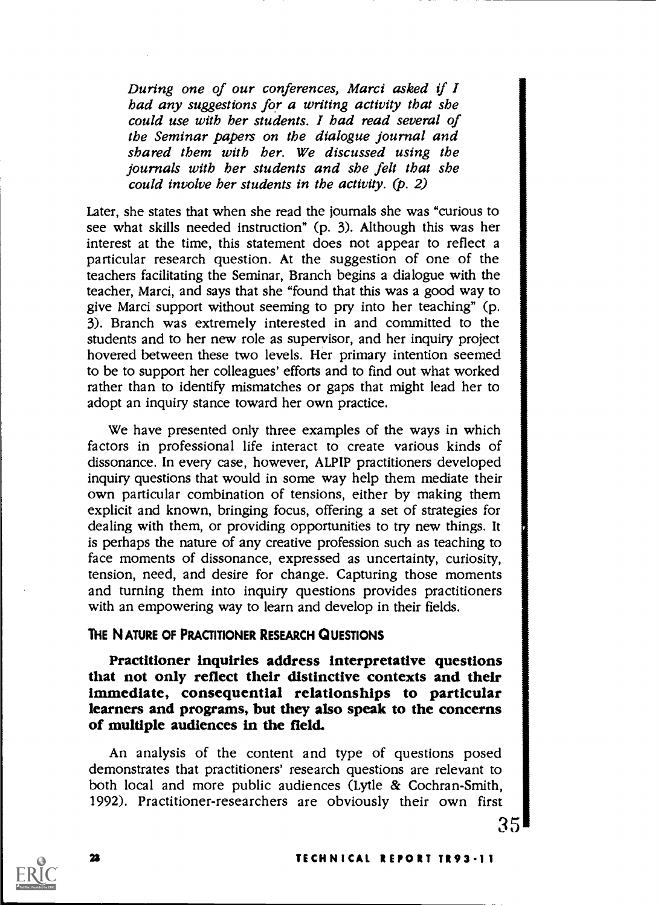During one of our conferences, Marci asked if I had any suggestions for a writing activity that she could use with her students. I had read several of the Seminar papers on the dialogue journal and shared them with her. We discussed using the journals with her students and she felt that she could involve her students in the activity. (p. 2)

Later, she states that when she read the journals she was "curious to see what skills needed instruction" (p. 3). Although this was her interest at the time, this statement does not appear to reflect a particular research question. At the suggestion of one of the teachers facilitating the Seminar, Branch begins a dialogue with the teacher, Marci, and says that she "found that this was a good way to give Marci support without seeming to pry into her teaching" (p. 3). Branch was extremely interested in and committed to the students and to her new role as supervisor, and her inquiry project hovered between these two levels. Her primary intention seemed to be to support her colleagues' efforts and to find out what worked rather than to identify mismatches or gaps that might lead her to adopt an inquiry stance toward her own practice.

We have presented only three examples of the ways in which factors in professional life interact to create various kinds of dissonance. In every case, however, ALPIP practitioners developed inquiry questions that would in some way help them mediate their own particular combination of tensions, either by making them explicit and known, bringing focus, offering a set of strategies for dealing with them, or providing opportunities to try new things. It is perhaps the nature of any creative profession such as teaching to face moments of dissonance, expressed as uncertainty, curiosity, tension, need, and desire for change. Capturing those moments and turning them into inquiry questions provides practitioners with an empowering way to learn and develop in their fields.

### THE NATURE OF PRACTITIONER RESEARCH QUESTIONS

Practitioner inquiries address interpretative questions that not only reflect their distinctive contexts and their immediate, consequential relationships to particular learners and programs, but they also speak to the concerns of multiple audiences in the field.

An analysis of the content and type of questions posed demonstrates that practitioners' research questions are relevant to both local and more public audiences (Lytle & Cochran-Smith, 1992). Practitioner-researchers are obviously their own first



### 2\$ TECHNICAL REPORT TR93-11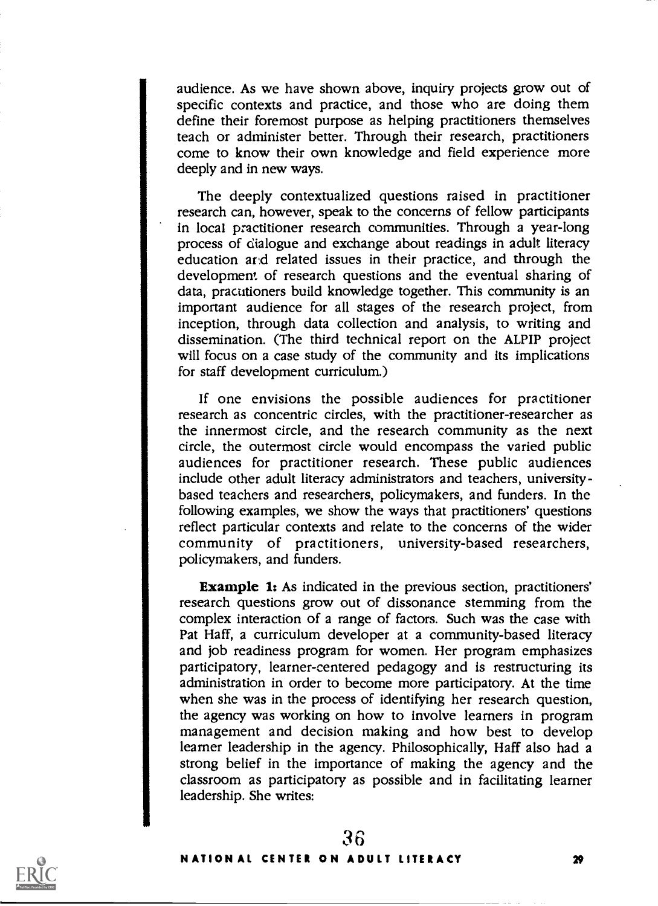audience. As we have shown above, inquiry projects grow out of specific contexts and practice, and those who are doing them define their foremost purpose as helping practitioners themselves teach or administer better. Through their research, practitioners come to know their own knowledge and field experience more deeply and in new ways.

The deeply contextualized questions raised in practitioner research can, however, speak to the concerns of fellow participants in local practitioner research communities. Through a year-long process of dialogue and exchange about readings in adult literacy education and related issues in their practice, and through the development of research questions and the eventual sharing of data, practitioners build knowledge together. This community is an important audience for all stages of the research project, from inception, through data collection and analysis, to writing and dissemination. (The third technical report on the ALPIP project will focus on a case study of the community and its implications for staff development curriculum.)

If one envisions the possible audiences for practitioner research as concentric circles, with the practitioner-researcher as the innermost circle, and the research community as the next circle, the outermost circle would encompass the varied public audiences for practitioner research. These public audiences include other adult literacy administrators and teachers, universitybased teachers and researchers, policymakers, and funders. In the following examples, we show the ways that practitioners' questions reflect particular contexts and relate to the concerns of the wider community of practitioners, university-based researchers, policymakers, and funders.

Example 1: As indicated in the previous section, practitioners' research questions grow out of dissonance stemming from the complex interaction of a range of factors. Such was the case with Pat Haff, a curriculum developer at a community-based literacy and job readiness program for women. Her program emphasizes participatory, learner-centered pedagogy and is restructuring its administration in order to become more participatory. At the time when she was in the process of identifying her research question, the agency was working on how to involve learners in program management and decision making and how best to develop learner leadership in the agency. Philosophically, Haff also had a strong belief in the importance of making the agency and the classroom as participatory as possible and in facilitating learner leadership. She writes:

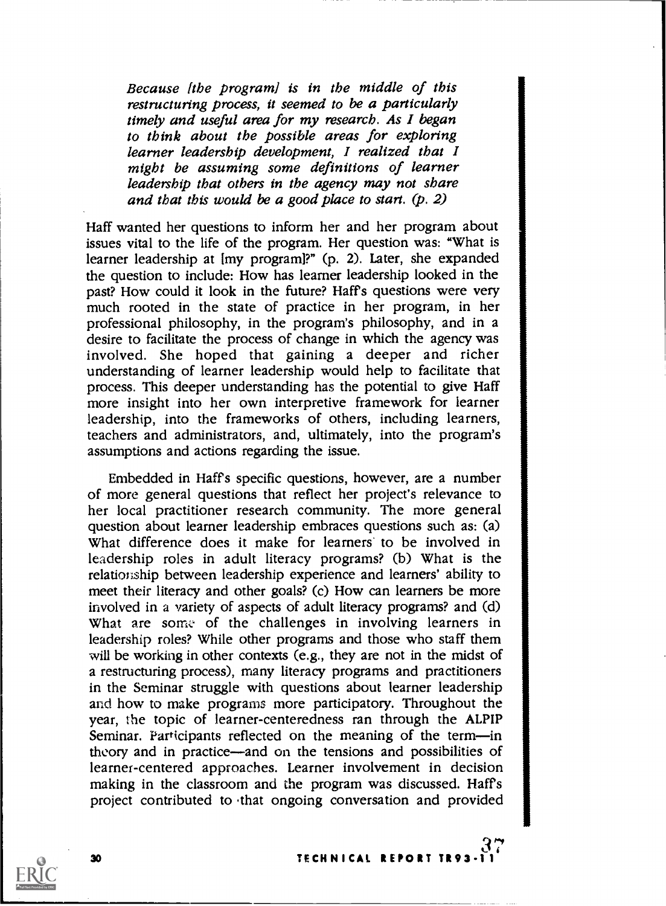Because [the program] is in the middle of this restructuring process, it seemed to be a particularly timely and useful area for my research. As I began to think about the possible areas for exploring learner leadership development, I realized that I might be assuming some definitions of learner leadership that others in the agency may not share and that this would be a good place to start. (p. 2)

Haff wanted her questions to inform her and her program about issues vital to the life of the program. Her question was: "What is learner leadership at [my program]?" (p. 2). Later, she expanded the question to include: How has learner leadership looked in the past? How could it look in the future? Haffs questions were very much rooted in the state of practice in her program, in her professional philosophy, in the program's philosophy, and in a desire to facilitate the process of change in which the agency was involved. She hoped that gaining <sup>a</sup> deeper and richer understanding of learner leadership would help to facilitate that process. This deeper understanding has the potential to give Haff more insight into her own interpretive framework for learner leadership, into the frameworks of others, including learners, teachers and administrators, and, ultimately, into the program's assumptions and actions regarding the issue.

Embedded in Haffs specific questions, however, are a number of more general questions that reflect her project's relevance to her local practitioner research community. The more general question about learner leadership embraces questions such as: (a) What difference does it make for learners to be involved in leadership roles in adult literacy programs? (b) What is the relationship between leadership experience and learners' ability to meet their literacy and other goals? (c) How can learners be more involved in a variety of aspects of adult literacy programs? and (d) What are some of the challenges in involving learners in leadership roles? While other programs and those who staff them will be working in other contexts (e.g., they are not in the midst of a restructuring process), many literacy programs and practitioners in the Seminar struggle with questions about learner leadership and how to make programs more participatory. Throughout the year, the topic of learner-centeredness ran through the ALPIP Seminar. Participants reflected on the meaning of the term-in theory and in practice—and on the tensions and possibilities of learner-centered approaches. Learner involvement in decision making in the classroom and the program was discussed. Haffs project contributed to that ongoing conversation and provided

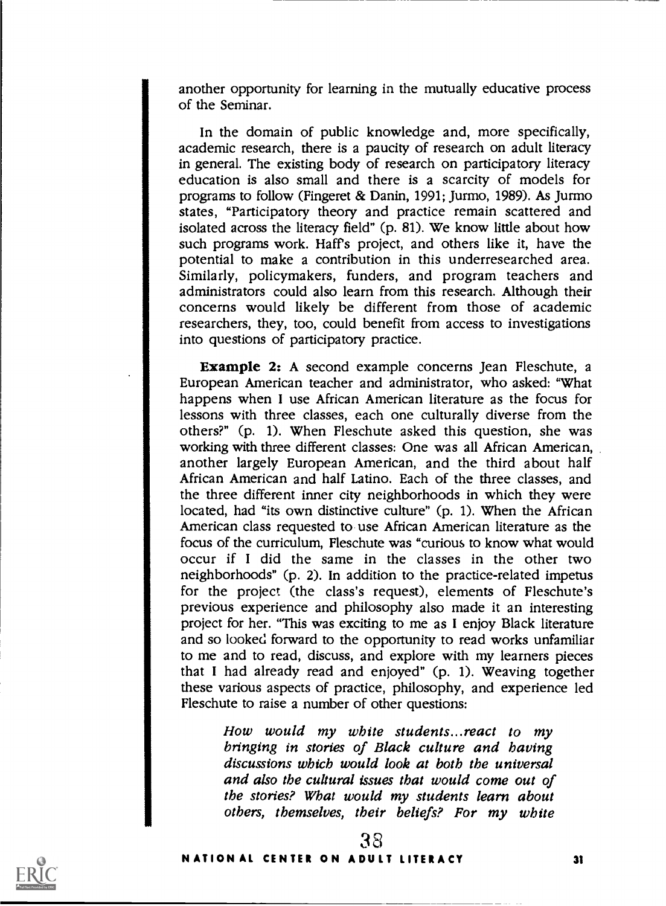another opportunity for learning in the mutually educative process of the Seminar.

In the domain of public knowledge and, more specifically, academic research, there is a paucity of research on adult literacy in general. The existing body of research on participatory literacy education is also small and there is a scarcity of models for programs to follow (Fingeret & Danin, 1991; Jurmo, 1989). As Jurmo states, "Participatory theory and practice remain scattered and isolated across the literacy field" (p. 81). We know little about how such programs work. Haft's project, and others like it, have the potential to make a contribution in this underresearched area. Similarly, policymakers, funders, and program teachers and administrators could also learn from this research. Although their concerns would likely be different from those of academic researchers, they, too, could benefit from access to investigations into questions of participatory practice.

Example 2: A second example concerns Jean Fleschute, a European American teacher and administrator, who asked: "What happens when I use African American literature as the focus for lessons with three classes, each one culturally diverse from the others?" (p. 1). When Fleschute asked this question, she was working with three different classes: One was all African American, another largely European American, and the third about half African American and half Latino. Each of the three classes, and the three different inner city neighborhoods in which they were located, had "its own distinctive culture" (p. 1). When the African American class requested to use African American literature as the focus of the curriculum, Fleschute was "curious to know what would occur if <sup>I</sup> did the same in the classes in the other two neighborhoods" (p. 2). In addition to the practice-related impetus for the project (the class's request), elements of Fleschute's previous experience and philosophy also made it an interesting project for her. "This was exciting to me as I enjoy Black literature and so looked forward to the opportunity to read works unfamiliar to me and to read, discuss, and explore with my learners pieces that I had already read and enjoyed" (p. 1). Weaving together these various aspects of practice, philosophy, and experience led Fleschute to raise a number of other questions:

> How would my white students...react to my bringing in stories of Black culture and having discussions which would look at both the universal and also the cultural issues that would come out of the stories? What would my students learn about others, themselves, their beliefs? For my white

> > 38

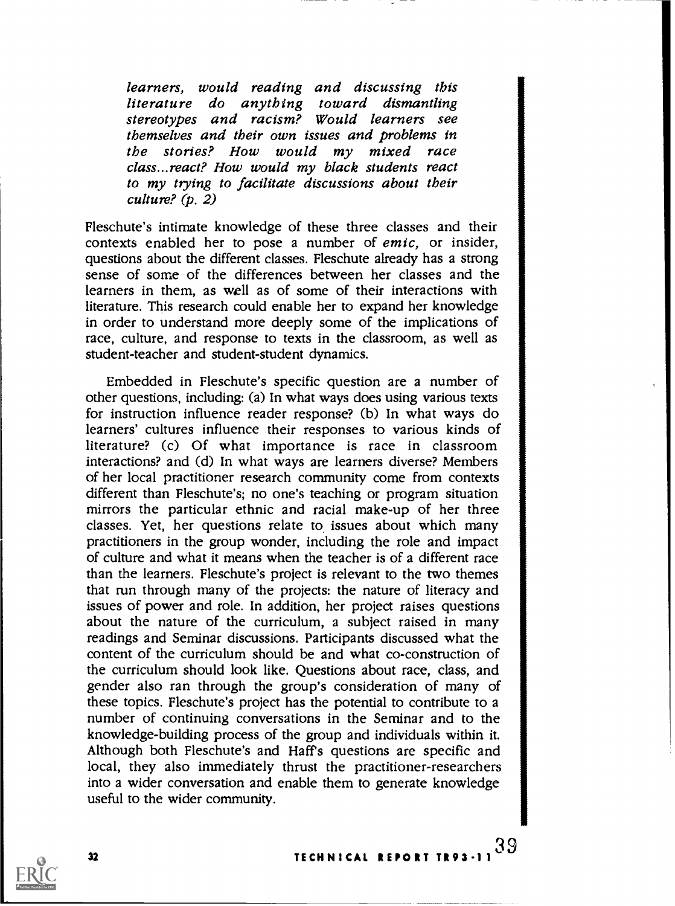learners, would reading and discussing this literature do anything toward dismantling stereotypes and racism? Would learners see themselves and their own issues and problems in the stories? How would my mixed race class...react? How would my black students react to my trying to facilitate discussions about their culture? (p. 2)

Fleschute's intimate knowledge of these three classes and their contexts enabled her to pose a number of emic, or insider, questions about the different classes. Fleschute already has a strong sense of some of the differences between her classes and the learners in them, as well as of some of their interactions with literature. This research could enable her to expand her knowledge in order to understand more deeply some of the implications of race, culture, and response to texts in the classroom, as well as student-teacher and student-student dynamics.

Embedded in Fleschute's specific question are a number of other questions, including: (a) In what ways does using various texts for instruction influence reader response? (b) In what ways do learners' cultures influence their responses to various kinds of literature? (c) Of what importance is race in classroom interactions? and (d) In what ways are learners diverse? Members of her local practitioner research community come from contexts different than Fleschute's; no one's teaching or program situation mirrors the particular ethnic and racial make-up of her three classes. Yet, her questions relate to issues about which many practitioners in the group wonder, including the role and impact of culture and what it means when the teacher is of a different race than the learners. Fleschute's project is relevant to the two themes that run through many of the projects: the nature of literacy and issues of power and role. In addition, her project raises questions about the nature of the curriculum, a subject raised in many readings and Seminar discussions. Participants discussed what the content of the curriculum should be and what co-construction of the curriculum should look like. Questions about race, class, and gender also ran through the group's consideration of many of these topics. Fleschute's project has the potential to contribute to a number of continuing conversations in the Seminar and to the knowledge-building process of the group and individuals within it. Although both Fleschute's and Haft's questions are specific and local, they also immediately thrust the practitioner-researchers into a wider conversation and enable them to generate knowledge useful to the wider community.



32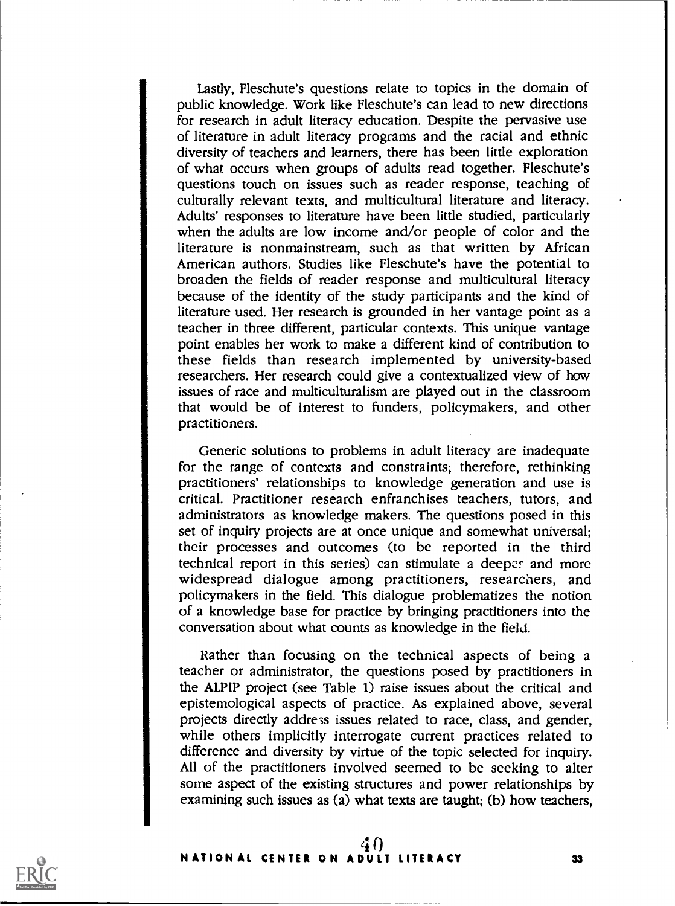Lastly, Fleschute's questions relate to topics in the domain of public knowledge. Work like Fleschute's can lead to new directions for research in adult literacy education. Despite the pervasive use of literature in adult literacy programs and the racial and ethnic diversity of teachers and learners, there has been little exploration of what occurs when groups of adults read together. Fleschute's questions touch on issues such as reader response, teaching of culturally relevant texts, and multicultural literature and literacy. Adults' responses to literature have been little studied, particularly when the adults are low income and/or people of color and the literature is nonmainstream, such as that written by African American authors. Studies like Fleschute's have the potential to broaden the fields of reader response and multicultural literacy because of the identity of the study participants and the kind of literature used. Her research is grounded in her vantage point as a teacher in three different, particular contexts. This unique vantage point enables her work to make a different kind of contribution to these fields than research implemented by university-based researchers. Her research could give a contextualized view of how issues of race and multiculturalism are played out in the classroom that would be of interest to funders, policymakers, and other practitioners.

Generic solutions to problems in adult literacy are inadequate for the range of contexts and constraints; therefore, rethinking practitioners' relationships to knowledge generation and use is critical. Practitioner research enfranchises teachers, tutors, and administrators as knowledge makers. The questions posed in this set of inquiry projects are at once unique and somewhat universal; their processes and outcomes (to be reported in the third technical report in this series) can stimulate a deeper and more widespread dialogue among practitioners, researchers, and policymakers in the field. This dialogue problematizes the notion of a knowledge base for practice by bringing practitioners into the conversation about what counts as knowledge in the field.

Rather than focusing on the technical aspects of being a teacher or administrator, the questions posed by practitioners in the ALPIP project (see Table 1) raise issues about the critical and epistemological aspects of practice. As explained above, several projects directly addre3s issues related to race, class, and gender, while others implicitly interrogate current practices related to difference and diversity by virtue of the topic selected for inquiry. All of the practitioners involved seemed to be seeking to alter some aspect of the existing structures and power relationships by examining such issues as (a) what texts are taught; (b) how teachers,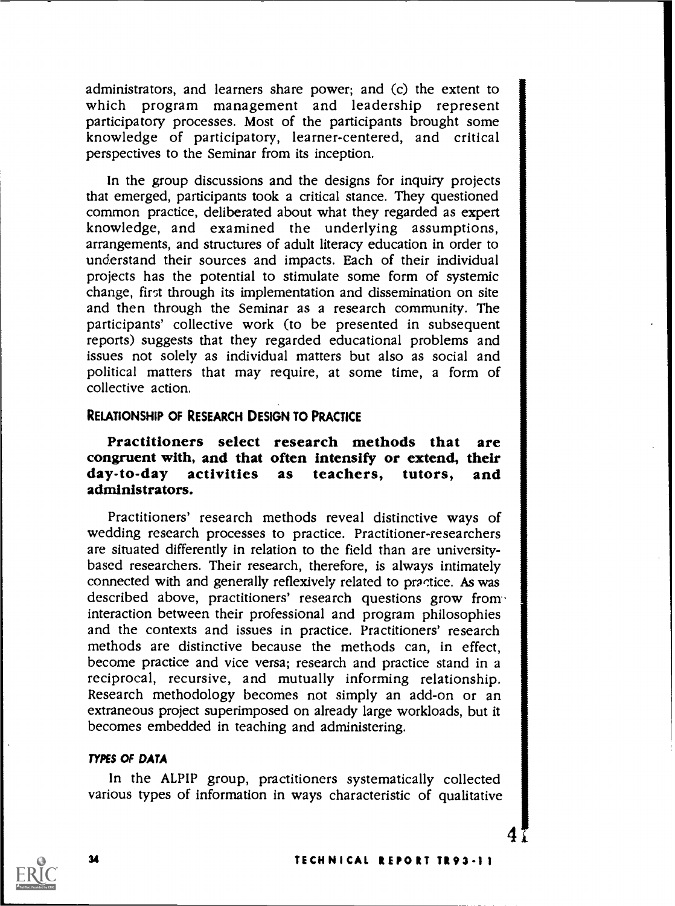administrators, and learners share power; and (c) the extent to which program management and leadership represent participatory processes. Most of the participants brought some knowledge of participatory, learner-centered, and critical perspectives to the Seminar from its inception.

In the group discussions and the designs for inquiry projects that emerged, participants took a critical stance. They questioned common practice, deliberated about what they regarded as expert knowledge, and examined the underlying assumptions, arrangements, and structures of adult literacy education in order to understand their sources and impacts. Each of their individual projects has the potential to stimulate some form of systemic change, first through its implementation and dissemination on site and then through the Seminar as a research community. The participants' collective work (to be presented in subsequent reports) suggests that they regarded educational problems and issues not solely as individual matters but also as social and political matters that may require, at some time, a form of collective action.

### RELATIONSHIP OF RESEARCH DESIGN TO PRACTICE

# Practitioners select research methods that are congruent with, and that often intensify or extend, their day-to-day activities as teachers, tutors, and administrators.

Practitioners' research methods reveal distinctive ways of wedding research processes to practice. Practitioner-researchers are situated differently in relation to the field than are universitybased researchers. Their research, therefore, is always intimately connected with and generally reflexively related to practice. As was described above, practitioners' research questions grow frominteraction between their professional and program philosophies and the contexts and issues in practice. Practitioners' research methods are distinctive because the methods can, in effect, become practice and vice versa; research and practice stand in a reciprocal, recursive, and mutually informing relationship. Research methodology becomes not simply an add-on or an extraneous project superimposed on already large workloads, but it becomes embedded in teaching and administering.

#### TYPES OF DATA

In the ALPIP group, practitioners systematically collected various types of information in ways characteristic of qualitative

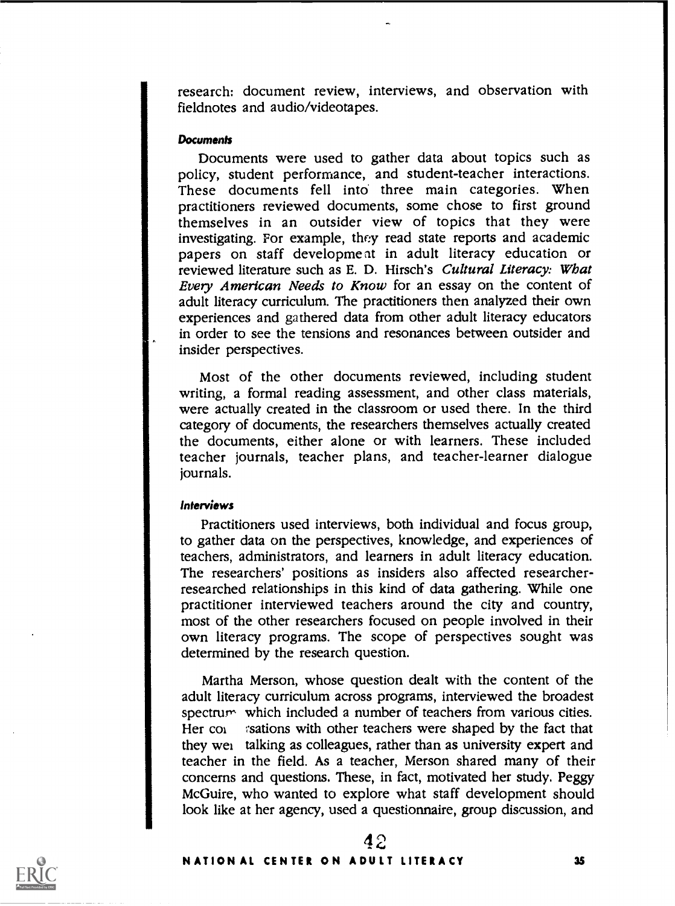research: document review, interviews, and observation with fieldnotes and audio/videotapes.

#### **Documents**

Documents were used to gather data about topics such as policy, student performance, and student-teacher interactions. These documents fell into three main categories. When practitioners reviewed documents, some chose to first ground themselves in an outsider view of topics that they were investigating. For example, they read state reports and academic papers on staff developme at in adult literacy education or reviewed literature such as E. D. Hirsch's Cultural Literacy: What Every American Needs to Know for an essay on the content of adult literacy curriculum. The practitioners then analyzed their own experiences and gathered data from other adult literacy educators in order to see the tensions and resonances between outsider and insider perspectives.

Most of the other documents reviewed, including student writing, a formal reading assessment, and other class materials, were actually created in the classroom or used there. In the third category of documents, the researchers themselves actually created the documents, either alone or with learners. These included teacher journals, teacher plans, and teacher-learner dialogue journals.

### Interviews

Practitioners used interviews, both individual and focus group, to gather data on the perspectives, knowledge, and experiences of teachers, administrators, and learners in adult literacy education. The researchers' positions as insiders also affected researcherresearched relationships in this kind of data gathering. While one practitioner interviewed teachers around the city and country, most of the other researchers focused on people involved in their own literacy programs. The scope of perspectives sought was determined by the research question.

Martha Merson, whose question dealt with the content of the adult literacy curriculum across programs, interviewed the broadest spectrum which included a number of teachers from various cities. Her  $\text{col}$  is estions with other teachers were shaped by the fact that they wei talking as colleagues, rather than as university expert and teacher in the field. As a teacher, Merson shared many of their concerns and questions. These, in fact, motivated her study. Peggy McGuire, who wanted to explore what staff development should look like at her agency, used a questionnaire, group discussion, and

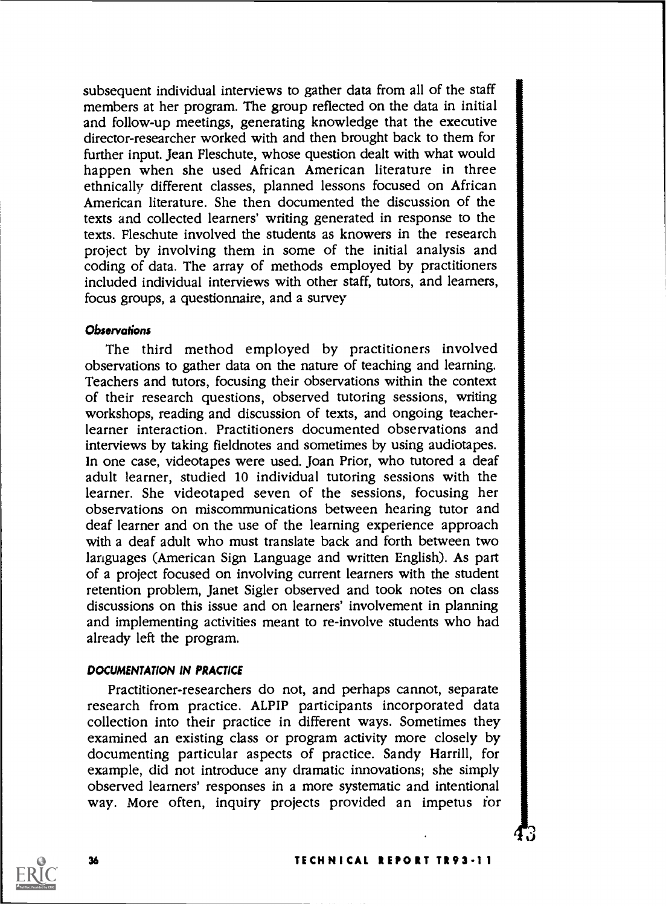subsequent individual interviews to gather data from all of the staff members at her program. The group reflected on the data in initial and follow-up meetings, generating knowledge that the executive director-researcher worked with and then brought back to them for further input. Jean Fleschute, whose question dealt with what would happen when she used African American literature in three ethnically different classes, planned lessons focused on African American literature. She then documented the discussion of the texts and collected learners' writing generated in response to the texts. Fleschute involved the students as knowers in the research project by involving them in some of the initial analysis and coding of data. The array of methods employed by practitioners included individual interviews with other staff, tutors, and learners, focus groups, a questionnaire, and a survey

### **Observations**

The third method employed by practitioners involved observations to gather data on the nature of teaching and learning. Teachers and tutors, focusing their observations within the context of their research questions, observed tutoring sessions, writing workshops, reading and discussion of texts, and ongoing teacherlearner interaction. Practitioners documented observations and interviews by taking fieldnotes and sometimes by using audiotapes. In one case, videotapes were used. Joan Prior, who tutored a deaf adult learner, studied 10 individual tutoring sessions with the learner. She videotaped seven of the sessions, focusing her observations on miscommunications between hearing tutor and deaf learner and on the use of the learning experience approach with a deaf adult who must translate back and forth between two languages (American Sign Language and written English). As part of a project focused on involving current learners with the student retention problem, Janet Sigler observed and took notes on class discussions on this issue and on learners' involvement in planning and implementing activities meant to re-involve students who had already left the program.

### DOCUMENTATION IN PRACTICE

Practitioner-researchers do not, and perhaps cannot, separate research from practice. ALPIP participants incorporated data collection into their practice in different ways. Sometimes they examined an existing class or program activity more closely by documenting particular aspects of practice. Sandy Harrill, for example, did not introduce any dramatic innovations; she simply observed learners' responses in a more systematic and intentional way. More often, inquiry projects provided an impetus for



 $\beta$  and  $\beta$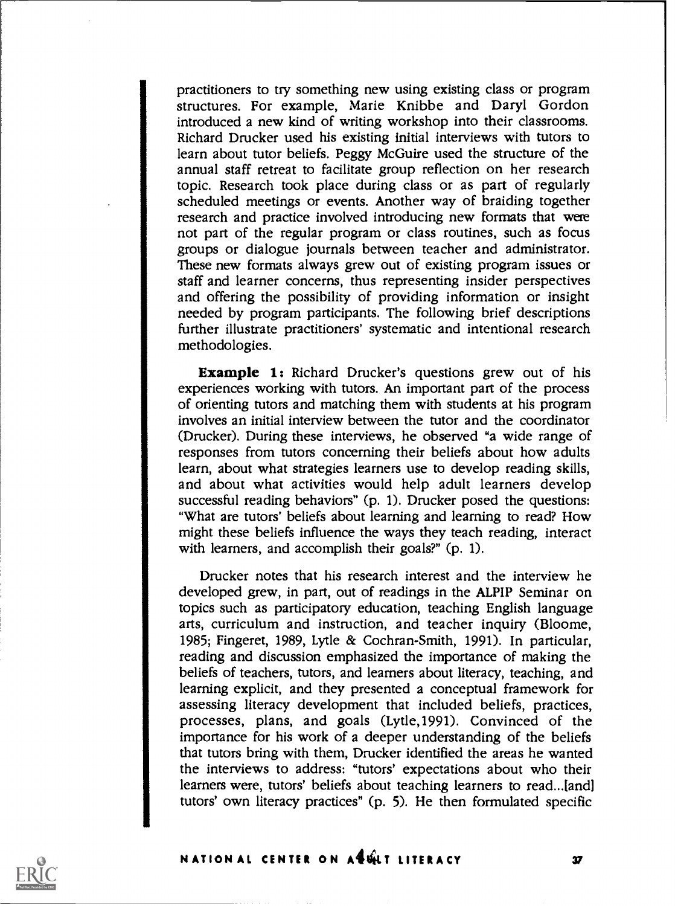practitioners to try something new using existing class or program structures. For example, Marie Knibbe and Daryl Gordon introduced a new kind of writing workshop into their classrooms. Richard Drucker used his existing initial interviews with tutors to learn about tutor beliefs. Peggy McGuire used the structure of the annual staff retreat to facilitate group reflection on her research topic. Research took place during class or as part of regularly scheduled meetings or events. Another way of braiding together research and practice involved introducing new formats that wete not part of the regular program or class routines, such as focus groups or dialogue journals between teacher and administrator. These new formats always grew out of existing program issues or staff and learner concerns, thus representing insider perspectives and offering the possibility of providing information or insight needed by program participants. The following brief descriptions further illustrate practitioners' systematic and intentional research methodologies.

Example 1: Richard Drucker's questions grew out of his experiences working with tutors. An important part of the process of orienting tutors and matching them with students at his program involves an initial interview between the tutor and the coordinator (Drucker). During these interviews, he observed "a wide range of responses from tutors concerning their beliefs about how adults learn, about what strategies learners use to develop reading skills, and about what activities would help adult learners develop successful reading behaviors" (p. 1). Drucker posed the questions: "What are tutors' beliefs about learning and learning to read? How might these beliefs influence the ways they teach reading, interact with learners, and accomplish their goals?" (p. 1).

Drucker notes that his research interest and the interview he developed grew, in part, out of readings in the ALPIP Seminar on topics such as participatory education, teaching English language arts, curriculum and instruction, and teacher inquiry (Bloome, 1985; Fingeret, 1989, Lytle & Cochran-Smith, 1991). In particular, reading and discussion emphasized the importance of making the beliefs of teachers, tutors, and learners about literacy, teaching, and learning explicit, and they presented a conceptual framework for assessing literacy development that included beliefs, practices, processes, plans, and goals (Lytle,1991). Convinced of the importance for his work of a deeper understanding of the beliefs that tutors bring with them, Drucker identified the areas he wanted the interviews to address: "tutors' expectations about who their learners were, tutors' beliefs about teaching learners to read...[and] tutors' own literacy practices" (p. 5). He then formulated specific

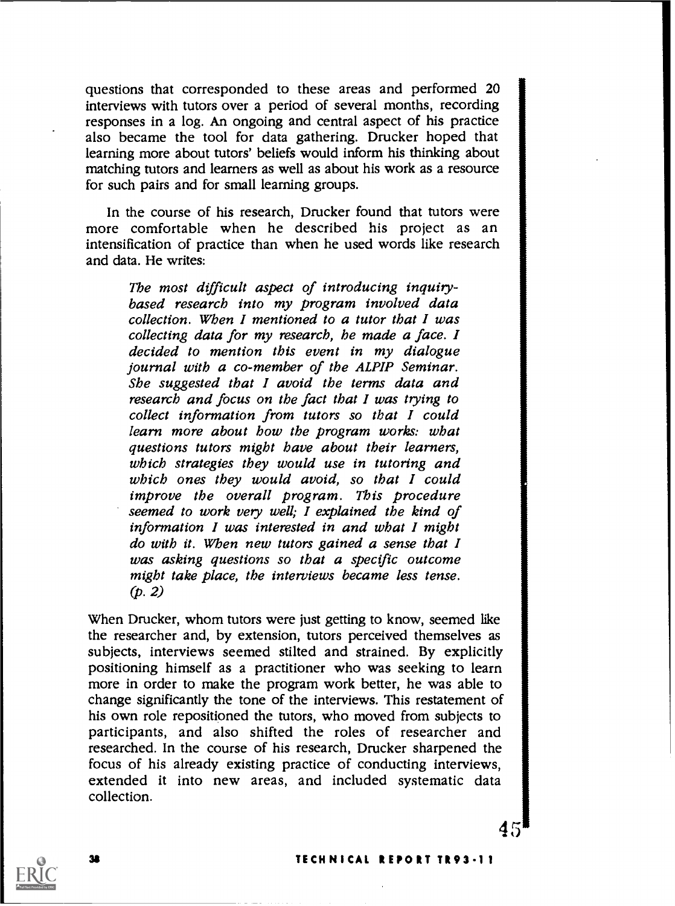questions that corresponded to these areas and performed 20 interviews with tutors over a period of several months, recording responses in a log. An ongoing and central aspect of his practice also became the tool for data gathering. Drucker hoped that learning more about tutors' beliefs would inform his thinking about matching tutors and learners as well as about his work as a resource for such pairs and for small learning groups.

In the course of his research, Drucker found that tutors were more comfortable when he described his project as an intensification of practice than when he used words like research and data. He writes:

The most difficult aspect of introducing inquirybased research into my program involved data collection. When I mentioned to a tutor that I was collecting data for my research, he made a face. I<br>decided to mention this event in my dialogue<br>journal with a co-member of the ALPIP Seminar. She suggested that I avoid the terms data and research and focus on the fact that I was trying to collect information from tutors so that I could learn more about how the program works: what questions tutors might have about their learners, which strategies they would use in tutoring and which ones they would avoid, so that I could improve the overall program. This procedure seemed to work very well; I explained the kind of information I was interested in and what I might do with it. When new tutors gained a sense that I was asking questions so that a specific outcome might take place, the interviews became less tense.  $(p. 2)$ 

When Drucker, whom tutors were just getting to know, seemed like the researcher and, by extension, tutors perceived themselves as subjects, interviews seemed stilted and strained. By explicitly positioning himself as a practitioner who was seeking to learn more in order to make the program work better, he was able to change significantly the tone of the interviews. This restatement of his own role repositioned the tutors, who moved from subjects to participants, and also shifted the roles of researcher and researched. In the course of his research, Dmcker sharpened the focus of his already existing practice of conducting interviews, extended it into new areas, and included systematic data collection.



45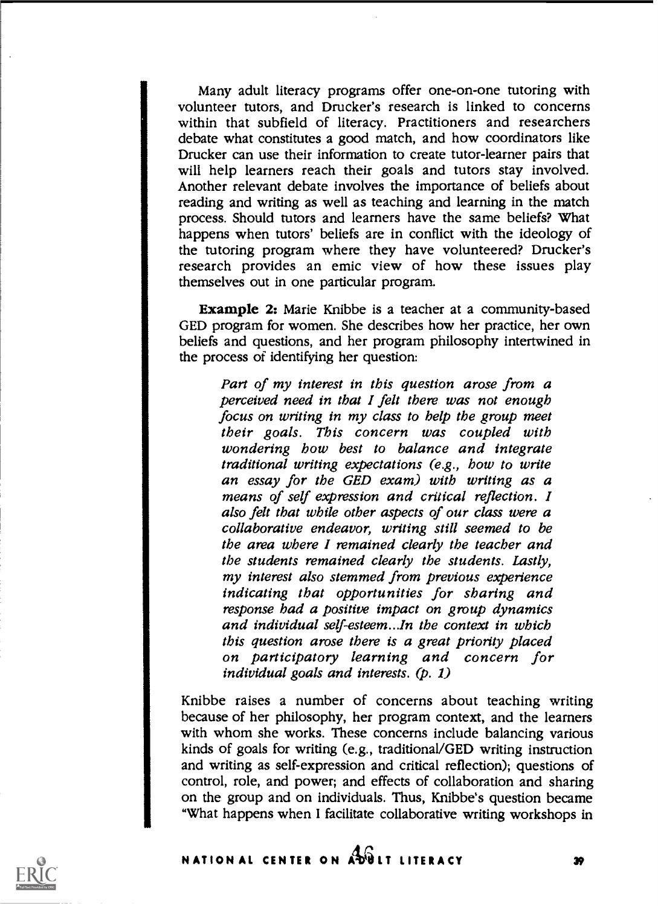Many adult literacy programs offer one-on-one tutoring with volunteer tutors, and Drucker's research is linked to concerns within that subfield of literacy. Practitioners and researchers debate what constitutes a good match, and how coordinators like Drucker can use their information to create tutor-learner pairs that will help learners reach their goals and tutors stay involved. Another relevant debate involves the importance of beliefs about reading and writing as well as teaching and learning in the match process. Should tutors and learners have the same beliefs? What happens when tutors' beliefs are in conflict with the ideology of the tutoring program where they have volunteered? Drucker's research provides an emic view of how these issues play themselves out in one particular program.

Example 2: Marie Knibbe is a teacher at a community-based GED program for women. She describes how her practice, her own beliefs and questions, and her program philosophy intertwined in the process of identifying her question:

Part of my interest in this question arose from a perceived need in that I felt there was not enough focus on writing in my class to help the group meet<br>their goals. This concern was coupled with wondering bow best to balance and integrate<br>traditional writing expectations (e.g., bow to write an essay for the GED exam) with writing as a means of self expression and critical reflection. I also felt that while other aspects of our class were a collaborative endeavor, writing still seemed to be the area where I remained clearly the teacher and the students remained clearly the students. Lastly, my interest also stemmed from previous experience indicating that opportunities for sharing and response had a positive impact on group dynamics and individual self-esteem...In the context in which<br>this question arose there is a great priority placed on participatory learning and concern for individual goals and interests. (p. 1)

Knibbe raises a number of concerns about teaching writing because of her philosophy, her program context, and the learners with whom she works. These concerns include balancing various kinds of goals for writing (e.g., traditional/GED writing instruction and writing as self-expression and critical reflection); questions of control, role, and power; and effects of collaboration and sharing on the group and on individuals. Thus, Knibbe's question became "What happens when I facilitate collaborative writing workshops in

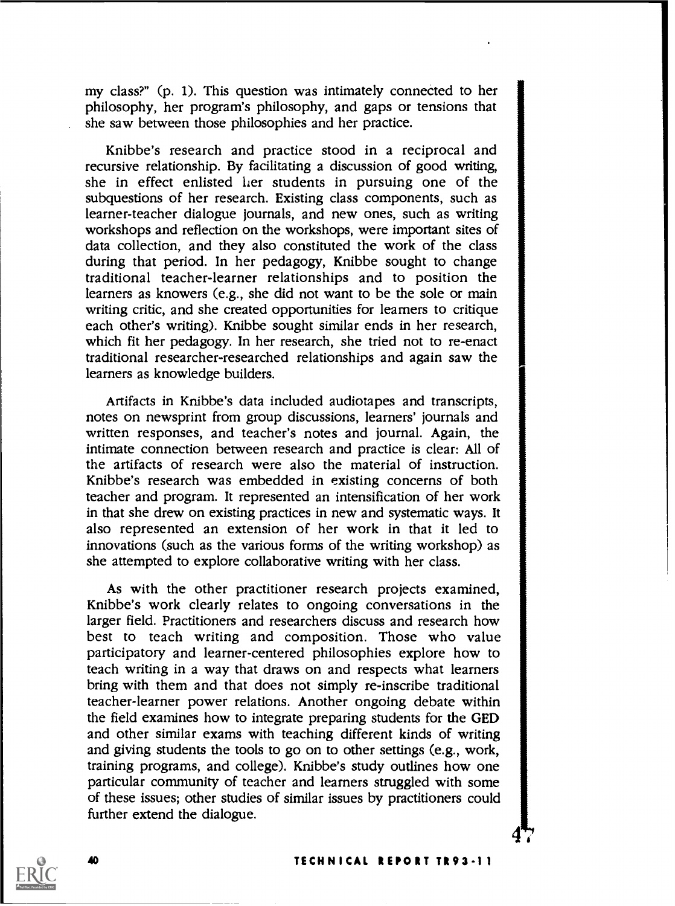my class?" (p. 1). This question was intimately connected to her philosophy, her program's philosophy, and gaps or tensions that she saw between those philosophies and her practice.

Knibbe's research and practice stood in a reciprocal and recursive relationship. By facilitating a discussion of good writing, she in effect enlisted her students in pursuing one of the subquestions of her research. Existing class components, such as learner-teacher dialogue journals, and new ones, such as writing workshops and reflection on the workshops, were important sites of data collection, and they also constituted the work of the class during that period. In her pedagogy, Knibbe sought to change traditional teacher-learner relationships and to position the learners as knowers (e.g., she did not want to be the sole or main writing critic, and she created opportunities for learners to critique each other's writing). Knibbe sought similar ends in her research, which fit her pedagogy. In her research, she tried not to re-enact traditional researcher-researched relationships and again saw the learners as knowledge builders.

Artifacts in Knibbe's data included audiotapes and transcripts, notes on newsprint from group discussions, learners' journals and written responses, and teacher's notes and journal. Again, the intimate connection between research and practice is clear: All of the artifacts of research were also the material of instruction. Knibbe's research was embedded in existing concerns of both teacher and program. It represented an intensification of her work in that she drew on existing practices in new and systematic ways. It also represented an extension of her work in that it led to innovations (such as the various forms of the writing workshop) as she attempted to explore collaborative writing with her class.

As with the other practitioner research projects examined, Knibbe's work clearly relates to ongoing conversations in the larger field. Practitioners and researchers discuss and research how best to teach writing and composition. Those who value participatory and learner-centered philosophies explore how to teach writing in a way that draws on and respects what learners bring with them and that does not simply re-inscribe traditional teacher-learner power relations. Another ongoing debate within the field examines how to integrate preparing students for the GED and other similar exams with teaching different kinds of writing and giving students the tools to go on to other settings (e.g., work, training programs, and college). Knibbe's study outlines how one particular community of teacher and learners struggled with some of these issues; other studies of similar issues by practitioners could further extend the dialogue.

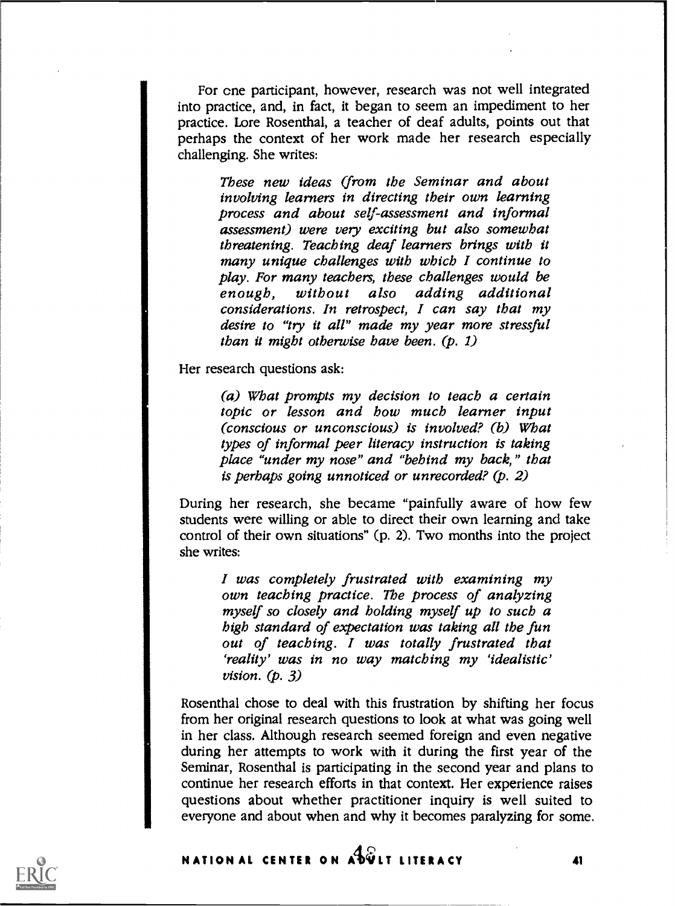For cne participant, however, research was not well integrated into practice, and, in fact, it began to seem an impediment to her practice. Lore Rosenthal, a teacher of deaf adults, points out that perhaps the context of her work made her research especially challenging. She writes:

> These new ideas (from the Seminar and about involving learners in directing their own learning process and about self-assessment and informal assessment) were very exciting but also somewhat threatening. Teaching deaf learners brings with it many unique challenges with which I continue to play. For many teachers, these challenges would be enough, without also adding additional considerations. In retrospect, I can say that my desire to "try it all" made my year more stressful than it might otherwise have been.  $(p, 1)$

Her research questions ask:

(a) What prompts my decision to teach a certain topic or lesson and how much learner input (conscious or unconscious) is involved? (b) What types of informal peer literacy instruction is taking place "under my nose" and "behind my back," that is perhaps going unnoticed or unrecorded? (p. 2)

During her research, she became "painfully aware of how few students were willing or able to direct their own learning and take control of their own situations" (p. 2). Two months into the project she writes:

I was completely frustrated with examining my own teaching practice. The process of analyzing myself so closely and holding myself up to such a<br>high standard of expectation was taking all the fun out of teaching. I was totally frustrated that 'reality' was in no way matching my `idealistic' vision.  $(p. 3)$ 

Rosenthal chose to deal with this frustration by shifting her focus from her original research questions to look at what was going well in her class. Although research seemed foreign and even negative during her attempts to work with it during the first year of the Seminar, Rosenthal is participating in the second year and plans to continue her research efforts in that context. Her experience raises questions about whether practitioner inquiry is well suited to everyone and about when and why it becomes paralyzing for some.

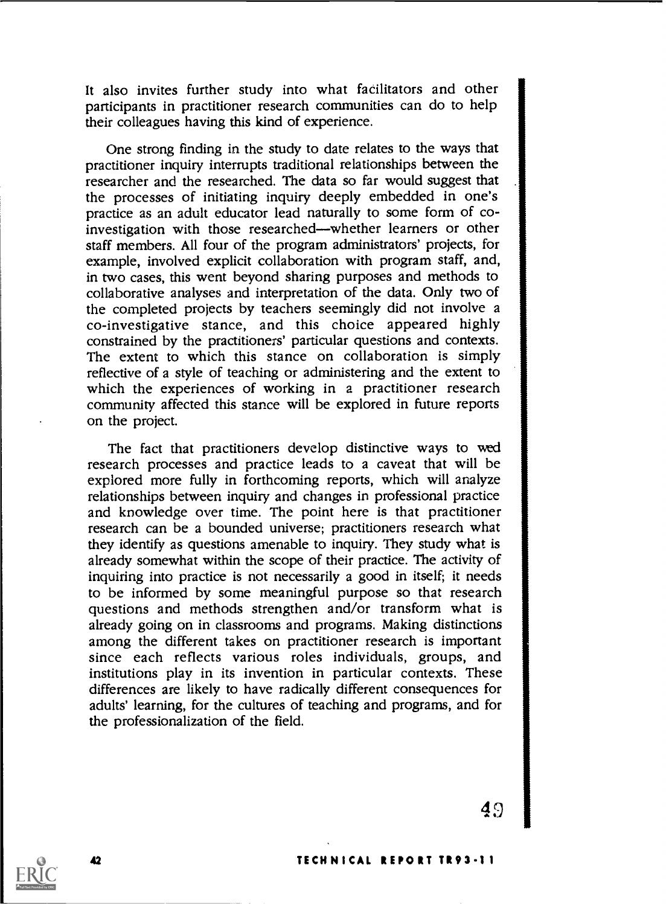It also invites further study into what facilitators and other participants in practitioner research communities can do to help their colleagues having this kind of experience.

One strong finding in the study to date relates to the ways that practitioner inquiry interrupts traditional relationships between the researcher and the researched. The data so far would suggest that the processes of initiating inquiry deeply embedded in one's practice as an adult educator lead naturally to some form of coinvestigation with those researched--whether learners or other staff members. All four of the program administrators' projects, for example, involved explicit collaboration with program staff, and, in two cases, this went beyond sharing purposes and methods to collaborative analyses and interpretation of the data. Only two of the completed projects by teachers seemingly did not involve a co-investigative stance, and this choice appeared highly constrained by the practitioners' particular questions and contexts. The extent to which this stance on collaboration is simply reflective of a style of teaching or administering and the extent to which the experiences of working in a practitioner research community affected this stance will be explored in future reports on the project.

The fact that practitioners develop distinctive ways to wed research processes and practice leads to a caveat that will be explored more fully in forthcoming reports, which will analyze relationships between inquiry and changes in professional practice and knowledge over time. The point here is that practitioner research can be a bounded universe; practitioners research what they identify as questions amenable to inquiry. They study what is already somewhat within the scope of their practice. The activity of inquiring into practice is not necessarily a good in itself; it needs to be informed by some meaningful purpose so that research questions and methods strengthen and/or transform what is already going on in classrooms and programs. Making distinctions among the different takes on practitioner research is important since each reflects various roles individuals, groups, and institutions play in its invention in particular contexts. These differences are likely to have radically different consequences for adults' learning, for the cultures of teaching and programs, and for the professionalization of the field.

 $49$   $\blacksquare$ 

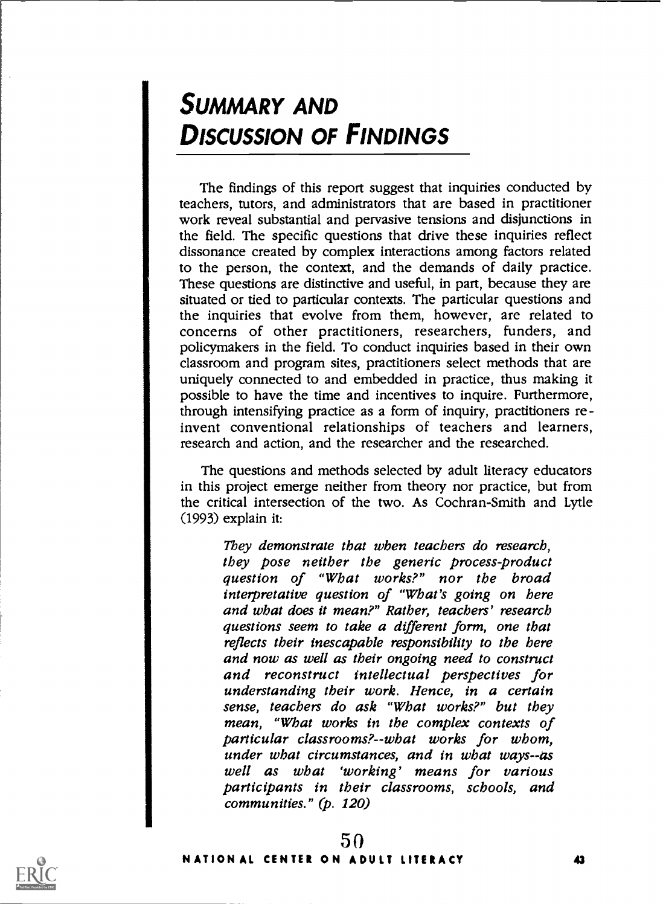# SUMMARY AND DISCUSSION OF FINDINGS

The findings of this report suggest that inquiries conducted by teachers, tutors, and administrators that are based in practitioner work reveal substantial and pervasive tensions and disjunctions in the field. The specific questions that drive these inquiries reflect dissonance created by complex interactions among factors related to the person, the context, and the demands of daily practice. These questions are distinctive and useful, in part, because they are situated or tied to particular contexts. The particular questions and the inquiries that evolve from them, however, are related to concerns of other practitioners, researchers, funders, and policymakers in the field. To conduct inquiries based in their own classroom and program sites, practitioners select methods that are uniquely connected to and embedded in practice, thus making it possible to have the time and incentives to inquire. Furthermore, through intensifying practice as a form of inquiry, practitioners reinvent conventional relationships of teachers and learners, research and action, and the researcher and the researched.

The questions and methods selected by adult literacy educators in this project emerge neither from theory nor practice, but from the critical intersection of the two. As Cochran-Smith and Lytle (1993) explain it:

They demonstrate that when teachers do research, they pose neither the generic process-product question of "What works?" nor the broad interpretative question of "What's going on here and what does it mean?" Rather, teachers' research questions seem to take a different form, one that reflects their inescapable responsibility to the here and now as well as their ongoing need to construct and reconstruct intellectual perspectives for understanding their work. Hence, in a certain sense, teachers do ask "What works?" but they mean, "What works in the complex contexts of particular classrooms?--what works for whom, under what circumstances, and in what ways--as well as what 'working' means for various participants in their classrooms, schools, and communities." (p. 120)

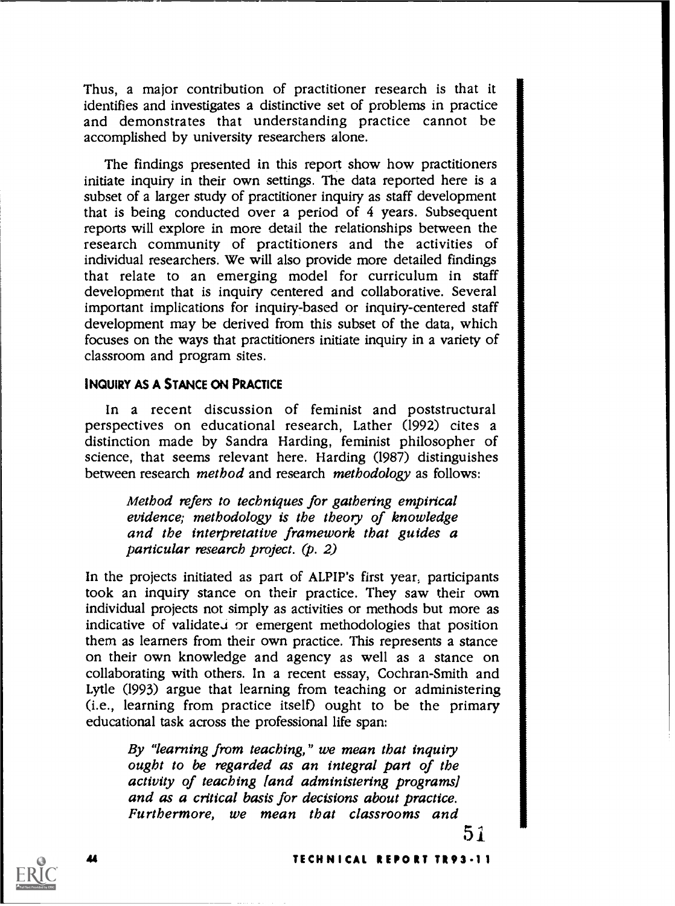Thus, a major contribution of practitioner research is that it identifies and investigates a distinctive set of problems in practice and demonstrates that understanding practice cannot be accomplished by university researchers alone.

The findings presented in this report show how practitioners initiate inquiry in their own settings. The data reported here is a subset of a larger study of practitioner inquiry as staff development that is being conducted over a period of 4 years. Subsequent reports will explore in more detail the relationships between the research community of practitioners and the activities of individual researchers. We will also provide more detailed findings that relate to an emerging model for curriculum in staff development that is inquiry centered and collaborative. Several important implications for inquiry-based or inquiry-centered staff development may be derived from this subset of the data, which focuses on the ways that practitioners initiate inquiry in a variety of classroom and program sites.

### INQUIRY AS A STANCE ON PRACTICE

In <sup>a</sup> recent discussion of feminist and poststructural perspectives on educational research, Lather (1992) cites a distinction made by Sandra Harding, feminist philosopher of science, that seems relevant here. Harding (1987) distinguishes between research method and research methodology as follows:

Method refers to techniques for gathering empirical evidence; methodology is the theory of knowledge and the interpretative framework that guides a particular research project. (p. 2)

In the projects initiated as part of ALPIP's first year, participants took an inquiry stance on their practice. They saw their own individual projects not simply as activities or methods but more as indicative of validated or emergent methodologies that position them as learners from their own practice. This represents a stance on their own knowledge and agency as well as a stance on collaborating with others. In a recent essay, Cochran-Smith and Lytle (1993) argue that learning from teaching or administering (i.e., learning from practice itself) ought to be the primary educational task across the professional life span:

By "learning from teaching," we mean that inquity ought to be regarded as an integral part of the activity of teaching land administering programs] and as a critical basis for decisions about practice. Furthermore, we mean that classrooms and

5 1

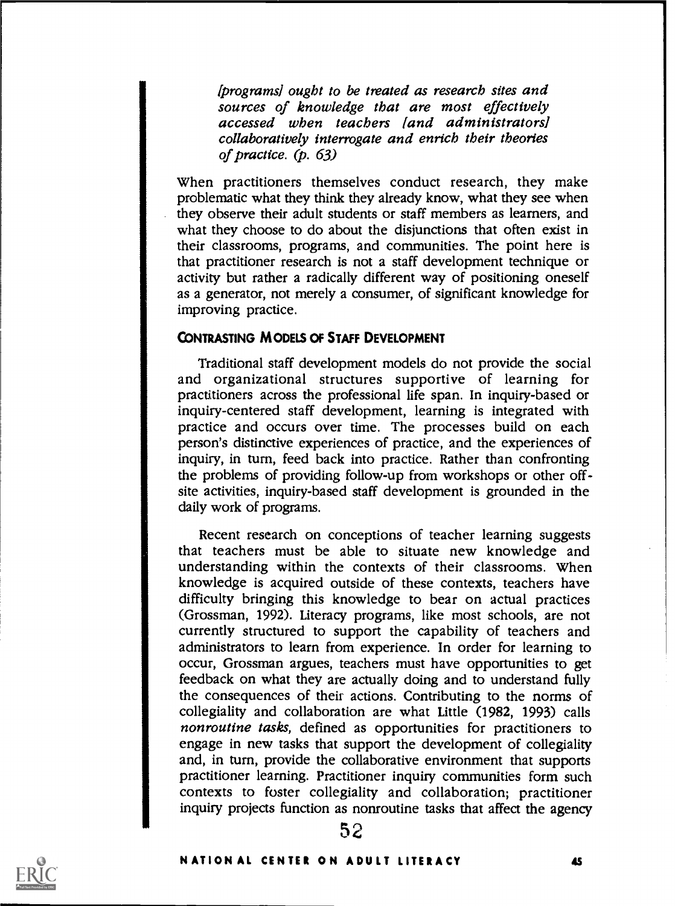(programs] ought to be treated as research sites and sources of knowledge that are most effectively accessed when teachers land administrators] collaboratively interrogate and enrich their theories of practice. (p. 63)

When practitioners themselves conduct research, they make problematic what they think they already know, what they see when they observe their adult students or staff members as learners, and what they choose to do about the disjunctions that often exist in their classrooms, programs, and communities. The point here is that practitioner research is not a staff development technique or activity but rather a radically different way of positioning oneself as a generator, not merely a consumer, of significant knowledge for improving practice.

### CONTRASTING MODELS OF STAFF DEVELOPMENT

Traditional staff development models do not provide the social and organizational structures supportive of learning for practitioners across the professional life span. In inquiry-based or inquiry-centered staff development, learning is integrated with practice and occurs over time. The processes build on each person's distinctive experiences of practice, and the experiences of inquiry, in turn, feed back into practice. Rather than confronting the problems of providing follow-up from workshops or other offsite activities, inquiry-based staff development is grounded in the daily work of programs.

Recent research on conceptions of teacher learning suggests that teachers must be able to situate new knowledge and understanding within the contexts of their classrooms. When knowledge is acquired outside of these contexts, teachers have difficulty bringing this knowledge to bear on actual practices (Grossman, 1992). Literacy programs, like most schools, are not currently structured to support the capability of teachers and administrators to learn from experience. In order for learning to occur, Grossman argues, teachers must have opportunities to get feedback on what they are actually doing and to understand fully the consequences of their actions. Contributing to the norms of collegiality and collaboration are what Little (1982, 1993) calls non routine tasks, defined as opportunities for practitioners to engage in new tasks that support the development of collegiality and, in turn, provide the collaborative environment that supports practitioner learning. Practitioner inquiry communities form such contexts to foster collegiality and collaboration; practitioner inquiry projects function as nonroutine tasks that affect the agency

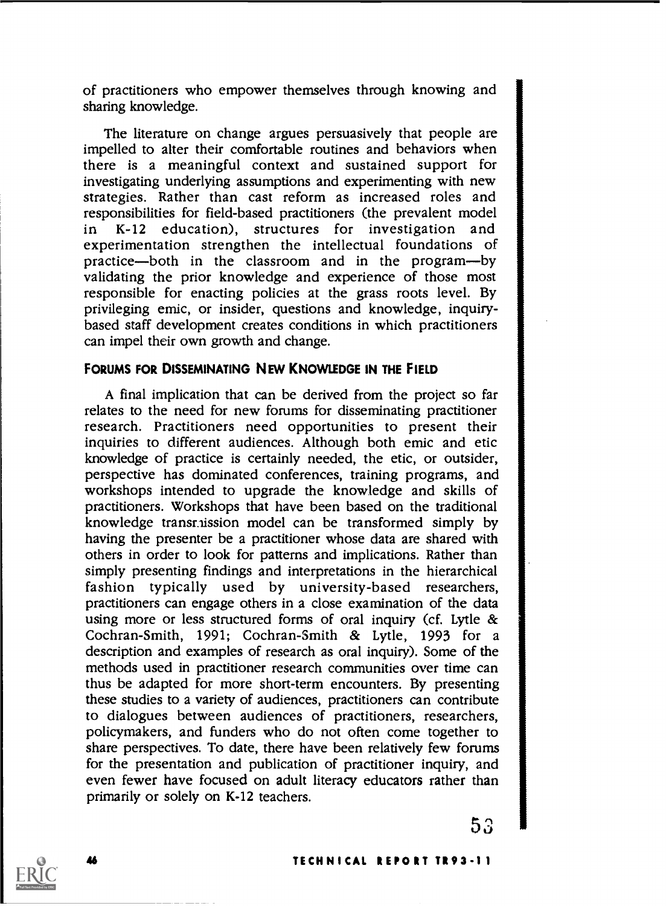of practitioners who empower themselves through knowing and sharing knowledge.

The literature on change argues persuasively that people are impelled to alter their comfortable routines and behaviors when there is a meaningful context and sustained support for investigating underlying assumptions and experimenting with new strategies. Rather than cast reform as increased roles and responsibilities for field-based practitioners (the prevalent model in K-12 education), structures for investigation and experimentation strengthen the intellectual foundations of practice-both in the classroom and in the program-by validating the prior knowledge and experience of those most responsible for enacting policies at the grass roots level. By privileging emic, or insider, questions and knowledge, inquirybased staff development creates conditions in which practitioners can impel their own growth and change.

### FORUMS FOR DISSEMINATING NEW KNOWLEDGE IN THE FIELD

A final implication that can be derived from the project so far relates to the need for new forums for disseminating practitioner research. Practitioners need opportunities to present their inquiries to different audiences. Although both emic and etic knowledge of practice is certainly needed, the etic, or outsider, perspective has dominated conferences, training programs, and workshops intended to upgrade the knowledge and skills of practitioners. Workshops that have been based on the traditional knowledge transmission model can be transformed simply by having the presenter be a practitioner whose data are shared with others in order to look for patterns and implications. Rather than simply presenting findings and interpretations in the hierarchical fashion typically used by university-based researchers, practitioners can engage others in a close examination of the data using more or less structured forms of oral inquiry (cf. Lytle & Cochran-Smith, 1991; Cochran-Smith & Lytle, 1993 for a description and examples of research as oral inquiry). Some of the methods used in practitioner research communities over time can thus be adapted for more short-term encounters. By presenting these studies to a variety of audiences, practitioners can contribute to dialogues between audiences of practitioners, researchers, policymakers, and funders who do not often come together to share perspectives. To date, there have been relatively few forums for the presentation and publication of practitioner inquiry, and even fewer have focused on adult literacy educators rather than primarily or solely on K-12 teachers.

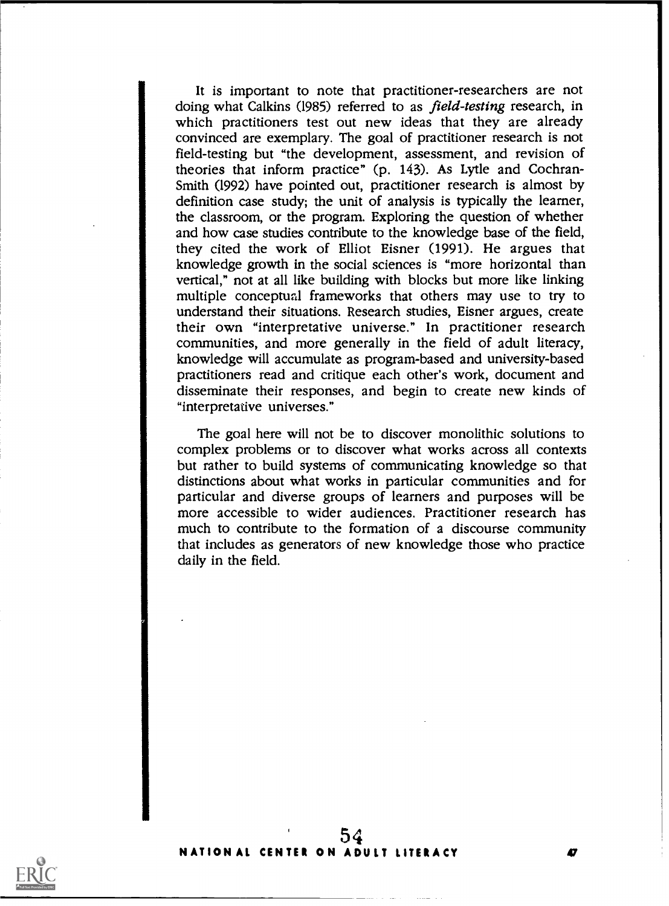It is important to note that practitioner-researchers are not doing what Calkins (1985) referred to as field-testing research, in which practitioners test out new ideas that they are already convinced are exemplary. The goal of practitioner research is not field-testing but "the development, assessment, and revision of theories that inform practice" (p. 143). As Lytle and Cochran-Smith (1992) have pointed out, practitioner research is almost by definition case study; the unit of analysis is typically the learner, the classroom, or the program. Exploring the question of whether and how case studies contribute to the knowledge base of the field, they cited the work of Elliot Eisner (1991). He argues that knowledge growth in the social sciences is "more horizontal than vertical," not at all like building with blocks but more like linking multiple conceptual frameworks that others may use to try to understand their situations. Research studies, Eisner argues, create their own "interpretative universe." In practitioner research communities, and more generally in the field of adult literacy, knowledge will accumulate as program-based and university-based practitioners read and critique each other's work, document and disseminate their responses, and begin to create new kinds of "interpretative universes."

The goal here will not be to discover monolithic solutions to complex problems or to discover what works across all contexts but rather to build systems of communicating knowledge so that distinctions about what works in particular communities and for particular and diverse groups of learners and purposes will be more accessible to wider audiences. Practitioner research has much to contribute to the formation of a discourse community that includes as generators of new knowledge those who practice daily in the field.

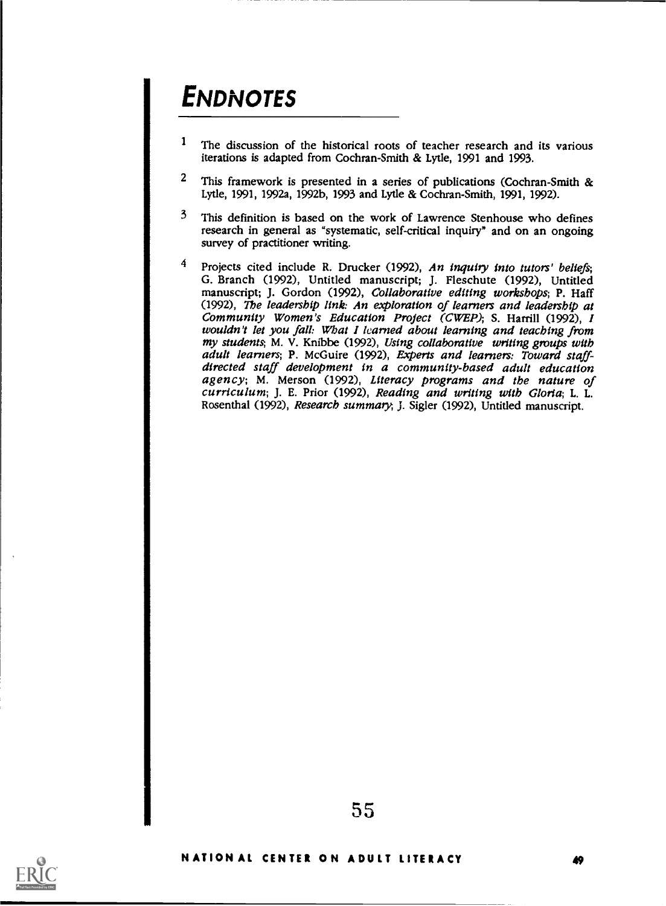# **ENDNOTES**

- 1The discussion of the historical roots of teacher research and its various iterations is adapted from Cochran-Smith & Lytle, 1991 and 1993.
- <sup>2</sup> This framework is presented in a series of publications (Cochran-Smith & Lytle, 1991, 1992a, 1992b, 1993 and Lytle & Cochran-Smith, 1991, 1992).
- <sup>3</sup> This definition is based on the work of Lawrence Stenhouse who defines research in general as 'systematic, self-critical inquiry" and on an ongoing survey of practitioner writing.
- <sup>4</sup> Projects cited include R. Drucker (1992), An inquiry into tutors' beliefs; G. Branch (1992), Untitled manuscript; J. Fleschute (1992), Untitled manuscript; J. Gordon (1992), Collaborative editing workshops; P. Haff (1992), The leadership link: An exploration of learners and leadership at Community Women's Education Project (CWEP); S. Harrill (1992), I wouldn't let you fall: What I learned about learning and teaching from my students; M. V. Knibbe (1992), Using collaborative writing groups with adult learners; P. McGuire (1992), Experts and learners: Toward staffdirected staff development in a community-based adult education agency; M. Merson (1992), Literacy programs and the nature of curriculum; J. E. Prior (1992), Reading and writing with Gloria; L. L. Rosenthal (1992), Research summary, J. Sigler (1992), Untitled manuscript.

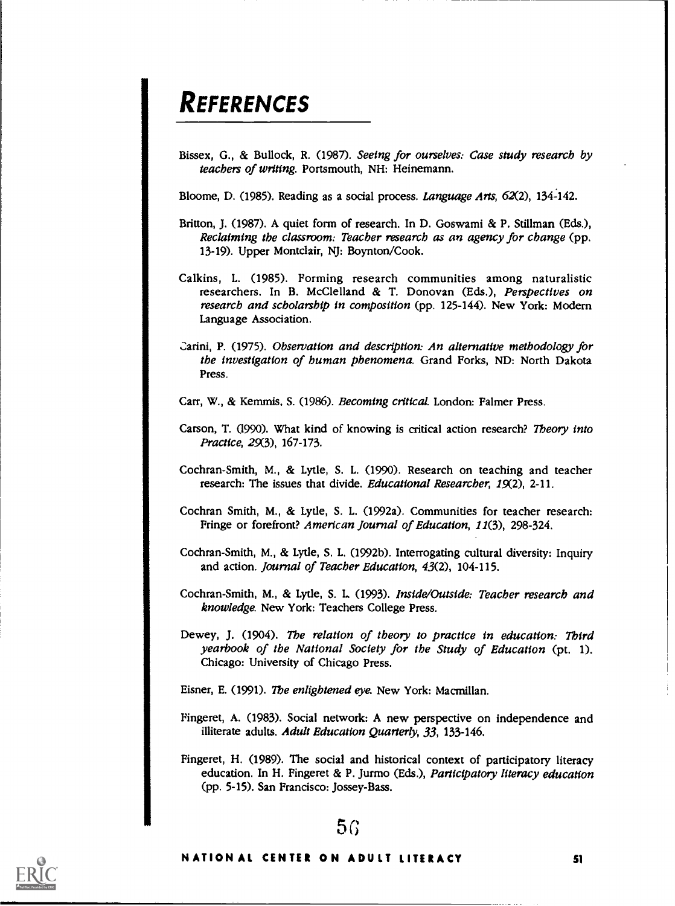# **REFERENCES**

Bissex, G., & Bullock, R. (1987). Seeing for ourselves: Case study research by teachers of writing. Portsmouth, NH: Heinemann.

Bloome, D. (1985). Reading as a social process. Language Arts,  $62(2)$ , 134-142.

- Britton, J. (1987). A quiet form of research. In D. Goswami & P. Stillman (Eds.), Reclaiming the classroom: Teacher research as an agency for change (pp. 13-19). Upper Montclair, NJ: Boynton/Cook.
- Calkins, L. (1985). Forming research communities among naturalistic researchers. In B. McClelland & T. Donovan (Eds.), Perspectives on research and scholarship in composition (pp. 125-144). New York: Modern Language Association.
- arini, P. (1975). Observation and description: An alternative methodology for the investigation of human phenomena. Grand Forks, ND: North Dakota Press.

Carr, W., & Kemmis, S. (1986). Becoming critical. London: Falmer Press.

- Carson, T. (1990). What kind of knowing is critical action research? Theory into Practice, 29(3), 167-173.
- Cochran-Smith, M., & Lytle, S. L. (1990). Research on teaching and teacher research: The issues that divide. *Educational Researcher*, 19(2), 2-11.
- Cochran Smith, M., & Lytle, S. L. (1992a). Communities for teacher research: Fringe or forefront? American Journal of Education, 11(3), 298-324.
- Cochran-Smith, M., & Lytle, S. L. (1992b). Interrogating cultural diversity: Inquiry and action. Journal of Teacher Education, 43(2), 104-115.
- Cochran-Smith, M., & Lytle, S. L. (1993). Inside/Outside: Teacher research and knowledge. New York: Teachers College Press.
- Dewey, J. (1904). The relation of theory to practice in education: Third yearbook of the National Society for the Study of Education (pt. 1). Chicago: University of Chicago Press.

Eisner, E. (1991). The enlightened eye. New York: Macmillan.

- Fingeret, A. (1983). Social network: A new perspective on independence and illiterate adults. Adult Education Quarterly, 33, 133-146.
- Fingeret, H. (1989). The social and historical context of participatory literacy education. In H. Fingeret & P. Jurmo (Eds.), Participatory literacy education (pp. 5-15). San Francisco: Jossey-Bass.

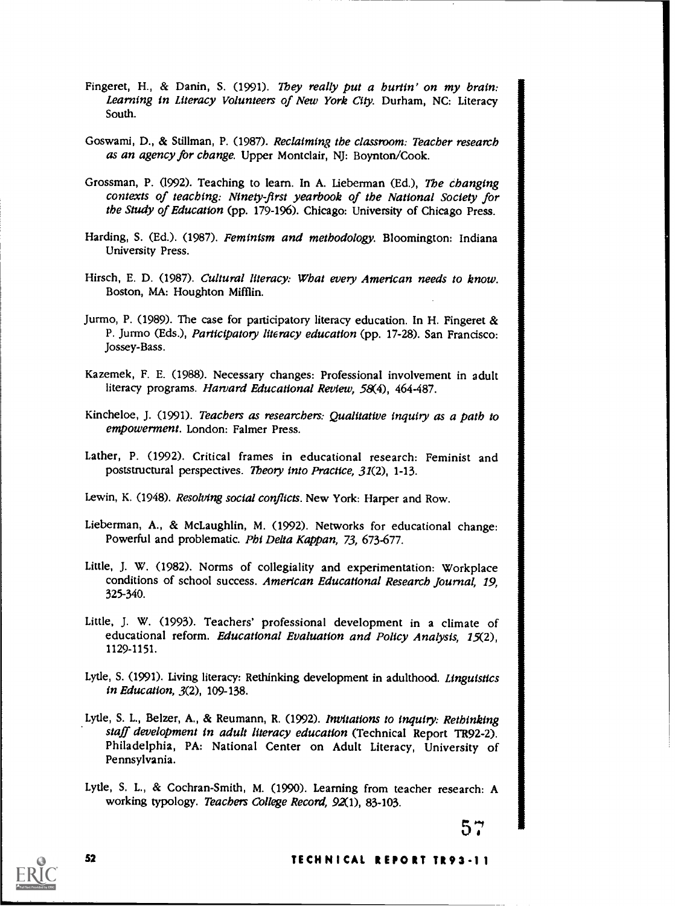- Fingeret, H., & Danin, S. (1991). They really put a burtin' on my brain: Learning in Literacy Volunteers of New York City. Durham, NC: Literacy South.
- Goswami, D., & Stillman, P. (1987). Reclaiming the classroom: Teacher research as an agency for change. Upper Montclair, NJ: Boynton/Cook.
- Grossman, P. (1992). Teaching to learn. In A. Lieberman (Ed.), The changing contexts of teaching: Ninety-first yearbook of the National Society for the Study of Education (pp. 179-196). Chicago: University of Chicago Press.
- Harding, S. (Ed.). (1987). Feminism and methodology. Bloomington: Indiana University Press.
- Hirsch, E. D. (1987). Cultural literacy: What every American needs to know. Boston, MA: Houghton Mifflin.
- Jurmo, P. (1989). The case for participatory literacy education. In H. Fingeret & P. Jurmo (Eds.), Participatory literacy education (pp. 17-28). San Francisco: Jossey-Bass.
- Kazemek, F. E. (1988). Necessary changes: Professional involvement in adult literacy programs. Harvard Educational Review, 58(4), 464-487.
- Kincheloe, J. (1991). Teachers as researchers: Qualitative inquiry as a path to empowerment. London: Falmer Press.
- Lather, P. (1992). Critical frames in educational research: Feminist and poststructural perspectives. Theory into Practice, 31(2), 1-13.
- Lewin, K. (1948). Resolving social conflicts. New York: Harper and Row.
- Lieberman, A., & McLaughlin, M. (1992). Networks for educational change: Powerful and problematic. Phi Delta Kappan, 73, 673-677.
- Little, J. W. (1982). Norms of collegiality and experimentation: Workplace conditions of school success. American Educational Research Journal, 19, 325-340.
- Little, J. W. (1993). Teachers' professional development in a climate of educational reform. Educational Evaluation and Policy Analysis, 15(2), 1129-1151.
- Lytle, S. (1991). Living literacy: Rethinking development in adulthood. Linguistics in Education, 3(2), 109-138.
- Lytle, S. L., Belzer, A., & Reumann, R. (1992). Invitations to inquiry: Rethinking staff development in adult literacy education (Technical Report TR92-2). Philadelphia, PA: National Center on Adult Literacy, University of Pennsylvania.
- Lytle, S. L., & Cochran-Smith, M. (1990). Learning from teacher research: A working typology. Teachers College Record, 92(1), 83-103.

 $57 \pm 1$ 



### <sup>52</sup> TECHNICAL REPORT TR93-II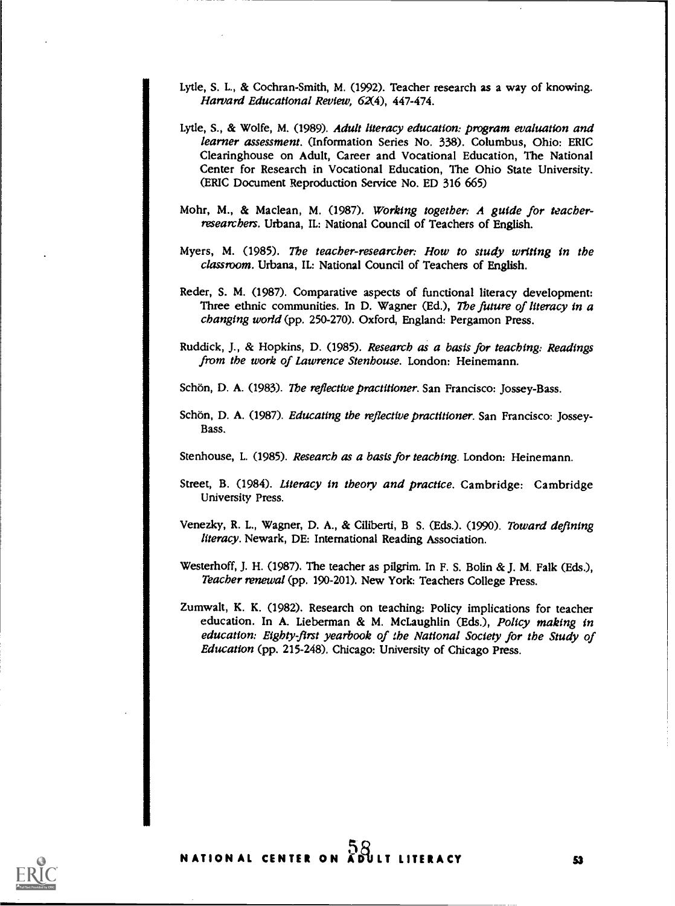- Lytle, S. L., & Cochran-Smith, M. (1992). Teacher research as a way of knowing. Harvard Educational Review, 62(4), 447-474.
- Lytle, S., & Wolfe, M. (1989). Adult literacy education: program evaluation and learner assessment. (Information Series No. 338). Columbus, Ohio: ERIC Clearinghouse on Adult, Career and Vocational Education, The National Center for Research in Vocational Education, The Ohio State University. (ERIC Document Reproduction Service No. ED 316 665)
- Mohr, M., & Maclean, M. (1987). Working together: A guide for teacherresearchers. Urbana, IL: National Council of Teachers of English.
- Myers, M. (1985). The teacher-researcher: How to study writing in the classroom. Urbana, IL: National Council of Teachers of English.
- Reder, S. M. (1987). Comparative aspects of functional literacy development: Three ethnic communities. In D. Wagner (Ed.), The future of literacy in a changing world (pp. 250-270). Oxford, England: Pergamon Press.
- Ruddick, J., & Hopkins, D. (1985). Research as a basis for teaching: Readings from the work of Lawrence Stenhouse. London: Heinemann.
- Schön, D. A. (1983). The reflective practitioner. San Francisco: Jossey-Bass.
- Schön, D. A. (1987). Educating the reflective practitioner. San Francisco: Jossey-Bass.

Stenhouse, L. (1985). Research as a basis for teaching. London: Heinemann.

- Street, B. (1984). Literacy in theory and practice. Cambridge: Cambridge University Press.
- Venezky, R. L., Wagner, D. A., & Ciliberti, B S. (Eds.). (1990). Toward defining literacy. Newark, DE: International Reading Association.
- Westerhoff, J. H. (1987). The teacher as pilgrim. In F. S. Bolin & J. M. Falk (Eds.), Teacher renewal (pp. 190-201). New York: Teachers College Press.
- Zumwalt, K. K. (1982). Research on teaching: Policy implications for teacher education. In A. Lieberman & M. McLaughlin (Eds.), Policy making in education: Eighty-first yearbook of the National Society for the Study of Education (pp. 215-248). Chicago: University of Chicago Press.

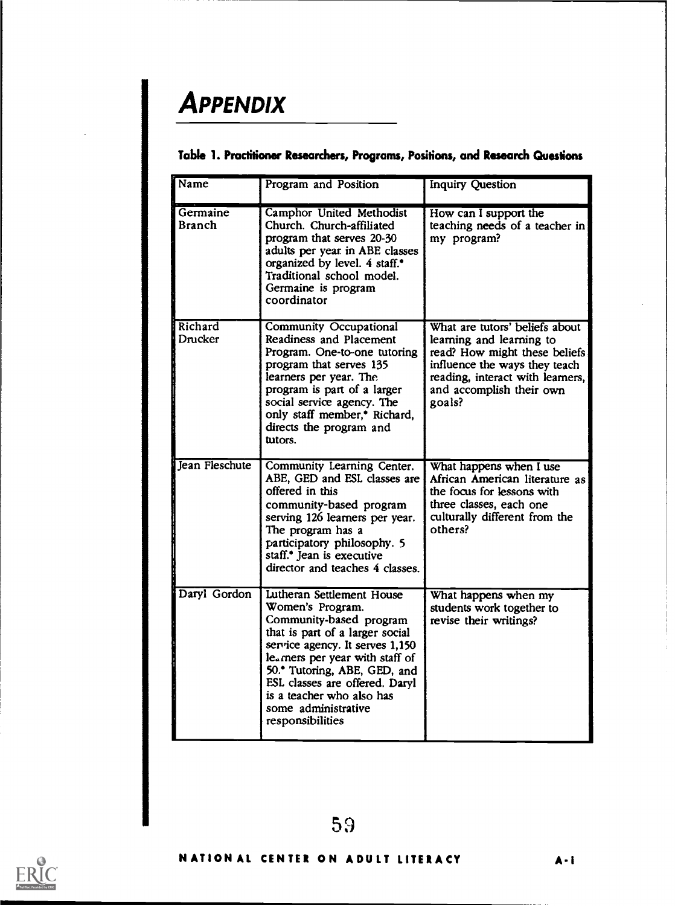# **APPENDIX**

| Name                      | Program and Position                                                                                                                                                                                                                                                                                                        | <b>Inquiry Question</b>                                                                                                                                                                                |  |
|---------------------------|-----------------------------------------------------------------------------------------------------------------------------------------------------------------------------------------------------------------------------------------------------------------------------------------------------------------------------|--------------------------------------------------------------------------------------------------------------------------------------------------------------------------------------------------------|--|
| Germaine<br><b>Branch</b> | Camphor United Methodist<br>Church. Church-affiliated<br>program that serves 20-30<br>adults per year in ABE classes<br>organized by level. 4 staff. <sup>•</sup><br>Traditional school model.<br>Germaine is program<br>coordinator                                                                                        | How can I support the<br>teaching needs of a teacher in<br>my program?                                                                                                                                 |  |
| Richard<br>Drucker        | <b>Community Occupational</b><br>Readiness and Placement<br>Program. One-to-one tutoring<br>program that serves 135<br>learners per year. The<br>program is part of a larger<br>social service agency. The<br>only staff member, <sup>*</sup> Richard,<br>directs the program and<br>tutors.                                | What are tutors' beliefs about<br>learning and learning to<br>read? How might these beliefs<br>influence the ways they teach<br>reading, interact with learners,<br>and accomplish their own<br>goals? |  |
| Jean Fleschute            | Community Learning Center.<br>ABE, GED and ESL classes are<br>offered in this<br>community-based program<br>serving 126 learners per year.<br>The program has a<br>participatory philosophy. 5<br>staff. <sup>•</sup> Jean is executive<br>director and teaches 4 classes.                                                  | What happens when I use<br>African American literature as<br>the focus for lessons with<br>three classes, each one<br>culturally different from the<br>others?                                         |  |
| Daryl Gordon              | Lutheran Settlement House<br>Women's Program.<br>Community-based program<br>that is part of a larger social<br>service agency. It serves 1,150<br>le. mers per year with staff of<br>50.* Tutoring, ABE, GED, and<br>ESL classes are offered. Daryl<br>is a teacher who also has<br>some administrative<br>responsibilities | What happens when my<br>students work together to<br>revise their writings?                                                                                                                            |  |

## Table 1. Practitioner Researchers, Programs, Positions, and Research Questions



59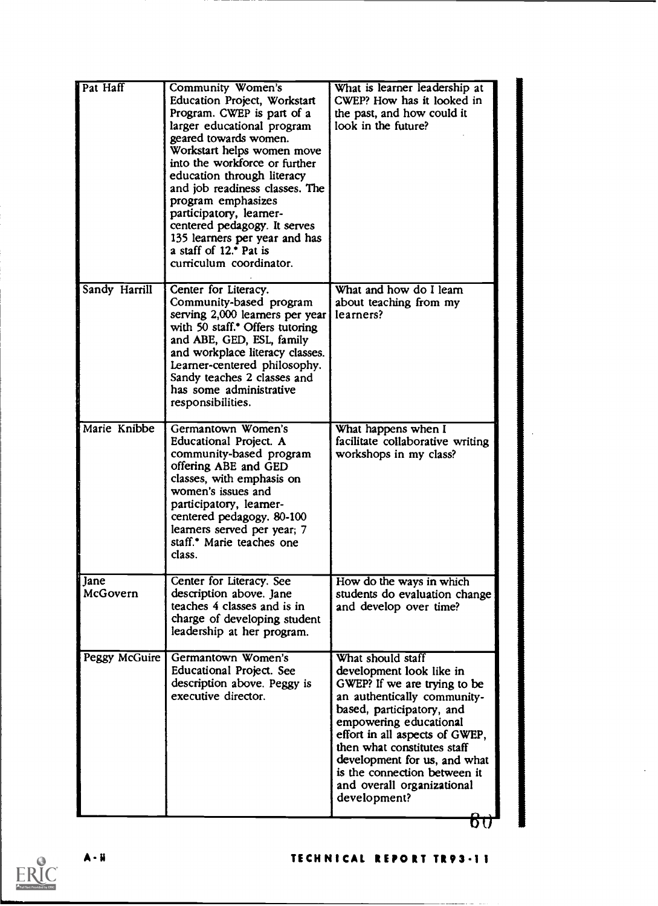| Pat Haff         | <b>Community Women's</b><br>Education Project, Workstart<br>Program. CWEP is part of a<br>larger educational program<br>geared towards women.<br>Workstart helps women move<br>into the workforce or further<br>education through literacy<br>and job readiness classes. The<br>program emphasizes<br>participatory, learner-<br>centered pedagogy. It serves<br>135 learners per year and has<br>a staff of 12.* Pat is<br>curriculum coordinator. | What is learner leadership at<br>CWEP? How has it looked in<br>the past, and how could it<br>look in the future?                                                                                                                                                                                                                                   |  |
|------------------|-----------------------------------------------------------------------------------------------------------------------------------------------------------------------------------------------------------------------------------------------------------------------------------------------------------------------------------------------------------------------------------------------------------------------------------------------------|----------------------------------------------------------------------------------------------------------------------------------------------------------------------------------------------------------------------------------------------------------------------------------------------------------------------------------------------------|--|
| Sandy Harrill    | Center for Literacy.<br>Community-based program<br>serving 2,000 learners per year<br>with 50 staff. <sup>*</sup> Offers tutoring<br>and ABE, GED, ESL, family<br>and workplace literacy classes.<br>Learner-centered philosophy.<br>Sandy teaches 2 classes and<br>has some administrative<br>responsibilities.                                                                                                                                    | What and how do I learn<br>about teaching from my<br>learners?                                                                                                                                                                                                                                                                                     |  |
| Marie Knibbe     | Germantown Women's<br>Educational Project. A<br>community-based program<br>offering ABE and GED<br>classes, with emphasis on<br>women's issues and<br>participatory, learner-<br>centered pedagogy. 80-100<br>learners served per year; 7<br>staff.* Marie teaches one<br>class.                                                                                                                                                                    | What happens when I<br>facilitate collaborative writing<br>workshops in my class?                                                                                                                                                                                                                                                                  |  |
| Jane<br>McGovern | Center for Literacy. See<br>description above. Jane<br>teaches 4 classes and is in<br>charge of developing student<br>leadership at her program.                                                                                                                                                                                                                                                                                                    | How do the ways in which<br>students do evaluation change<br>and develop over time?                                                                                                                                                                                                                                                                |  |
| Peggy McGuire    | Germantown Women's<br>Educational Project. See<br>description above. Peggy is<br>executive director.                                                                                                                                                                                                                                                                                                                                                | What should staff<br>development look like in<br>GWEP? If we are trying to be<br>an authentically community-<br>based, participatory, and<br>empowering educational<br>effort in all aspects of GWEP,<br>then what constitutes staff<br>development for us, and what<br>is the connection between it<br>and overall organizational<br>development? |  |

 $\sigma\sigma$ 



## A-H TECHNICAL REPORT TR93-II